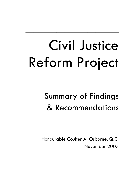\_\_\_\_\_\_\_\_\_\_\_\_

\_\_\_\_\_\_\_\_\_\_\_\_

## Summary of Findings & Recommendations

Honourable Coulter A. Osborne, Q.C. November 2007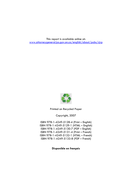This report is available online at: [www.attorneygeneral.jus.gov.on.ca/english/about/pubs/cjrp](http://www.attorneygeneral.jus.gov.on.ca/english/about/pubs/cjrp)



Printed on Recycled Paper

Copyright, 2007

ISBN 978-1-4249-5128-4 (Print – English) ISBN 978-1-4249-5129-1 (HTML – English) ISBN 978-1-4249-5130-7 (PDF – English) ISBN 978-1-4249-5131-4 (Print – French) ISBN 978-1-4249-5132-1 (HTML – French) ISBN 978-1-4249-5133-8 (PDF – French)

**Disponible en français**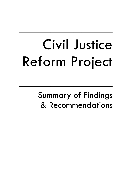\_\_\_\_\_\_\_\_\_\_\_\_

\_\_\_\_\_\_\_\_\_\_\_\_

Summary of Findings & Recommendations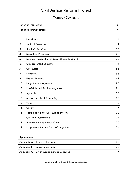### **TABLE OF CONTENTS**

| Letter of Transmittal          |                                              | ii. |
|--------------------------------|----------------------------------------------|-----|
| <b>List of Recommendations</b> |                                              |     |
|                                |                                              |     |
| 1.                             | Introduction                                 | 1   |
| 2.                             | <b>Judicial Resources</b>                    | 9   |
| 3.                             | <b>Small Claims Court</b>                    | 15  |
| 4.                             | <b>Simplified Procedure</b>                  | 22  |
| 5.                             | Summary Disposition of Cases (Rules 20 & 21) | 32  |
| 6.                             | <b>Unrepresented Litigants</b>               | 44  |
| 7.                             | <b>Civil Juries</b>                          | 53  |
| 8.                             | Discovery                                    | 56  |
| 9.                             | <b>Expert Evidence</b>                       | 68  |
| 10.                            | <b>Litigation Management</b>                 | 85  |
| 11.                            | <b>Pre-Trials and Trial Management</b>       | 94  |
| 12.                            | Appeals                                      | 103 |
| 13.                            | Motion and Trial Scheduling                  | 107 |
| 14.                            | Venue                                        | 115 |
| 15.                            | Civility                                     | 117 |
| 16.                            | Technology in the Civil Justice System       | 120 |
| 17.                            | <b>Civil Rules Committee</b>                 | 127 |
| 18.                            | Automobile Negligence Claims                 | 130 |
| 19.                            | Proportionality and Costs of Litigation      | 134 |

#### **Appendices**

| Appendix A – Terms of Reference              | 136 |
|----------------------------------------------|-----|
| Appendix B - Consultation Paper              | 139 |
| Appendix C – List of Organizations Consulted | 147 |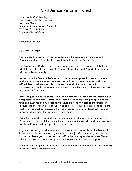Honourable Chris Bentley The Honourable Chris Bentley Attorney General Ministry of the Attorney General 720 Bay St., 11<sup>th</sup> Floor Toronto, ON M5G 2K1

November 20, 2007

Dear Mr. Attorney:

I am pleased to submit for your consideration the Summary of Findings and Recommendations of the Civil Justice Reform Project (the "Review").

The Summary of Findings and Recommendations is the first product of this Review, which I was asked to undertake in June of 2006. The Final Report of the Review will be delivered shortly.

As set out in the Terms of Reference, I have reviewed potential areas of reform and made recommendations to make the civil justice system more accessible and affordable. I believe the bulk of the recommendations are suitable for implementation within a reasonable time and, if implemented, will enhance access to justice for Ontarians.

Access to justice was the overarching issue in this Review, for both represented and unrepresented litigants. Central to my recommendations is the principle that the time and expense of any proceeding should be proportionate to the amount in dispute and the importance of the issues at stake. I have also duly considered the reality of regional differences within the province, in terms of legal culture, and procedural practices that respond to local needs.

With these objectives in mind, I have recommended changes to the Rules of Civil Procedure, several statutory amendments, potential improved scheduling practices for the judiciary, and best practices for the profession.

In gathering background information, comments and proposals for this Review, I have been aided enormously by members of the judiciary, the bar, and the public. I have also been greatly assisted by staff at the Ministry of the Attorney General, who have provided dedicated project management and research support.

I look forward to your considered response to the recommendations in this Summary of Findings and Recommendations.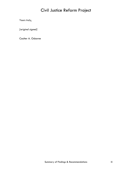Yours truly,

*[original signed]* 

Coulter A. Osborne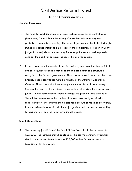#### **LIST OF RECOMMENDATIONS**

#### **Judicial Resources**

- 1. The need for additional Superior Court judicial resources in Central West (Brampton), Central South (Hamilton), Central East (Newmarket), and probably Toronto, is compelling. The federal government should forthwith give immediate consideration to an increase in the complement of Superior Court judges in those judicial centres. Any future appointments should expressly consider the need for bilingual judges within a given region.
- 2. In the longer term, the needs of the civil justice system from the standpoint of number of judges required should be the subject matter of a structured analysis by the federal government. That analysis should be undertaken after broadly based consultation with the Ministry of the Attorney General in Ontario. That consultation is necessary since the Ministry of the Attorney General has much of the evidence to support, or otherwise, the case for more judges. In our constitutional scheme of things, the problems are provincial. The solution in relation to the number of judges reasonably required is a federal matter. The analysis should also take account of the impact of family law and criminal matters in relation to judge time and courtroom availability for civil matters, and the need for bilingual judges.

#### **Small Claims Court**

3. The monetary jurisdiction of the Small Claims Court should be increased to \$25,000. The increase should be staged. The court's monetary jurisdiction should be increased immediately to \$15,000 with a further increase to \$25,000 within two years.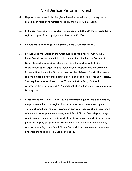- 4. Deputy judges should also be given limited jurisdiction to grant equitable remedies in relation to matters heard by the Small Claims Court.
- 5. If the court's monetary jurisdiction is increased to \$25,000, there should be no right to appeal from a judgment of less than \$1,500.
- 6. I would make no change in the Small Claims Court costs model.
- 7. I would urge the Office of the Chief Justice of the Superior Court, the Civil Rules Committee and the ministry, in consultation with the Law Society of Upper Canada, to consider whether a litigant should be able to be represented by an agent in Small Claims Court appeals and enforcement (contempt) matters in the Superior Court or the Divisional Court. This prospect is more palatable now that paralegals will be regulated by the Law Society. This requires an amendment to the *Courts of Justice Act* (s. 26), which references the *Law Society Act*. Amendment of Law Society by-laws may also be required.
- 8. I recommend that Small Claims Court administrative judges be appointed by the province either on a regional basis or on a basis determined by the volume of Small Claims Court business in particular geographic areas. Short of new judicial appointments, designated Small Claims Court deputy judge administrators should be made part of the Small Claims Court picture. These judges or deputy judge administrators would be responsible for ensuring, among other things, that Small Claims Court trial and settlement conference lists were manageable, i.e., not open-ended.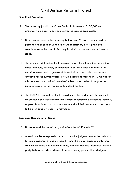#### **Simplified Procedure**

- 9. The monetary jurisdiction of rule 76 should increase to \$100,000 on a province-wide basis, to be implemented as soon as practicable.
- 10. Upon any increase to the monetary limit of rule 76, each party should be permitted to engage in up to two hours of discovery after giving due consideration to the cost of discovery in relation to the amounts or issues at stake.
- 11. The summary trial option should remain in place for all simplified procedure cases. It should, however, be amended to permit a brief opportunity for examination-in-chief or general statement of any party who has sworn an affidavit for the summary trial. I would allocate no more than 10 minutes for this statement or examination-in-chief, subject to an order of the pre-trial judge or master or the trial judge to extend this time.
- 12. The Civil Rules Committee should consider whether and how, in keeping with the principle of proportionality and without compromising procedural fairness, appeals from interlocutory orders made in simplified procedure cases ought to be prohibited or otherwise restricted.

#### **Summary Disposition of Cases**

- 13. Do not amend the test of "no genuine issue for trial" in rule 20.
- 14. Amend rule 20 to expressly confer on a motion judge or master the authority to weigh evidence, evaluate credibility and draw any reasonable inference from the evidence and documents filed, including adverse inferences where a party fails to provide evidence of persons having personal knowledge of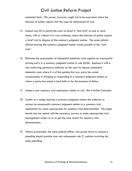contested facts. This power, however, ought not to be exercised where the interests of justice require that the issue be determined at trial.

- 15. Amend rule 20 to permit the court to direct a "mini-trial" on one or more issues, with or without *viva voce* evidence, where the interests of justice require a brief trial to dispose of the summary judgment motion. The same judicial official hearing the summary judgment motion would preside at the "minitrial."
- 16. Eliminate the presumption of substantial indemnity costs against an unsuccessful moving party in a summary judgment motion in rule 20.06. Replace it with a rule conferring permissive authority on the court to impose substantial indemnity costs where it is of the opinion that any party has acted unreasonably in bringing or responding to a summary judgment motion, or where a party has acted in bad faith or for the purpose of delay.
- 17. Adopt a new summary trial mechanism, similar to rule 18A in British Columbia.
- 18. Confer on a judge hearing a summary judgment motion the authority to convert an unsuccessful summary judgment motion to a summary trial application for cases appropriate for summary trial determination. The judge should also be vested with the necessary powers to make appropriate trial management orders so as to get the case ready for summary trial determination.
- 19. Where practicable, the same judicial officer who grants leave to amend a pleading should preside over any subsequent rule 21 motions involving the same pleading.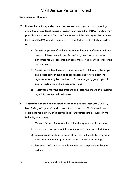#### **Unrepresented Litigants**

- 20. Undertake an independent needs assessment study, guided by a steering committee of civil legal service providers and chaired by PBLO. Funding from possible sources, such as The Law Foundation and the Ministry of the Attorney General ("MAG") should be explored. The objectives of the study should be to:
	- a) Develop a profile of civil unrepresented litigants in Ontario and their points of interaction with the civil justice system that give rise to difficulties for unrepresented litigants themselves, court administrators and the courts;
	- b) Determine the legal needs of unrepresented civil litigants, the scope and accessibility of existing legal services and where additional legal services may be provided to fill service gaps, geographically and in substantive civil practice areas; and
	- c) Recommend the most cost-efficient and -effective means of providing legal information and assistance.
- 21. A committee of providers of legal information and resources (MAG, PBLO, Law Society of Upper Canada, Legal Aid), chaired by PBLO, should meet to coordinate the delivery of improved legal information and resources in the following four areas:
	- a) General information about the civil justice system and its structure;
	- b) Step-by-step procedural information to assist unrepresented litigants;
	- c) Summaries of substantive areas of the law that would be of greatest assistance to most unrepresented litigants in civil proceedings;
	- d) Procedural information on enforcement and compliance with court orders.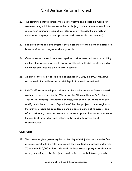- 22. The committee should consider the most effective and accessible media for communicating this information to the public (e.g., printed material available at courts or community legal clinics; electronically through the Internet; or videotaped displays of court processes and acceptable court conduct).
- 23. Bar associations and civil litigators should continue to implement and offer pro bono services and programs where possible.
- 24. Ontario lawyers should be encouraged to consider new and innovative billing methods that promote access to justice for litigants with civil legal issues who would not otherwise be able to afford counsel.
- 25. As part of the review of legal aid announced in 2006, the 1997 McCamus recommendations with respect to civil legal aid should be revisited.
- 26. PBLO's efforts to develop a civil law self-help pilot project in Toronto should continue to be assisted by the Ministry of the Attorney General's Pro Bono Task Force. Funding from possible sources, such as The Law Foundation and MAG, should be explored. Expansion of the pilot project to other regions of the province should be considered pending an evaluation of its success, and after considering cost-effective service delivery options that are responsive to the needs of those who would otherwise be unable to access legal representation.

#### **Civil Juries**

27. The current regime governing the availability of civil juries set out in the *Courts of Justice Act* should be retained, except for simplified rule actions under rule 76 in which \$50,000 or less is claimed. In those cases a party must obtain an order, on motion, to obtain a jury based on broad public interest grounds.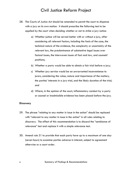- 28. The *Courts of Justice Act* should be amended to permit the court to dispense with a jury on its own motion. It should prescribe the following test to be applied by the court when deciding whether or not to strike a jury notice:
	- a) Whether justice will be served better with or without a jury, after considering all relevant factors, including the facts of the case, the technical nature of the evidence, the complexity or uncertainty of the relevant law, the predominance of substantive legal issues over factual issues, the interwoven issues of fact and law, and counsels' positions;
	- b) Whether a party would be able to obtain a fair trial before a jury;
	- c) Whether jury service would be an unwarranted inconvenience to jurors, considering the value, nature and importance of the matters, the parties' interests in a jury trial, and the likely duration of the trial; and
	- d) Where, in the opinion of the court, inflammatory conduct by a party or counsel or inadmissible evidence has been placed before the jury.

#### **Discovery**

- 29. The phrase "relating to any matter in issue in the action" should be replaced with "relevant to any matter in issue in the action" in all rules relating to discovery. The effect of this recommendation is to discard the "semblance of relevance" test and replace it with a simple relevance test.
- 30. Amend rule 31 to provide that each party have up to a maximum of one day (seven hours) to examine parties adverse in interest, subject to agreement otherwise or a court order.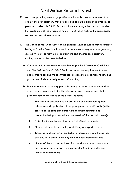- 31. As a best practice, encourage parties to voluntarily answer questions at an examination for discovery that are objected to on the basis of relevance, as permitted under rule 34.12(2). In addition, encourage the court to consider the availability of the process in rule 34.12(2) when making the appropriate cost awards on refusals motions.
- 32. The Office of the Chief Justice of the Superior Court of Justice should consider issuing a Practice Direction that would state the court may refuse to grant any discovery relief, or may make appropriate cost awards on a discovery motion, where parties have failed to:
	- a) Consider and, to the extent reasonable, apply the E-Discovery Guidelines and *The Sedona Canada Principles*, in particular, the requirement to meet and confer regarding the identification, preservation, collection, review and production of electronically stored information;
	- b) Develop a written discovery plan addressing the most expeditious and costeffective means of completing the discovery process in a manner that is proportionate to the needs of the action, including:
		- i. The scope of documents to be preserved as determined by both relevance and application of the principle of proportionality (in the context of the costs associated with document searches and production being balanced with the needs of the particular case);
		- ii. Dates for the exchange of sworn affidavits of documents;
		- iii. Number of experts and timing of delivery of expert reports;
		- iv. Time, cost and manner of production of documents from the parties and any third parties who may have relevant documents; and
		- v. Names of those to be produced for oral discovery (an issue which may be relevant if a party is a corporation) and the dates and length of examinations.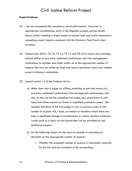#### **Expert Evidence**

- 33. I do not recommend the mandatory use of joint experts. However, in appropriate circumstances, early in the litigation process, parties should discuss jointly retaining a single expert to reduce costs and avoid unnecessary competing expert reports, consistent with the Discovery Task Force's best practices.
- 34. Amend rules 50.01, 76.10, 77.14, 77.15 and 78.10 to require the presiding judicial officer at pre-trials, settlement conferences and trial management conferences to consider and make orders as to the appropriate number of experts that may be called by each side and on particular issues and whether expert evidence is admissible.
- 35. Amend section 12 of the *Evidence Act* to:
	- a) Make clear that a judge (or officer) presiding at pre-trial events (i.e., pre-trials, settlement conferences, trial management conferences), who may or may not be the presiding trial judge, may grant leave to call more than three experts (or fewer in simplified procedure cases). The residual discretion of the trial judge to vary a previous order on the number of experts will, I hope, be limited to situations where there has been a significant change in circumstances, or where manifest unfairness would result to a party at trial should they not be permitted to call additional experts.
	- b) List the following factors for the court to consider in exercising its discretion on the appropriate number of experts:
		- i. Whether the proposed number of experts is reasonably required for the fair and just resolution of the proceeding;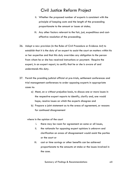- ii. Whether the proposed number of experts is consistent with the principle of keeping costs and the length of the proceeding proportionate to the amount or issues at stake;
- iii. Any other factors relevant to the fair, just, expeditious and costeffective resolution of the proceeding.
- 36. Adopt a new provision (in the Rules of Civil Procedure or *Evidence Act*) to establish that it is the duty of an expert to assist the court on matters within his or her expertise and that this duty overrides any obligation to the person from whom he or she has received instructions or payment. Require the expert, in an expert report, to certify that he or she is aware of and understands this duty.
- 37. Permit the presiding judicial official at pre-trials, settlement conferences and trial management conferences to order opposing experts in appropriate cases to:
	- a) Meet, on a without prejudice basis, to discuss one or more issues in the respective expert reports to identify, clarify and, one would hope, resolve issues on which the experts disagree and
	- b) Prepare a joint statement as to the areas of agreement, or reasons for continued disagreement

where in the opinion of the court

- i. there may be room for agreement on some or all issues,
- ii. the rationale for opposing expert opinions is unknown and clarification on areas of disagreement would assist the parties or the court or
- iii. cost or time savings or other benefits can be achieved proportionate to the amounts at stake or the issues involved in the case.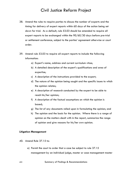- 38. Amend the rules to require parties to discuss the number of experts and the timing for delivery of expert reports within 60 days of the action being set down for trial. As a default, rule 53.03 should be amended to require all expert reports to be exchanged within the 90/60/30 days before pre-trial or settlement conference, subject to the parties' agreement otherwise or court order.
- 39. Amend rule 53.03 to require all expert reports to include the following information:
	- a) Expert's name, address and current curriculum vitae;
	- b) A detailed description of the expert's qualifications and area of expertise;
	- c) A description of the instructions provided to the expert;
	- d) The nature of the opinion being sought and the specific issues to which the opinion relates;
	- e) A description of research conducted by the expert to be able to reach his/her opinion;
	- f) A description of the factual assumptions on which the opinion is based;
	- g) The list of any documents relied upon in formulating the opinion; and
	- h) The opinion and the basis for the opinion. Where there is a range of opinion on the matters dealt with in the report, summarize the range of opinion and give reasons for his/her own opinion.

#### **Litigation Management**

- 40. Amend Rule 37.15 to:
	- a) Permit the court to order that a case be subject to rule 37.15 management by an individual judge, master or case management master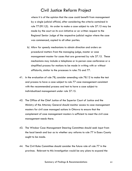where it is of the opinion that the case could benefit from management by a single judicial official, after considering the criteria contained in rule 77.09.1(5). An order to make a case subject to rule 37.15 may be made by the court on its own initiative or on written request to the Regional Senior Judge of the respective judicial region where the case was commenced, copied to all other parties.

- b) Allow for speedy mechanisms to obtain direction and orders on procedural matters from the managing judge, master or case management master for cases that are governed by rule 37.15. These mechanisms may include a telephone or in-person case conference or a simplified process for motions to be made in writing with or without affidavits, similar to the processes in rules 76 and 77.
- 41. In the evaluation of rule 78, consider amending rule 78.12 to make the test and process to have a case subject to rule 77 case management consistent with the recommended process and test to have a case subject to individualized management under rule 37.15.
- 42. The Office of the Chief Justice of the Superior Court of Justice and the Ministry of the Attorney General should monitor access to case management masters for civil case managed actions in Ottawa to ensure that the complement of case management masters is sufficient to meet the civil case management needs there.
- 43. The Windsor Case Management Steering Committee should seek input from the local bench and bar as to whether any reforms to rule 77 in Essex County ought to be made.
- 44. The Civil Rules Committee should consider the future role of rule 77 in the province. Relevant to this investigation would be any plans to expand the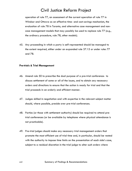operation of rule 77, an assessment of the current operation of rule 77 in Windsor and Ottawa as an effective time- and cost-savings mechanism, the evaluation of rule 78 in Toronto, and alternative case management and noncase management models that may possibly be used to replace rule 77 (e.g., the ordinary procedure, rule 78, other models).

45. Any proceeding in which a party is self-represented should be managed to the extent required, either under an expanded rule 37.15 or under rules 77 and 78.

#### **Pre-trials & Trial Management**

- 46. Amend rule 50 to prescribe the dual purpose of a pre-trial conference: to discuss settlement of some or all of the issues, and to obtain any necessary orders and directions to ensure that the action is ready for trial and that the trial proceeds in an orderly and efficient manner.
- 47. Judges skilled in negotiation and with expertise in the relevant subject matter should, where possible, preside over pre-trial conferences.
- 48. Parties (or those with settlement authority) should be required to attend pretrial conferences (or be available by telephone where physical attendance is not practicable).
- 49. Pre-trial judges should make any necessary trial management orders that promote the most efficient use of trial time and, in particular, should be vested with the authority to impose time limits on the presentation of each side's case, subject to a residual discretion in the trial judge to alter such orders where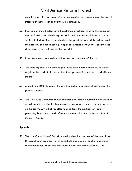unanticipated circumstances arise or in otherwise clear cases where the overall interests of justice require that they be amended.

- 50. Each region should adopt an administrative practice, similar to the approach used in Toronto, for scheduling pre-trials and tentative trial dates, to permit a sufficient block of time to be scheduled for pre-trials and trials and to avoid the necessity of parties having to appear in Assignment Court. Tentative trial dates should be confirmed at the pre-trial.
- 51. Pre-trials should be scheduled within four to six months of the trial.
- 52. The judiciary should be encouraged to use their inherent authority to better regulate the conduct of trials so that trials proceed in an orderly and efficient manner.
- 53. Amend rule 50.04 to permit the pre-trial judge to preside at trial where the parties consent.
- 54. The Civil Rules Committee should consider addressing bifurcation in a rule that would permit an order for bifurcation to be made on motion by any party or on the court's own initiative, after hearing from the parties. Any rule permitting bifurcation could reference some or all of the 14 factors listed in *Bourne v. Saunby*.

#### **Appeals**

55. The Law Commission of Ontario should undertake a review of the role of the Divisional Court as a court of intermediate appellate jurisdiction and make recommendations regarding the court's future role and jurisdiction. This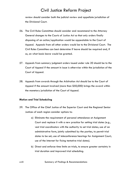review should consider both the judicial review and appellate jurisdiction of the Divisional Court.

- 56. The Civil Rules Committee should consider and recommend to the Attorney General changes to the *Courts of Justice Act* so that only orders finally disposing of an action/application would be appealable to the Court of Appeal. Appeals from all other orders would be to the Divisional Court. The Civil Rules Committee can best determine if leave should be required and, if so, on what basis leave would be granted.
- 57. Appeals from summary judgment orders issued under rule 20 should be to the Court of Appeal if the amount in issue is otherwise within the jurisdiction of the Court of Appeal.
- 58. Appeals from awards through the *Arbitration Act* should be to the Court of Appeal if the amount involved (more than \$50,000) brings the award within the monetary jurisdiction of the Court of Appeal.

#### **Motion and Trial Scheduling**

- 59. The Office of the Chief Justice of the Superior Court and the Regional Senior Justices of each region consider options to:
	- a) Eliminate the requirement of personal attendance at Assignment Court and replace it with a new practice for setting trial dates (e.g., vest trial coordinators with the authority to set trial dates; use of an administrative form, jointly submitted by the parties, to permit trial dates to be set; use of teleconference hearings for Assignment Court; use of the Internet for fixing tentative trial dates).
	- b) Direct and enforce time limits on trials, to ensure greater certainty in trial duration and improved trial scheduling.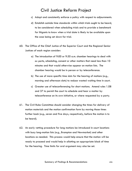- c) Adopt and consistently enforce a policy with respect to adjournments.
- d) Establish outside time standards within which trials ought to be heard, to be considered when scheduling trials and to provide a benchmark for litigants to know when a trial date is likely to be available upon the case being set down for trial.
- 60. The Office of the Chief Justice of the Superior Court and the Regional Senior Justices of each region consider:
	- a) The introduction of 9:00 or 9:30 a.m. chamber hearings to deal with *ex parte*, scheduling, consent or other matters that need less than 10 minutes and that would otherwise appear on motion lists. The chamber hearing would be in person or by teleconference.
	- b) The use of more specific time slots for the hearing of motions (e.g., morning and afternoon slots) to reduce wasted waiting time in court.
	- c) Greater use of teleconferencing for short motions. Amend rules 1.08 and 37 to permit the court to schedule and hear a matter by teleconference on its own initiative, or where requested by a party.
- 61. The Civil Rules Committee should consider changing the times for delivery of motion materials and the motion confirmation form by moving those times further back (e.g., seven and five days, respectively, before the motion is to be heard).
- 62. An early vetting procedure for long motions be introduced in court locations with busy long-motion lists (e.g., Brampton and Newmarket) and other locations as needed. This process would help ensure that the motion will be ready to proceed and would help in allotting an appropriate block of time for the hearing. Time limits for oral argument may also be set.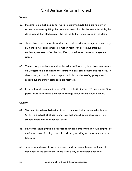#### **Venue**

- 63. It seems to me that in a better world, plaintiffs should be able to start an action anywhere by filing the claim electronically. To the extent feasible, the claim should then electronically be moved to the venue stated in the claim.
- 64. There should be a more streamlined way of securing a change of venue (e.g., by filing a two-page simplified motion form with or without affidavit evidence, modeled after the simplified procedure and case management rules).
- 65. Venue change motions should be heard in writing or by telephone conference call, subject to a direction to the contrary if any oral argument is required. In clear cases, such as in the example cited above, the moving party should receive full indemnity costs payable forthwith.
- 66. In the alternative, amend rules 37.03(1), 38.03(1), 77.01(5) and 76.05(2) to permit a party to bring a motion to change venue at any court location.

#### **Civility**

- 67. The need for ethical behaviour is part of the curriculum in law schools now. Civility is a subset of ethical behaviour that should be emphasized in law schools where this does not now occur.
- 68. Law firms should provide instruction to articling students that would emphasize the importance of civility. Uncivil conduct by articling students should not be tolerated.
- 69. Judges should move to zero tolerance mode when confronted with uncivil behaviour in the courtroom. There is an array of remedies available,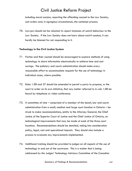including moral suasion, reporting the offending counsel to the Law Society, cost orders and, in egregious circumstances, the contempt process.

70. Lawyers should not be reluctant to report instances of uncivil behaviour to the Law Society. If the Law Society does not know about uncivil conduct, it can hardly be blamed for not responding to it.

#### **Technology in the Civil Justice System**

- 71. Parties and their counsel should be encouraged to explore methods of using technology to share information electronically to achieve time and cost savings. The judiciary and courts administration should make every reasonable effort to accommodate requests for the use of technology in individual cases, where possible.
- 72. Rules 1.08 and 37 should be amended to permit a party to propose, or the court to order on its own initiative, that any matter referred to in rule 1.08 be heard by telephone or video conference.
- 73. A committee of nine comprised of a member of the bench, bar and courts administration from a small, medium and large court location in Ontario – be struck to make recommendations, jointly to the Attorney General, the Chief Justice of the Superior Court of Justice and the Chief Justice of Ontario, on technological improvements that may be made at each of the three court locations. Recommendations should be detailed, taking into consideration policy, legal, cost and operational impacts. They should also include a process to evaluate any improvements implemented.
- 74. Additional training should be provided to judges on all aspects of the use of technology in and out of the courtroom. This is a matter that is being addressed by the Judges' Technology Advisory Committee of the Canadian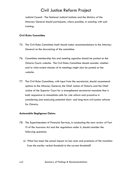Judicial Council. The National Judicial Institute and the Ministry of the Attorney General should participate, where possible, in assisting with such training.

#### **Civil Rules Committee**

- 75. The Civil Rules Committee itself should make recommendations to the Attorney General on the downsizing of the committee.
- 76. Committee membership lists and meeting agendas should be posted on the Ontario Courts website. The Civil Rules Committee should consider whether and to what extent minutes of its meetings might also be posted on the website.
- 77. The Civil Rules Committee, with input from the secretariat, should recommend options to the Attorney General, the Chief Justice of Ontario and the Chief Justice of the Superior Court for a strengthened secretariat mandate that is both responsive to immediate calls for rule reform and proactive in considering and analyzing potential short- and long-term civil justice reforms for Ontario.

#### **Automobile Negligence Claims**

- 78. The Superintendent of Financial Services, in conducting the next review of Part VI of the *Insurance Act* and the regulations under it, should consider the following questions:
	- a) What has been the actual impact on loss costs and premiums of the transition from the earlier verbal threshold to the current threshold?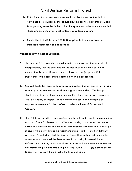- b) If it is found that some claims were excluded by the verbal threshold that would not be excluded by the deductible, who are the claimants excluded from pursuing remedies in the civil justice system and what are their injuries? These are both important public interest considerations; and
- c) Should the deductible, now \$30,000, applicable to some actions be increased, decreased or abandoned?

#### **Proportionality & Cost of Litigation**

- 79. The Rules of Civil Procedure should include, as an overarching principle of interpretation, that the court and the parties must deal with a case in a manner that is proportionate to what is involved, the jurisprudential importance of the case and the complexity of the proceeding.
- 80. Counsel should be required to prepare a litigation budget and review it with a client prior to commencing or defending any proceeding. This budget should be updated at least when examinations for discovery are completed. The Law Society of Upper Canada should also consider making this an express requirement for the profession under the Rules of Professional Conduct.
- 81. The Civil Rules Committee should consider whether rule 57.01 should be amended to add, as a factor for the court to consider when making a cost award, the relative success of a party on one or more issues in the litigation in relation to all matters put in issue by that party. I make this recommendation not in the context of distributive cost orders (a subject on which the Court of Appeal has spoken), but rather in the context of court time which has been wasted in advancing frivolous claims or defences. It is one thing to advance claims or defences that manifestly have no merit. It is another thing to waste time doing it. Perhaps rule 57.01 (1) (e) is broad enough to capture my concern. I leave that to the Rules Committee.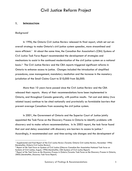#### **1. INTRODUCTION**

#### *Background*

In 1996, the Ontario Civil Justice Review released its final report, which set out an overall strategy to make Ontario's civil justice system speedier, more streamlined and more efficient.[1](#page-28-0) At about the same time, the Canadian Bar Association's (CBA) *Systems of Civil Justice Task Force Report* recommended the development of strategies and mechanisms to assist in the continued modernization of the civil justice system on a national basis.[2](#page-28-1) The Civil Justice Review and the CBA reports triggered significant reforms in Ontario to enhance access to justice. Changes included the introduction of simplified procedures, case management, mandatory mediation and the increase in the monetary jurisdiction of the Small Claims Court to \$10,000 from \$6,000.

More than 10 years have passed since the Civil Justice Review and the CBA released their reports. Many of their recommendations have been implemented in Ontario, and throughout Canada generally, with positive results. Yet cost and delay (two related issues) continue to be cited nationally and provincially as formidable barriers that prevent average Canadians from accessing the civil justice system.

In 2001, the Government of Ontario and the Superior Court of Justice jointly appointed the Task Force on the Discovery Process in Ontario to identify problems with discovery and to make reform recommendations. In its 2003 report, the task force found that cost and delay associated with discovery are barriers to access to justice.<sup>[3](#page-28-2)</sup> Accordingly, it recommended cost- and time-saving rule changes and the development of

<span id="page-28-0"></span><sup>1</sup> *Supplemental and Final Report of the Civil Justice Review* (Toronto: Ontario Civil Justice Review, November 1996) [hereinafter, *Ontario Civil Justice Review*]. 2 *Report of the Task Force on Systems of Civil Justice* (Ottawa: Canadian Bar Association National Task force on

<span id="page-28-1"></span>Systems of Civil Justice, August, 1996) [hereinafter, CBA Systems of Civil Justice Report].<br><sup>3</sup> Report of the Task Force on the Discovery Process in Ontario (Toronto: Task Force on the Discovery Process in Ontario,

<span id="page-28-2"></span><sup>2003) [</sup>hereinafter, *Discovery Task Force Report*].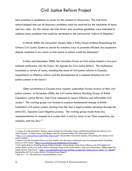best practices or guidelines as norms for the conduct of discoveries. The task force acknowledged that not all discovery problems could be resolved by the imposition of more and new rules. For this reason, the task force's best practices guidelines were intended to address many problems that could be attributed to the adversarial "culture of litigation."

In March 2006, the Advocates' Society held a Policy Forum entitled *Streamlining the Ontario Civil Justice System* to search for creative ways to promote efficient, less expensive dispute resolution in our courts so that access to justice would be enhanced.[4](#page-29-0)

In May and December 2006, the Canadian Forum on Civil Justice hosted a two-part national conference, *Into the Future: the Agenda for Civil Justice Reform*. The conference examined a variety of issues, including the status of civil justice reforms in Canada, impediments to effective reform and the development of a national direction for civil justice systems in the future.<sup>[5](#page-29-1)</sup>

Other jurisdictions in Canada have recently undertaken formal reviews of their civil justice systems. In November 2006, the Civil Justice Reform Working Group of British Columbia's Justice Review Task Force released its report, *Effective and Affordable Civil Justice*.[6](#page-29-2) The working group was formed to explore fundamental change to British Columbia's civil justice system, starting from the time a legal problem develops through the entire B.C. Supreme Court litigation process. The working group made three key recommendations to respond to a system that is said by many to be "[t]oo expensive, too complex, and too slow."[7](#page-29-3)

<span id="page-29-0"></span><sup>4</sup> A copy of a the Advocates' Society report arising from this policy forum, entitled *Streamlining the Ontario Civil Justice System: A Policy Forum, Final Report*, may be accessed online: The Advocates' Society <[http://www.advocates.ca/pdf/Final\\_Report.pdf>](http://www.advocates.ca/pdf/Final_Report.pdf) [hereinafter Advocates' Society, *Streamlining the Ontario Civil* 

<span id="page-29-1"></span>*Justice System*].<br><sup>5</sup> Papers from the Canadian Forum on Civil Justice's *Into the Future Conference may be accessed online: Canadian* Forum on Civil Justice [<http://www.cfcj-fcjc.org/publications/itf-en.php/>](http://www.cfcj-fcjc.org/IntoTheFuture-VersLeFutur/).

<span id="page-29-2"></span><sup>6</sup> Civil Justice Reform Working Group, British Columbia Justice Review Task Force, *Effective and Affordable Civil Justice: Report of the Civil Justice Reform Working Group to the Justice Review Task Force* (November, 2006) online: BC Justice Review Task Force < [http://www.bcjusticereview.org/working\\_groups/civil\\_justice/cjrwg\\_report\\_11\\_06.pdf](http://www.bcjusticereview.org/working_groups/civil_justice/cjrwg_report_11_06.pdf)> [hereinafter, *BC Civil Justice Reform Working Group Report*]. 7 *Ibid.* at v - vii. The three key recommendations were:

<span id="page-29-3"></span>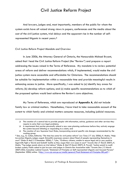And lawyers, judges and, most importantly, members of the public for whom the system exists have all voiced strong views in papers, conferences and the media about the cost of the civil justice system, trial delays and the apparent rise in the number of selfrepresented litigants in recent years.[8](#page-30-0)

#### *Civil Justice Reform Project Mandate and Overview*

In June 2006, the Attorney General of Ontario, the Honourable Michael Bryant, asked that I lead the Civil Justice Reform Project (the "Review") and prepare a report addressing the issues raised in the Terms of Reference. My mandate is to review potential areas of reform and deliver recommendations which, if implemented, would make the civil justice system more accessible and affordable for Ontarians. The recommendations should be suitable for implementation within a reasonable time and provide meaningful results in enhancing access to justice. More specifically, I was asked to (a) identify key areas for reform; (b) develop reform options; and (c) make specific recommendations as to which of the proposed options would best achieve the Review's core objectives.

My Terms of Reference, which are reproduced at **Appendix A**, did not include family law or criminal matters. Nonetheless, I have tried to take reasonable account of the extent to which family and criminal matters consume resources, including judicial resources.

The creation of a central hub to provide people with information, advice, guidance and other services they require to solve their own legal problems;

A requirement that parties personally attend a new case planning conference before they actively engage the system beyond initiating or responding to a claim; and

The creation of new Supreme Court Rules, incorporating several specific rule changes recommended by the working group. 8 See, e.g., G. Cohen, Editorial, "The time has come for civil justice reform" *Law Times* (17 July 2006); K. Makin, "Help

<span id="page-30-0"></span>lawyerless litigants, judges urged: McLachlin expresses concern about flood of people representing themselves in court" *Globe & Mail* (13 December 2006); T. Tyler, "Ordinary citizens, unable to secure legal aid or pay punitive legal bills fight a 'David and Goliath' battle as they argue their own cases in court" *Toronto Star* (7 March 2007); K. Makin, "Top judge sounds alarm on trial delays" *Globe & Mail* (9 March 2007); B. Powell, "Justice summit to audit broken system; Public asked to join lawyers and judges in Ontario Bar Association talks" Toronto Star (13 March 2007) D02; Canadian Judicial Council, "Statement of Principles on Self-represented Litigants and Accused Persons" (September 2006) online: [<http://www.cjc-ccm.gc.ca/cmslib/general/Final-Statement-of-Principles-SRL.pdf.](http://www.cjc-ccm.gc.ca/cmslib/general/Final-Statement-of-Principles-SRL.pdf)>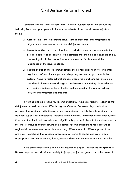Consistent with the Terms of Reference, I have throughout taken into account the following issues and principles, all of which are subsets of the broad access to justice theme:

- **Access:** This is the overarching issue. Both represented and unrepresented litigants must have real access to the civil justice system.
- **Proportionality**: The review that I have undertaken and my recommendations are designed to be responsive to the principle that the time and expense of any proceeding should be proportionate to the amount in dispute and the importance of the issues at stake.
- **Culture of litigation:** Recommendations should recognize that rule and other regulatory reform alone might not adequately respond to problems in the system. Ways to foster cultural change among the bench and bar should be considered. I view cultural change to involve more than civility. It includes the way business is done in the civil justice system, including the role of judges, lawyers and unrepresented litigants.

In framing and calibrating my recommendations, I have also tried to recognize that civil justice related problems differ throughout Ontario. For example, consultations revealed that problems with discovery and production are mainly Toronto problems. In addition, support for a substantial increase in the monetary jurisdiction of the Small Claims Court and the simplified procedure was significantly greater in Toronto than elsewhere. In the end, I concluded that modifying some central recommendations to take account of regional differences was preferable to having different rules in different parts of the province. I concluded that regional procedural refinements can be achieved through appropriate practice directions, that is, practice directions not inconsistent with the rules.

In the early stages of this Review, a consultation paper (reproduced at **Appendix B)** was prepared and distributed widely to judges, major bar groups and other users of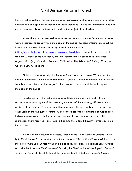the civil justice system. The consultation paper canvassed preliminary areas where reform was needed and options for change had been identified. It was not intended to, and did not, exhaustively list all matters that could be the subject of this Review.

A website was also created to increase awareness about the Review and to seek written submissions broadly from members of the public. General information about the Review and the consultation paper appeared on the website [\(http://www.civiljusticereform.jus.gov.on.ca/english/default.asp\)](http://www.civiljusticereform.jus.gov.on.ca/english/default.asp), which was accessible from the Ministry of the Attorney General's website and websites of various other organizations (e.g., Canadian Forum on Civil Justice, The Advocates' Society, County of Carleton Law Association).

Notices also appeared in the *Ontario Reports* and *The Lawyers Weekly*, inviting written submissions from the legal community. Over 60 written submissions were received from bar associations or other organizations, lawyers, members of the judiciary and members of the public.

In addition to written submissions, consultation meetings were held with bar associations in each region of the province, members of the judiciary, officials at the Ministry of the Attorney General, key litigant organizations, a number of law firms and other users of the civil justice system. A list of those consulted is attached at **Appendix C**. Relevant issues were not limited to those contained in the consultation paper. All submissions that I received were reviewed and, to the extent I thought warranted, taken into account.

As part of the consultation process, I met with the Chief Justice of Ontario – with both Chief Justice Roy McMurtry, as he then was, and Chief Justice Warren Winkler. I also met earlier with Chief Justice Winkler in his capacity as Toronto's Regional Senior Judge and with the Associate Chief Justice of Ontario, the Chief Justice of the Superior Court of Justice, the Associate Chief Justice of the Superior Court of Justice, Ontario's Regional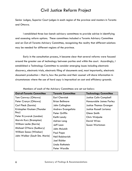Senior Judges, Superior Court judges in each region of the province and masters in Toronto and Ottawa.

I established three bar-bench advisory committees to provide advice in identifying and assessing reform options. These committees included a Toronto Advisory Committee and an Out-of-Toronto Advisory Committee, recognizing the reality that different solutions may be needed for different regions of the province.

Early in the consultation process, it became clear that several reforms were focused around the greater use of technology between parties and within the court. Accordingly, I established a Technology Committee to consider emerging issues including electronic discovery, electronic trials, electronic filing of documents and, most importantly, electronic document production – that is, how the parties and their counsel will share information in circumstances where the use of hard copy is impractical on cost and efficiency grounds.

| <b>Out-of-Toronto Committee</b> | <b>Toronto Committee</b> | <b>Technology Committee</b>     |
|---------------------------------|--------------------------|---------------------------------|
| Tom Conway (Ottawa)             | <b>Earl Cherniak</b>     | <b>Justice Colin Campbell</b>   |
| Peter Cronyn (Ottawa)           | <b>Brian Bellmore</b>    | Honourable James Farley         |
| Carl Fleck (Sarnia)             | John Callaghan           | <b>Justice Thomas Granger</b>   |
| Kristopher Knutsen (Thunder     | Andrew Evangelista       | <b>Justice Russell Juriansz</b> |
| Bay)                            | Peter Griffin            | Glenn Smith                     |
| Peter Kryworuk (London)         | Keith Landy              | Chris Walpole                   |
| Marvin Kurz (Brampton)          | Adrian Lang              | <b>David Wires</b>              |
| William Leslie (Barrie)         | Jeff Leon                | Susan Wortzman                  |
| Michael O'Hara (Sudbury)        | John McLeish             |                                 |
| <b>William Sasso (Windsor)</b>  | <b>Paul Pape</b>         |                                 |
| John Walker (Sault Ste. Marie)  | Neil Rabinovich          |                                 |
|                                 | Joel Richler             |                                 |
|                                 | Linda Rothstein          |                                 |
|                                 | Peter Wardle             |                                 |

Members of each of the Advisory Committees are set out below: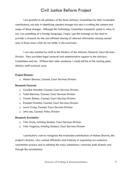I am grateful to all members of the three Advisory Committees for their invaluable contributions, not only in identifying needed changes but also in crafting the content and scope of those changes. Although the Technology Committee frequently spoke in what, to me, was something of a foreign language, I hope I got the message on the need to provide a structure for the cost-efficient sharing of relevant information among counsel and, in those cases which do not settle, in the courtroom.

I was also assisted by staff at the Ministry of the Attorney General, Court Services Division. They provided legal research and administrative support to the Advisory Committees and me. Without their able assistance I would still be at the starting gate. Ministry staff involved were:

#### **Project Director:**

Mohan Sharma, Counsel, Court Services Division

#### **Research Counsel:**

- Caroline Mandell, Counsel, Court Services Division
- Todd Sherman, Counsel, Court Services Division
- Yasmin Shaker, Counsel, Court Services Division
- Brandon Parlette, Counsel, Court Services Division
- Laura Craig, Counsel, Court Services Division
- John Lee, Counsel, Policy Division

#### **Research Assistants**:

- Trish Coyle, Articling Student, Court Services Division
- Vaia Vagenas, Articling Student, Court Services Division

I particularly want to recognize the invaluable contributions of Mohan Sharma, the project's director, who worked efficiently and tirelessly in organizing our extensive consultation process and in collating the many submissions I received, both directly and through the consultations.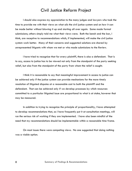I should also express my appreciation to the many judges and lawyers who took the time to provide me with their views on what ails the civil justice system and on how it can be made better without blowing it up and starting all over again. Some made formal submissions; others simply told me what their views were. Both the bench and the bar, I think, are receptive to recommendations which, if implemented, will make the civil justice system work better. Many of their concerns and suggested solutions are shared by unrepresented litigants with whom we met or who made submissions to the Review.

I have tried to recognize that for every plaintiff, there is also a defendant. That is to say, access to justice has to be viewed not only from the standpoint of the party seeking relief, but also from the standpoint of the party from whom the relief is sought.

I think it is reasonable to say that meaningful improvement in access to justice can be achieved only if the justice system can provide mechanisms for the more timely resolution of litigated disputes at a reasonable cost to both the plaintiff and the defendant. That can be achieved only if we develop processes by which resources committed to a particular litigated issue are proportional to what is at stake, however that may be measured.

In addition to trying to recognize the principle of proportionality, I have attempted to develop recommendations that, as I have frequently put it at consultation meetings, will run the serious risk of working if they are implemented. I have also been mindful of the need that my recommendations should be implementable within a reasonable time frame.

On most issues there were competing views. No one suggested that doing nothing was a viable option.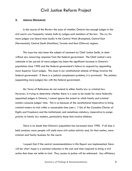#### **2. JUDICIAL RESOURCES**

In the course of this Review the issue of whether Ontario has enough judges in the civil courts was frequently raised, both by judges and members of the bar. The cry for more judges was heard most loudly in the Central West (Brampton), Central East (Newmarket), Central South (Hamilton), Toronto and East (Ottawa) regions.

This issue has also been the subject of comment by Chief Justice Smith, to date without any concurring response from the federal government. The Chief Justice's core rationale in her pursuit of more judges has been the significant increase in Ontario's population since 1990 and the federal government's failure to respond by appointing more Superior Court judges. This issue in our constitutional scheme of things involves the federal government. If there is a judicial complement problem, it is provincial. The solution (appointing more judges) lies with the federal government.

My Terms of Reference do not extend to either family law or criminal law. However, in trying to determine whether there is a case to be made for more federally appointed judges in Ontario, I cannot ignore the extent to which family and criminal matters consume judges' time. This is so because of the constitutional imperative to bring criminal maters to trial within a reasonable time (see s. 11(b) of the *Canadian Charter of Rights and Freedoms*) and the institutional, and sometimes statutory, imperative to assign priority to family law matters, particularly those that involve children.

There is no doubt that Ontario's population has increased since 1990. If all else is held constant, more people will yield more civil action activity and, for that matter, more criminal and family business for the courts.

I expect that if the central recommendations in this Report are implemented, there will be what I hope is a marked reduction in the cost and time required to bring a civil action that does not settle to trial. Thus, access to justice will be enhanced. Any efficiency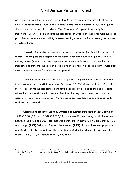gains derived from the implementation of this Review's recommendations will, of course, have to be taken into account in determining whether the complement of Ontario's judges should be increased and if so, where. The "if so, where" aspect of the analysis is important. As I will explain, in some judicial centres in Ontario the need for more judges is palpable to the extent that, I think, an overwhelming case exists for increasing the number of judges there.

Deploying judges by moving them between or within regions is not the answer. No region, with the possible exception of the North West, has a surplus of judges. At best, moving judges (which occurs now) represents a short-term demand-based solution. It is impractical to think that judges can be asked to sit in a region geographically remote from their offices and homes for any extended period.

Since merger of the courts in 1990, the judicial complement of Ontario's Superior Court has increased by 40, to a total of 223 judges<sup>[9](#page-37-0)</sup> (a 22% increase since 1990). All of the increases in the judicial complement have been directly related to the need to bring criminal matters to trial within a reasonable time (the response to *Askov*) and to take account of Family Court expansion. No new resources have been added to specifically address civil caseloads.

According to Statistics Canada, Ontario's population increased by 26% between 1991 (10,084,885) and 2007 (12,726,336). In some discrete areas, population growth between the 1996 and 2001 censuses was significant: in Barrie (31%), Brampton (21%), Mississauga (13%), Whitby (18%) and Newmarket (15%). In other locations, population remained relatively constant over the same time period, either decreasing or increasing slightly – e.g.,  $-7\%$  in Sudbury to  $+7\%$  in Ottawa.

<span id="page-37-0"></span><sup>9</sup> Includes current vacancies, and does not include the executive of the court: the Chief Justice, the Associate Chief Justice, the Senior Family Judges and the Regional Senior Judges (11 judges in total). Based on data available as of June 2007.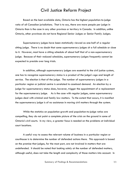Based on the best available data, Ontario has the highest population-to-judge ratio of all Canadian jurisdictions. That is to say, there are more people per judge in Ontario than is the case in any other province or territory in Canada. In addition, unlike Ontario, other provinces do not have Regional Senior Judges or Senior Family Judges.

Supernumerary judges have been statistically viewed as one-half of a regular sitting judge. There is no doubt that some supernumerary judges sit a full schedule or close to it. However, most have a sitting schedule of about half that of a non-supernumerary judge. Because of their reduced schedules, supernumerary judges frequently cannot be expected to preside over long trials.

In addition, although supernumerary judges are essential to the civil justice system, one has to recognize supernumerary status is a product of the judge's age and length of service. The election is that of the judge. The number of supernumerary judges in a particular region or judicial centre is unrelated to caseload demand. An election by a judge for supernumerary status does, however, trigger the appointment of a replacement for the supernumerary judge. As is the case with regular judges, some supernumerary judges deal with criminal and family law matters. To the extent that occurs, it is manifest the supernumerary judge is of no assistance in moving civil matters through the system.

While the statistics on population growth and population-to-judge ratios are compelling, they do not paint a complete picture of the crisis on the ground in some of Ontario's civil courts. In my view, a greater focus is needed on the problems at individual court locations.

A useful way to assess the relevant volume of business in a particular region or courthouse is to determine the number of defended actions there. This approach is based on the premise that judges, for the most part, are not involved in matters that are undefended. It should be noted that looking solely at the number of defended matters, although useful, does not take the length and complexity of those matters into account. In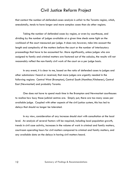that context the number-of-defended-cases analysis is unfair to the Toronto region, which, anecdotally, tends to have longer and more complex cases than do other regions.

Taking the number of defended cases by region, or even by courthouse, and dividing by the number of judges available at a given time sheds some light on the workload of the court measured per judge. It does not, however, take into account the length and complexity of the matters before the court or the number of interlocutory proceedings that have to be accounted for. More significantly, unless judges who are assigned to family and criminal matters are factored out of the calculus, the results will not reasonably reflect the non-family civil work of the court on a per judge basis.

In any event, it is clear to me, based on the ratio of defended cases to judges and other submissions I heard or received, that more judges are urgently needed in the following regions: Central West (Brampton), Central South (Hamilton/Kitchener), Central East (Newmarket) and probably Toronto.

One does not have to spend much time in the Brampton and Newmarket courthouses to realize how busy those judicial centres are. Simply put, there are too many cases per available judge. Coupled with other aspects of the civil justice system, this has led to delays that should no longer be tolerated.

In my view, consideration of any increase should start with consultation at the local level. An analysis of several factors will be required, including local population growth, trends in civil case activity, increases in the volume of work in criminal and family matters, courtroom operating hours for civil matters compared to criminal and family matters, and any available data on the delays in having civil matters heard.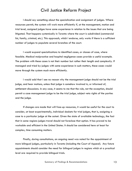I should say something about the specialization and assignment of judges. Where resources permit, the system will work more efficiently if, at the management, motion and trial level, assigned judges have some experience in relation to the issues that are being litigated. That happens systemically in Toronto where the court is subdivided (commercial list, family, criminal, etc.). This approach, which I endorse, only works if there is a sufficient number of judges to populate several branches of the court.

I would expand specializations to identified cases, or classes of case, where feasible. Medical malpractice and hospital negligence cases provide a useful example. The problem with these cases is not their number but rather their length and complexity. If managed and tried by judges with some experience in such matters, these cases would move through the system much more efficiently.

I would add that I see no reason why the management judge should not be the trial judge, and hear motions, unless that judge is somehow involved in, or informed of, settlement discussions. In any case, it seems to me that the rule, not the exception, should permit a case management judge to be the trial judge, subject veto rights of the parties and the judge.

If changes are made that will free-up resources, it would be useful for the court to consider, at least experimentally, individual dockets for trial judges, that is, assigning a case to a particular judge at the outset. Given the state of available technology, the fact that in some regions judges travel should not foreclose that option. It has proved to be workable and efficient in the United States. It should be considered here at least for complex, time consuming matters.

Finally, during consultations, an ongoing need was noted for the appointment of more bilingual judges, particularly in Toronto (including the Court of Appeal). Any future appointments should consider the need for bilingual judges in regions which at a practical level are required to provide bilingual trials.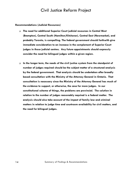#### **Recommendations (Judicial Resources)**

- **The need for additional Superior Court judicial resources in Central West (Brampton), Central South (Hamilton/Kitchener), Central East (Newmarket), and probably Toronto, is compelling. The federal government should forthwith give immediate consideration to an increase in the complement of Superior Court judges in those judicial centres. Any future appointments should expressly consider the need for bilingual judges within a given region.**
- **In the longer term, the needs of the civil justice system from the standpoint of number of judges required should be the subject matter of a structured analysis by the federal government. That analysis should be undertaken after broadly based consultation with the Ministry of the Attorney General in Ontario. That consultation is necessary since the Ministry of the Attorney General has much of the evidence to support, or otherwise, the case for more judges. In our constitutional scheme of things, the problems are provincial. The solution in relation to the number of judges reasonably required is a federal matter. The analysis should also take account of the impact of family law and criminal matters in relation to judge time and courtroom availability for civil matters, and the need for bilingual judges.**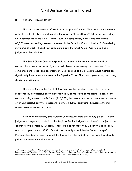#### **3. THE SMALL CLAIMS COURT**

This court is frequently referred to as the people's court. Measured by unit volume of business, it is the busiest civil court in Ontario. In 2005-2006, 75,041 new proceedings were commenced in the Small Claims Court. By comparison, in the same time frame 63,251 new proceedings were commenced in the Superior Court of Justice[.10](#page-42-0) Considering its volume of work, I heard few complaints about the Small Claims Court, including its judges and their decisions.

The Small Claims Court is hospitable to litigants who are not represented by counsel. Its procedures are straightforward. Twenty-one rules govern an action from commencement to trial and enforcement. Costs related to Small Claims Court matters are significantly lower than is the case in the Superior Court. The court is geared to, and does, dispense justice quickly.

There are limits in the Small Claims Court on the quantum of costs that may be recovered by a successful party, generally 15% of the value of the claim. In light of the court's existing monetary jurisdiction (\$10,000), this means that the maximum cost exposure of an unsuccessful party to a successful party is \$1,500, excluding disbursements and absent exceptional circumstances.

With four exceptions, Small Claims Court adjudicators are deputy judges. Deputy judges are lawyers appointed by the Regional Senior Judges in each region, subject to the approval of the Attorney General. There are approximately 400 deputy judges. They are paid a per diem of \$232. Ontario has recently established a Deputy Judges' Remuneration Commission. I expect it will report by the end of this year and that deputy judges' remuneration will increase.

<span id="page-42-0"></span><sup>10</sup> Ministry of the Attorney General, Court Services Division, *Civil and Small Claims Court Statistics 2005-06* [unpublished] at 7 and 50, citing FRANK data. Data from the Superior Court of Justice does not include bankruptcy or uncontested estate matters [hereinafter *Civil & Small Claims Court Statistics 2005-06*].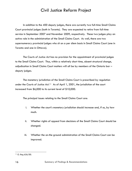In addition to the 400 deputy judges, there are currently two full-time Small Claims Court provincial judges (both in Toronto). They are expected to retire from full-time service in September 2007 and November 2009, respectively. These two judges play an active role in the administration of the Small Claims Court. As well, there are two supernumerary provincial judges who sit on a per diem basis in Small Claims Court (one in Toronto and one in Ottawa).

The *Courts of Justice Act* has no provision for the appointment of provincial judges to the Small Claims Court. Thus, within a relatively short time, absent structural change, adjudication in Small Claims Court matters will all be by members of the Ontario bar – deputy judges.

The monetary jurisdiction of the Small Claims Court is prescribed by regulation under the *Courts of Justice Act*.[11](#page-43-0) As of April 1, 2001, the jurisdiction of the court increased from \$6,000 to its current level of \$10,000.

The principal issues relating to the Small Claims Court are:

- i. Whether the court's monetary jurisdiction should increase and, if so, by how much.
- ii. Whether rights of appeal from decisions of the Small Claims Court should be changed.
- iii. Whether the on-the ground administration of the Small Claims Court can be improved.

<span id="page-43-0"></span><sup>&</sup>lt;sup>11</sup> O. Reg 626/00.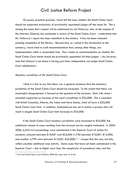On purely practical grounds, I have left the issue whether the Small Claims Court should be comprised exclusively of provincially appointed judges off the issues list. This is among the issues that I expect will be addressed by Ian Holloway who, at the request of the Attorney General, has conducted a review of the Small Claims Court. I understand that Mr. Holloway's report has been submitted to the ministry. It has not been released pending completion of this Review. Beyond that, as I noted in the introduction to this summary, I have tried to craft recommendations that, among other things, are implementable within a reasonable time. Thus I make no recommendation on whether the Small Claims Court bench should be provincially appointed full-time judges. I do, however, note that Ontario is not alone in having part-time, independent, non-judge Small Claims Court adjudicators.

#### *Monetary Jurisdiction of the Small Claims Court*

I think it is fair to say that there was a general consensus that the monetary jurisdiction of the Small Claims Court should be increased. To the extent that there was meaningful disagreement, it focused on the quantum of the increase. Most with whom I consulted supported an increase of the court's jurisdiction to \$25,000. This is consistent with British Columbia, Alberta, the Yukon and Nova Scotia, which all have a \$25,000 Small Claims Court limit. In addition, Saskatchewan has set in motion a process that will result in staged Small Claims Court limit increases to \$25,000.

If the Small Claims Court monetary jurisdiction were increased to \$25,000, the additional volume of cases resulting from the increase can be roughly estimated. In 2005- 2006, 6,555 civil proceedings were commenced in the Superior Court of Justice for monetary amounts between \$10,001 and \$25,000 (1,756 between \$10,001-\$15,000, and another 4,799 were between  $$15,001-\$25,000$ .<sup>[12](#page-44-0)</sup> I accept that this may not fully reflect possible additional case activity. Some cases that have not been commenced in the Superior Court – due to higher court fees, the complexity of procedural rules, and the

<span id="page-44-0"></span><sup>12</sup> *Civil and Small Claims Court Statistics 2005-06*, *supra* note 10 at 56.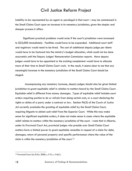inability to be represented by an agent or paralegal in that court – may be commenced in the Small Claims Court upon an increase in its monetary jurisdiction, given the simpler and cheaper process it offers.

Significant practical problems would arise if the court's jurisdiction were increased to \$25,000 immediately. Facilities would have to be expanded. Additional court staff and registrars would need to be hired. The cost of additional deputy judge per diems would have to be factored into the ministry's budget allocation, which could not be done accurately until the Deputy Judges' Remuneration Commission reports. More deputy judges would have to be appointed or the existing complement would have to allocate more of their time to Small Claims Court work. In the result, it seems clear to me that any meaningful increase in the monetary jurisdiction of the Small Claims Court should be staged.

 Accompanying any monetary increase, deputy judges should also be given limited jurisdiction to grant equitable relief in relation to matters heard by the Small Claims Court. Equitable relief is different from money damages. Types of equitable relief includes court orders requiring parties to do or refrain from doing certain acts, or a court declaring the rights or duties of a party under a contract or law. Section 96(3) of the *Courts of Justice Act* currently precludes the granting of equitable relief by the Small Claims Court, requiring litigants to obtain such relief from the Superior Court. While this may make sense for significant equitable orders, it does not make sense in cases where the equitable relief relates to matters within the monetary jurisdiction of the court. I note that in Alberta, under its *Provincial Court Act*, provincial judges who preside over Small Claims Court matters have a limited power to grant equitable remedies in respect of a claim for debt, damages, return of personal property and specific performance where the value of the claim is within the monetary jurisdiction of the court.<sup>[13](#page-45-0)</sup>

<span id="page-45-0"></span><sup>13</sup> *Provincial Court Act*, R.S.A. 2000, c. P-31, s. 9.6(1).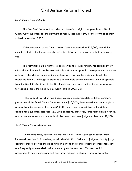*Small Claims Appeal Rights* 

The *Courts of Justice* Act provides that there is no right of appeal from a Small Claims Court judgment for the payment of money less than \$500 or the return of an item valued at less than \$500.

If the jurisdiction of the Small Claims Court is increased to \$25,000, should the monetary limit restricting appeals be raised? I think that the answer to that question is, yes.

The restriction on the right to appeal serves to provide finality for comparatively minor claims that would not be economically efficient to appeal. It also prevents an excess of lower value claims from creating caseload pressures on the Divisional Court (the appellate forum). Although no statistics are available on the monetary value of appeals from the Small Claims Court to the Divisional Court, we do know that there are relatively few appeals from the Small Claims Court (186 in 2005-06).

If the appeal restriction had been increased proportionately with the monetary jurisdiction of the Small Claims Court (currently \$10,000), there would now be no right of appeal from judgments of less than \$5,000. In my view, a restriction on the right of appeal from judgment less than \$5,000 is excessive. However, some restriction is justified. My recommendation is that there should be no appeal from judgments less than \$1,500.

#### *Small Claims Court Administration*

On the third issue, several said that the Small Claims Court could benefit from improved oversight in its on-the-ground administration. Without a judge or deputy judge administrator to oversee the scheduling of motions, trials and settlement conferences, lists are frequently open-ended and matters may not be reached. This can result in adjournments and unnecessary cost and inconvenience to litigants, those representing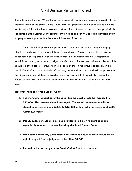litigants and witnesses. When the current provincially appointed judges who assist with the administration of the Small Claims Court retire, this problem can be expected to be more acute, especially in the higher volume court locations. It seems to me that new provincially appointed Small Claims Court administrative judges or deputy judge administrators ought to play a role in greater hands-on administration of the court.

Some identified person (my preference is that that person be a deputy judge) should be in charge from an administrative standpoint. Regional Senior Judges cannot reasonably be expected to be involved in that level of administration. If appointing administrative judges or deputy judge administrators is impractical, administrative officials should be put in place to ensure that all aspects of the on-the-ground operation of the Small Claims Court run efficiently. Over time, this would result in standardized procedures for filing claims and defences, avoiding delay at that point. It would also control the length of court lists and perhaps lead to morning and afternoon lists at least for short cases.

#### **Recommendations (Small Claims Court)**

- **The monetary jurisdiction of the Small Claims Court should be increased to \$25,000. The increase should be staged. The court's monetary jurisdiction should be increased immediately to \$15,000 with a further increase to \$25,000 within two years.**
- **Deputy judges should also be given limited jurisdiction to grant equitable remedies in relation to matters heard by the Small Claims Court.**
- **If the court's monetary jurisdiction is increased to \$25,000, there should be no right to appeal from a judgment of less than \$1,500.**
- **I would make no change in the Small Claims Court costs model.**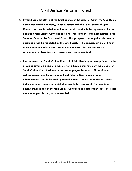- **I would urge the Office of the Chief Justice of the Superior Court, the Civil Rules Committee and the ministry, in consultation with the Law Society of Upper Canada, to consider whether a litigant should be able to be represented by an agent in Small Claims Court appeals and enforcement (contempt) matters in the Superior Court or the Divisional Court. This prospect is more palatable now that paralegals will be regulated by the Law Society. This requires an amendment to the** *Courts of Justice Act* **(s. 26), which references the** *Law Society Act***. Amendment of Law Society by-laws may also be required.**
- **I recommend that Small Claims Court administrative judges be appointed by the province either on a regional basis or on a basis determined by the volume of Small Claims Court business in particular geographic areas. Short of new judicial appointments, designated Small Claims Court deputy judge administrators should be made part of the Small Claims Court picture. These judges or deputy judge administrators would be responsible for ensuring, among other things, that Small Claims Court trial and settlement conference lists were manageable, i.e., not open-ended.**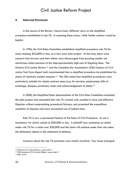#### **4. SIMPLIFIED PROCEDURE**

In the course of this Review I heard many different views on the simplified procedure established in rule 76. In assessing these issues, I think further context would be helpful.

In 1996, the Civil Rules Committee established simplified procedure rule 76 for cases claiming \$25,000 or less, as a four-year pilot project. At the time, there were concerns that lawyers and their clients were discouraged from pursuing smaller yet meritorious claims because of the disproportionately high cost of litigating them. The Ontario Civil Justice Review[14](#page-49-0) and the Canadian Bar Association's (CBA) *Systems of Civil Justice Task Force Report* both recommended that a simplified procedure be established for claims of relatively modest amounts.[15](#page-49-1) The CBA noted that simplified procedures were particularly suitable for simple contract cases (e.g. for services, employment, bills of exchange, cheques, promissory notes and acknowledgement of debt).<sup>[16](#page-49-2)</sup>

In 2000, the Simplified Rules Subcommittee of the Civil Rules Committee evaluated the pilot project and concluded that rule 76 worked well, resulted in more cost-effective litigation without compromising procedural fairness, and promoted the expeditious resolution of disputes and more economical use of judicial time.

Rule 76 is now a permanent feature of the Rules of Civil Procedure. Its use is mandatory for claims valued at \$50,000 or less. A plaintiff may commence an action under rule 76 for a claim over \$50,000 and the claim will continue under that rule unless the defendant objects in the statement of defence.

Concerns about the rule 76 processes were mainly practical. Four issues emerged:

<span id="page-49-1"></span><span id="page-49-0"></span>

<sup>14</sup> *Ontario Civil Justice Review, supra* note 1. 15 *CBA Systems of Civil Justice Report, supra* note 2 16 *Ibid*. at 41.

<span id="page-49-2"></span>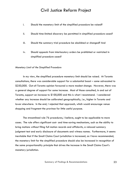- i. Should the monetary limit of the simplified procedure be raised?
- ii. Should time-limited discovery be permitted in simplified procedure cases?
- iii. Should the summary trial procedure be abolished or changed? And
- iv. Should appeals from interlocutory orders be prohibited or restricted in simplified procedure cases?

#### *Monetary Limit of the Simplified Procedure*

In my view, the simplified procedure monetary limit should be raised. At Toronto consultations, there was considerable support for a substantial boost – some advocated to \$250,000. Out-of-Toronto opinion favoured a more modest change. However, there was a general degree of support for some increase. Most of those consulted, in and out of Toronto, support an increase to \$100,000 and this is what I recommend. I considered whether any increase should be calibrated geographically, i.e., higher in Toronto and lower elsewhere. In the end, I rejected that approach, which would encourage venue shopping and fragment the province for little useful purpose.

The streamlined rule 76 procedures, I believe, ought to be applicable to more cases. The rule offers significant cost- and time-saving mechanisms, such as the ability to bring motions without filing full motion records and affidavits, a relaxed summary judgment test and early disclosure of documents and witness names. Furthermore, it seems inevitable that if the Small Claims Court jurisdiction is increased, as I have recommended, the monetary limit for the simplified procedure should also be increased in recognition of the same proportionality principle that drives the increase in the Small Claims Court's monetary jurisdiction.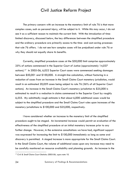The primary concern with an increase to the monetary limit of rule 76 is that more complex cases, such as personal injury, will be subject to it. While this may occur, I do not see it as a sufficient reason to maintain the current limit. With the introduction of timelimited discovery, discussed below, the key differences between the simplified procedure and the ordinary procedure are primarily access to the time- and cost-saving processes that rule 76 offers. I do not see how complex cases will be prejudiced under rule 76 or why they should not equally share its benefits.

 Currently, simplified procedure cases at the \$50,000 limit comprise approximately 25% of actions commenced in the Superior Court of Justice (approximately 14,037 actions).[17](#page-51-0) In 2005-06, 6,022 Superior Court cases were commenced seeking damages between \$50,001 and \$100,000. A straight-line calculation, without factoring in a reduction of cases from an increase in the Small Claims Court monetary jurisdiction, would result in an estimated 20,059 cases being subject to rule 76 (36% of all Superior Court actions). An increase in the Small Claims Court's monetary jurisdiction to \$25,000 is estimated to result in a reduction in claims commenced in the Superior Court by roughly 6,555. My admittedly rough estimate is that about 6,000 additional cases would be subject to the simplified procedure and the Small Claims Court rules upon increases of the monetary jurisdictions to \$100,000 and \$25,000, respectively.

I have considered whether an increase to the monetary limit of the simplified procedure ought to be staged. An incremental increase would permit an evaluation of the effectiveness of the simplified procedure at an initial monetary increase prior to any further change. However, in the extensive consultations we have had, significant support was expressed for increasing the limit to \$100,000 immediately so long as some oral discovery is permitted. A staged increase is more appropriate for the Small Claims Court. In the Small Claims Court, the volume of additional cases upon any increase may need to be carefully monitored on resource availability and planning grounds. An increase in the

<span id="page-51-0"></span><sup>17</sup> *Civil & Small Claims Court Statistics 2005-06, supra* note 10.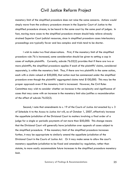monetary limit of the simplified procedure does not raise the same concerns. Actions would simply move from the ordinary procedure stream in the Superior Court of Justice to the simplified procedure stream, to be heard in the same court by the same pool of judges. In fact, moving more cases to the simplified procedure stream should help relieve already strained Superior Court judicial resources, since in simplified procedure cases interlocutory proceedings are typically fewer and less complex and trials tend to be shorter.

I wish to make two final observations. First, if the monetary limit of the simplified procedure rule 76 is increased, some consideration should be given to setting a cap in cases of multiple plaintiffs. Currently, subrule 76.02(2) provides that if there are two or more plaintiffs, the simplified procedure applies if each of the plaintiffs' claims, considered separately, is within the monetary limit. Thus, if there are two plaintiffs in the same action, each with a claim valued at \$50,000, that action must be commenced under the simplified procedure even though the plaintiffs' aggregated claims total \$100,000. This may be the proper approach even if the monetary limit is increased. However, the Civil Rules Committee may wish to consider whether an increase in the complexity and significance of cases that may come with an increase in the monetary limit also justifies a reconsideration of the effect of subrule 76.02(2).

Second, I note that amendments to s. 19 of the *Courts of Justice Act* enacted by s. 3 of Schedule A to the *Access to Justice Act* will, as of October 1, 2007, effectively increase the appellate jurisdiction of the Divisional Court to matters involving a final order of a judge for a single or periodic payments of not more than \$50,000. This change means that the Divisional Court will generally have jurisdiction over appeals of cases subject to the simplified procedure. If the monetary limit of the simplified procedure increases further, it may be appropriate to similarly amend the appellate jurisdiction of the Divisional Court in the *Courts of Justice Act*. Or it may make sense to allow the court's monetary appellate jurisdiction to be fixed and amended by regulation, rather than statute, to more easily accommodate future increases to the simplified procedure monetary limit.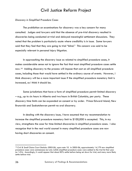#### *Discovery in Simplified Procedure Cases*

The prohibition on examinations for discovery was a key concern for many consulted. Judges and lawyers said that the absence of pre-trial discovery resulted in discoveries being conducted at trial and delayed meaningful settlement discussions. They noted that the problem is particularly acute where credibility is in issue. Some lawyers said that they feel that they are going to trial "blind." This concern was said to be especially relevant in personal injury litigation.

In approaching the discovery issue as related to simplified procedure cases, it makes considerable sense not to ignore the fact that most simplified procedure cases settle now.<sup>[18](#page-53-0)</sup> Adding discovery to the process will impose that cost on all simplified procedure cases, including those that would have settled in the ordinary course of events. However, I think discovery will be a more important issue if the simplified procedure monetary limit is increased, as I think it should be.

Some jurisdictions that have a form of simplified procedure permit limited discovery – e.g., up to six hours in Alberta and two hours in British Columbia, per party. These discovery time limits can be expanded on consent or by order. Prince Edward Island, New Brunswick and Saskatchewan permit no oral discovery.

In dealing with the discovery issue, I have assumed that my recommendation to increase the simplified procedure monetary limit to \$100,000 is accepted. This, in my view, strengthens the case for time-limited discoveries in simplified procedure cases. I also recognize that in the real world counsel in many simplified procedure cases are now having short discoveries on consent.

<span id="page-53-0"></span><sup>&</sup>lt;sup>18</sup> Civil & Small Claims Court Statistics 2005-06, supra note 10. In 2005-06, approximately 14,179 new simplified procedure cases were commenced, but only 2,026 simplified procedure cases were added to the trial list that year (or 14%). Accordingly, it would appear that about 85% settle before being set down for trial, and many more likely settle before trial.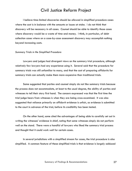I believe time-limited discoveries should be allowed in simplified procedure cases where the cost is in balance with the amounts or issues at stake. I do not think that discovery will be necessary in all cases. Counsel should be able to identify those cases where discovery would be a waste of time and money. I think, in particular, of debt collection cases where on a case-by-case assessment discovery may accomplish nothing beyond increasing costs.

#### *Summary Trials in the Simplified Procedure*

Lawyers and judges had divergent views on the summary trial procedure, although relatively few lawyers had any experience using it. Several said that the procedure for summary trials was still unfamiliar to many, and that the cost of preparing affidavits for summary trials can actually make them more expensive than traditional trials.

Some suggested that parties and counsel simply do not like summary trials because the process does not accommodate, at least to the usual degree, the ability of parties and witnesses to tell their story first hand. The concern expressed was that the first time the trial judge hears from witnesses is when they are being cross-examined. It was also suggested that reliance primarily on affidavit evidence is unfair, as evidence is submitted to the court in advance of the trial, before its credibility has been tested.

On the other hand, some cited the advantages of being able to carefully set out in writing the witnesses' evidence in chief, noting that some witnesses simply do not perform well on the stand. There were a handful of lawyers who liked the summary trial process and thought that it could work well for certain cases.

In several jurisdictions with a simplified stream for cases, the trial procedure is also simplified. A common feature of these simplified trials is that evidence is largely adduced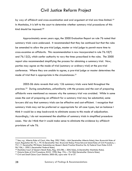by way of affidavit and cross-examination and oral argument at trial are time-limited.<sup>[19](#page-55-0)</sup> In Manitoba, it is left to the court to determine whether summary trial procedures of this kind should be imposed.[20](#page-55-1)

Approximately seven years ago, the 2000 Evaluation Report on rule 76 noted that summary trials were underused. It recommended that they be continued but that the rules be amended to allow the pre-trial judge, master or trial judge to permit more time to cross-examine on affidavits. This recommendation is now incorporated in rule 76.10(7) and 76.12(2), which confer authority to vary the times prescribed in the rules. The 2000 report also recommended simplifying the process for obtaining a summary trial. Now, parties may agree on the mode of trial (summary or ordinary trial) at the pre-trial conference. Where they are unable to agree, a pre-trial judge or master determines the mode of trial that is appropriate in the circumstances.<sup>[21](#page-55-2)</sup>

2005-06 data reveals that only 126 summary trials were held throughout the province.[22](#page-55-3) During consultations, unfamiliarity with the process and the cost of preparing affidavits were mentioned as reasons why the summary trial was avoided. While in some cases the cost of preparing an affidavit for a summary trial may be substantial, some lawyers did say that summary trials can be effective and cost-efficient. I recognize that summary trials may not be preferred or appropriate for all case types, but on balance I think it would be a step backwards to eliminate access to this mode of adjudication. Accordingly, I do not recommend the abolition of summary trials in simplified procedure cases. Nor do I think that it would make sense to eliminate the evidence by affidavit provisions of rule 76.

<span id="page-55-0"></span><sup>19</sup> See, *e.g.,* Alberta Rules of Court, Alta. Reg. 390/1968, r. 664 [hereinafter Alberta Rules]; New Brunswick Rules of Court, Regulation 82-73, r. 79.10 [hereinafter New Brunswick Rules]; Prince Edward Island Rules of Civil Procedure, r. 75.1.11 [hereinafter PEI Rules]; Saskatchewan Queen's Bench Practice Directive No. 8; Federal Court Rules S.O.R. 96/106, r. 299(1) [hereinafter Federal Rules].<br><sup>20</sup> Manitoba Court of Queen's Bench Rules, Reg. 553/88, r. 20A(16)(e), (i) [hereinafter Manitoba Rules].

<span id="page-55-1"></span>

<span id="page-55-2"></span><sup>&</sup>lt;sup>21</sup> Ontario Rules of Civil Procedure, R.R.O. 1990, Reg. 194, r. 76.10(6) [hereinafter Ontario Rules].<br><sup>22</sup> Civil and Small Claims Court Statistics 2005-06, supra note 10 at 37.

<span id="page-55-3"></span>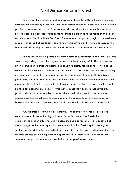In my view, the creation of multiple procedural tiers for different kinds of actions increases the complexity of the rules and often fosters confusion. I prefer to leave it to the parties to agree on the appropriate mode of trial, or where they are unable to agree, to have the presiding pre-trial judge or master make an order as to the mode of trial, as is currently prescribed in subrule 76.10(6). The summary trial process ought to be used more regularly in cases that are legally and factually straightforward. I would encourage the bench and bar at all pre-trials of simplified procedure cases to seriously consider its use.

The option of allowing some time-limited form of examination-in-chief may go some way to responding to the other key concerns about the summary trial. That is, allowing a brief examination-in-chief will permit a deponent to briefly tell his or her version of the events and become more comfortable in the witness box, and may assist counsel in setting up his or her case for the court. Moreover, where a deponent's credibility is in issue, judges may be better able to assess credibility where they have seen the deponent both examined in chief and cross-examined. I expect, however, that in many cases there will be no need for examinations-in-chief. Affidavit evidence may be more than sufficient, particularly in simpler or smaller cases, or where credibility is not in issue or where opposing parties do not need to cross-examine the deponent. All of these concerns become more relevant if the monetary limit for the simplified procedure is increased.

Any additional cost would be marginal. I hope that cost concerns, as well as considerations of proportionality, will result in parties conducting time-limited examinations-in-chief only where truly necessary and appropriate. I also believe that these changes to the summary trial procedure would allow flexibility in tailoring the features of the trial to the demands of each specific case, increase parties' confidence in the trial process by allowing them an opportunity to tell their stories, and render the summary trial procedure more workable for and appealing to counsel.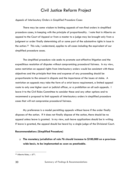#### *Appeals of Interlocutory Orders in Simplified Procedure Cases*

There may be some wisdom to limiting appeals of non-final orders in simplified procedure cases, in keeping with the principle of proportionality. I note that in Alberta an appeal to the Court of Appeal or from a master to a judge may be brought only from a judgment or order finally determining all or some part of the substantive rights in issue in the action.[23](#page-57-0) This rule, I understand, applies to all cases including the equivalent of our simplified procedure cases.

 The simplified procedure rule seeks to promote cost-effective litigation and the expeditious resolution of disputes without compromising procedural fairness. In my view, some restriction on appeal rights from interlocutory orders would be consistent with these objectives and the principle that time and expense of any proceeding should be proportionate to the amount in dispute and the importance of the issues at stake. A restriction on appeals may take the form of a strict leave requirement, a limited appeal route to only one higher court or judicial officer, or a prohibition on all such appeals. I leave it to the Civil Rules Committee to consider these and any other options and to recommend a proposal to limit appeals of interlocutory orders in simplified procedure cases that will not compromise procedural fairness.

 My preference is a model permitting appeals without leave if the order finally disposes of the action. If it does not finally dispose of the action, there should be no appeal unless leave is granted. In my view, such leave applications should be in writing. If leave is granted, the appeal should be heard by a single judge of the Divisional Court.

#### **Recommendations (Simplified Procedure)**

 **The monetary jurisdiction of rule 76 should increase to \$100,000 on a provincewide basis, to be implemented as soon as practicable.** 

<span id="page-57-0"></span><sup>23</sup> Alberta Rules, r. 671.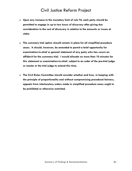- **Upon any increase to the monetary limit of rule 76, each party should be permitted to engage in up to two hours of discovery after giving due consideration to the cost of discovery in relation to the amounts or issues at stake.**
- **The summary trial option should remain in place for all simplified procedure cases. It should, however, be amended to permit a brief opportunity for examination-in-chief or general statement of any party who has sworn an affidavit for the summary trial. I would allocate no more than 10 minutes for this statement or examination-in-chief, subject to an order of the pre-trial judge or master or the trial judge to extend this time.**
- **The Civil Rules Committee should consider whether and how, in keeping with the principle of proportionality and without compromising procedural fairness, appeals from interlocutory orders made in simplified procedure cases ought to be prohibited or otherwise restricted.**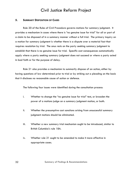#### **5. SUMMARY DISPOSITION OF CASES**

Rule 20 of the Rules of Civil Procedure governs motions for summary judgment. It provides a mechanism in cases where there is "no genuine issue for trial" for all or part of a claim to be disposed of in a summary manner without a full trial. The primary inquiry on a motion for summary judgment is whether there is a dispute over a material fact that requires resolution by trial. The onus rests on the party seeking summary judgment to establish that there is no genuine issue for trial. Specific cost consequences automatically apply where a party seeking summary judgment does not succeed or where a party acted in bad faith or for the purpose of delay.

Rule 21 also provides a mechanism to summarily dispose of an action, either by having questions of law determined prior to trial or by striking out a pleading on the basis that it discloses no reasonable cause of action or defence.

The following four issues were identified during the consultation process:

- i. Whether to change the "no genuine issue for trial" test, or broaden the power of a motions judge on a summary judgment motion, or both.
- ii. Whether the presumptive cost sanctions arising from unsuccessful summary judgment motions should be eliminated.
- iii. Whether a new summary trial mechanism ought to be introduced, similar to British Columbia's rule 18A.
- iv. Whether rule 21 ought to be amended to make it more effective in appropriate cases.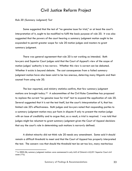*Rule 20 (Summary Judgment) Test* 

Some suggested that the test of "no genuine issue for trial," or at least the court's interpretation of it, ought to be modified to fulfil the basic purpose of rule 20. It was also suggested that the powers of the court hearing a summary judgment motion ought to be expanded to permit greater scope for rule 20 motion judges and masters to grant summary judgment.

There was general agreement that rule 20 is not working as intended. Both lawyers and Superior Court judges said that the Court of Appeal's view of the scope of motion judges' authority is too narrow. Whether this view is correct can be debated. Whether it exists is beyond debate. The cost consequences from a failed summary judgment motion have also been said to be too onerous, deterring many litigants and their counsel from using rule 20.

The bar reported, and ministry statistics confirm, that few summary judgment motions are brought today.[24](#page-60-0) A subcommittee of the Civil Rules Committee has proposed to replace the current "no genuine issue for trial" test to expand the application of rule 20. Several suggested that it is not the test itself, but the court's interpretation of it, that has limited rule 20's effectiveness. Both judges and lawyers noted that responding parties to a summary judgment motion may put facts in dispute if only to present the motion judge with an issue of credibility and to argue that, as a result, a trial is required. I was told that judges might be reluctant to grant summary judgment given the Court of Appeal decisions that say the court's role in determining such motions is narrowly defined.

A distinct minority did not think rule 20 needs any amendment. Some said it should remain a difficult threshold to meet and that the Court of Appeal has properly interpreted the test. The concern was that should the threshold test be set too low, many meritorious

<span id="page-60-0"></span><sup>24</sup> In 2005-06, summary judgment motions were commenced in only 642 of Ontario's 63,251 Superior Court civil cases (1%).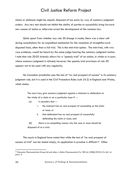claims or defences might be unjustly disposed of too early by way of summary judgment orders. Any new test should not inhibit the ability of parties to successfully bring forward new causes of action or otherwise arrest the development of the common law.

Quite apart from whether any rule 20 change is made, there was a clear call during consultations for an expedited mechanism for the resolution of straightforward disputed facts, other than a full trial. This is the mini-trial option. The mini-trial, with *viva voce* evidence, would be heard by the same judge hearing the summary judgment motion. I note that rule 20.05 already allows for a "speedy trial" of an action, in whole or in part, where summary judgment is refused; however, the speedy trial provisions of rule 20 appear not to be used with any regularity.

No Canadian jurisdiction uses the test of "no real prospect of success" in its summary judgment rule, but it is used in the Civil Procedure Rules (rule 24.2) in England and Wales, which states:

> The court may give summary judgment against a claimant or defendant on the whole of a claim or on a particular issue if ---

- (a) it considers that --
	- i. the claimant has no real prospect of succeeding on the claim or issue; or
	- ii. that defendant has no real prospect of successfully defending the claim or issue; and

(b) there is no compelling reason why the case or issue should be disposed of at a trial.

The courts in England have noted that while the test of "no real prospect of success at trial" can be stated simply, its application in practice is difficult.<sup>25</sup> Other

<span id="page-61-0"></span><sup>&</sup>lt;sup>25</sup> Doncaster Pharmaceuticals Group Ltd and others v Bolton Pharmaceutical Co 100 Ltd. [2006] EWCA Civ 661 at para. 5.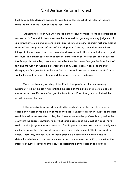English appellate decisions appear to have limited the impact of the rule, for reasons similar to those of the Court of Appeal for Ontario.

Changing the test in rule 20 from "no genuine issue for trial" to "no real prospect of success at trial" would, in theory, reduce the threshold for granting summary judgment. At a minimum, it would signal a more liberal approach to summary judgment motions. Should a test of "no real prospect of success" be adopted in Ontario, it would attract judicial interpretation and case law from England and Wales would likely be relied upon to guide the court. The English case law suggests an interpretation of "no real prospect of success" that is equally restrictive, if not more restrictive than the current "no genuine issue for trial" test and the Court of Appeal's interpretation of it. Accordingly, it seems to me that changing the "no genuine issue for trial" test to "no real prospect of success at trial" may well not work, if the goal is to expand the scope of summary judgment.

Moreover, from my reading of the Court of Appeal's decisions on summary judgment, it is how the court has confined the scope of the powers of a motion judge or master under rule 20, not the "no genuine issue for trial" test itself, that has limited the effectiveness of the rule.

If the objective is to provide an effective mechanism for the court to dispose of cases early where in the opinion of the court a trial is unnecessary after reviewing the best available evidence from the parties, then it seems to me to be preferable to provide the court with the express authority to do what some decisions of the Court of Appeal have said a motion judge or master cannot do. That is, permit the court on a summary judgment motion to weigh the evidence, draw inferences and evaluate credibility in appropriate cases. Therefore, any new rule 20 should provide a basis for the motion judge to determine whether such an assessment can safely be made on the motion, or whether the interests of justice require that the issue be determined by the trier of fact at trial.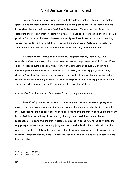As rule 20 matters now stand, the result of a rule 20 motion is binary: the motion is granted and the action ends, or it is dismissed and the parties are on the way to full trial. In my view, there should be more flexibility in the system. Where the court is unable to determine the motion without hearing *viva voce* evidence on discrete issues, the rules should provide for a mini-trial where witnesses can testify on these issues in a summary fashion, without having to wait for a full trial. This can be done in British Columbia through rule 18A. It could be done in Ontario through a similar rule, i.e., by amending rule 20.

As noted, at the conclusion of a summary judgment motion, subrule 20.05(1) already confers on the court the power to order matters to proceed to trial "forthwith" on a list of cases requiring speedy trial. In my view, amendments to rule 20 ought to be made to permit the court, as an alternative to dismissing a summary judgment motion, to direct a "mini-trial" on one or more discrete issues forthwith where the interests of justice require *viva voce* testimony to allow the court to dispose of the summary judgment motion. The same judge hearing the motion would preside over the mini-trial.

#### *Presumptive Cost Sanctions in Unsuccessful Summary Judgment Motions*

Rule 20.06 provides for substantial indemnity costs against a moving party who is unsuccessful in obtaining summary judgment. Where the moving party obtains no relief, the court shall fix the opposite party's costs on a substantial indemnity basis unless the court is satisfied that the making of the motion, although unsuccessful, was nevertheless reasonable.[26](#page-63-0) Substantial indemnity costs may also be imposed where the court finds that any party to a motion for summary judgment has acted in bad faith or primarily for the purpose of delay.[27](#page-63-1) Given the potentially significant cost consequences of an unsuccessful summary judgment motion, there is a concern that rule 20 is not being used in cases where it ought to be.

<span id="page-63-0"></span><sup>26</sup> Ontario Rules, r. 20.06(1).

<span id="page-63-1"></span><sup>27</sup> Ontario Rules, r. 20.06(2).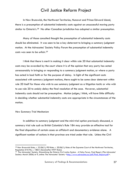In New Brunswick, the Northwest Territories, Nunavut and Prince Edward Island, there is a presumption of substantial indemnity costs against an unsuccessful moving party similar to Ontario's.<sup>[28](#page-64-0)</sup> No other Canadian jurisdiction has adopted a similar presumption.

 Many of those consulted thought the presumption of substantial indemnity costs should be eliminated. It was seen to be a key deterrent to bringing a summary judgment motion. At the Advocates' Society Policy Forum the presumption of substantial indemnity costs was seen to be unfair.[29](#page-64-1)

 I think that there is merit in making it clear within rule 20 that substantial indemnity costs may be awarded by the court where it is of the opinion that any party has acted unreasonably in bringing or responding to a summary judgment motion, or where a party has acted in bad faith or for the purpose of delay. In light of the significant costs associated with summary judgment motions, there ought to be some clear deterrent within rule 20 itself for those who wish to use summary judgment as a litigation tactic or who wish to use rule 20 to unduly delay the final resolution of the case. However, substantial indemnity costs should not be presumptive. Motion judges, I think, will have little difficulty in deciding whether substantial indemnity costs are appropriate in the circumstances of the motion.

#### *New Summary Trial Mechanism*

In addition to summary judgment and the mini-trial option previously discussed, a summary trial rule such as British Columbia's Rule 18A may provide an effective tool for the final disposition of certain cases on affidavit and documentary evidence alone. A significant number of actions in that province are tried under that rule. Unless the Civil

<span id="page-64-0"></span><sup>&</sup>lt;sup>28</sup> New Brunswick Rules, r. 22.06(1); PEI Rules, r. 20.06(1); Rules of the Supreme Court of the Northwest Territories, Regulation 010-96, r. 180(1) [hereinafter NWT Rules].

<span id="page-64-1"></span><sup>29</sup> The Advocates' Society, *Streamlining the Ontario Civil Justice System: A Policy Forum, Final Report*, (The Advocates' Society: March 2006) at 9, online: The Advocates' Society [<http://www.advocates.ca/pdf/Final\\_Report.pdf](http://www.advocates.ca/pdf/Final_Report.pdf)>.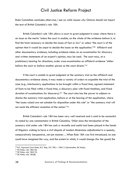Rules Committee concludes otherwise, I see no valid reason why Ontario should not import the text of British Columbia's rule 18A.

British Columbia's rule 18A allows a court to grant judgment in cases where there is an issue on the merits "unless the court is unable, on the whole of the evidence before it, to find the facts necessary to decide the issues of fact or law" or unless "the court is of the opinion that it would be unjust to decide the issues on the application."[30](#page-65-0) Affidavit and other documentary evidence, including evidence taken on an examination for discovery and written statements of an expert's opinion, may be used. The court may, at a preliminary hearing for directions, order cross-examination on affidavit evidence "either before the court or before another person as the court directs."[31](#page-65-1)

If the court is unable to grant judgment at the summary trial on the affidavit and documentary evidence alone, it may make a variety of orders to expedite the trial of the case (e.g., interlocutory applications to be brought within a fixed time, agreed statement of facts to be filed within a fixed time, a discovery plan with fixed timelines, and fixed duration of examinations for discovery).[32](#page-65-2) The court also has the power to adjourn or dismiss the summary trial application, before or at the hearing of the application, where "the issues raised are not suitable for disposition under this rule" or "the summary trial will not assist the efficient resolution of the action."[33](#page-65-3)

British Columbia's rule 18A has been very well received and is said to be successful. As noted by one commentator in British Columbia, "[N]ot since the introduction of the summary trial under rule 18A has such a versatile and useful tool been placed in the hands of litigators wishing to have a civil dispute of modest dimensions adjudicated in a speedy, comparatively inexpensive, yet just manner….When Rule 18A was first introduced, no one could have imagined the way, and the extent to which, it would change (for the good) the

<span id="page-65-0"></span><sup>&</sup>lt;sup>30</sup> B.C. Supreme Court Rules, B.C. Reg. 221/90, r. 18A(11) [hereinafter, BC Rules].<br><sup>31</sup> BC Rules, rule 18A(10).

<span id="page-65-1"></span>

<span id="page-65-2"></span><sup>32</sup> BC Rules, rule 18A(13).

<span id="page-65-3"></span><sup>33</sup> BC Rules, rule 18A(8).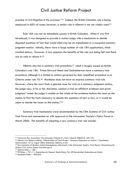practice of civil litigation in the province.["34](#page-66-0) Indeed, the British Columbia rule is being employed in 60% of cases; however, a similar rule in Alberta is not yet widely used.<sup>[35](#page-66-1)</sup>

Rule 18A was not an immediate success in British Columbia. When it was first introduced, it was designed to provide a motion judge with a mechanism to decide disputed questions of fact that would otherwise be an impediment to a successful summary judgment motion. Initially, there were a large number of rule 18A applications, which created delays. However, it now appears the benefits of the rule are being felt and there are no calls to reform it.[36](#page-66-2)

Alberta also has a summary trial procedure,[37](#page-66-3) which is largely based on British Columbia's rule 18A. Prince Edward Island and Saskatchewan have a summary trial procedure, although it is limited to actions governed by their simplified procedure as in Ontario under rule 76.[38](#page-66-4) Manitoba does not have an express summary trial rule. However, where the court finds a genuine issue for trial on a summary judgment motion, the judge may, in his or her discretion, conduct a trial on affidavit evidence and grant judgment "unless the judge is unable on the whole of the evidence before the court on the motion to find the facts necessary to decide the questions of fact or law, or it would be unjust to decide the issues on the motion."[39](#page-66-5)

Summary trial mechanisms were recommended by the CBA Systems of Civil Justice Task Force and commented on with approval at the Advocates' Society's Policy Forum in March 2006. The benefits of adopting a new summary trial rule include:

<span id="page-66-1"></span><span id="page-66-0"></span><sup>&</sup>lt;sup>34</sup> Vancouver Bar Association, The Advocate (Volume 61, Part 2 (March 2003)) at 169-170.<br><sup>35</sup> Alberta Law Reform Institute, "*Alberta Rules of Court Project - Summary Disposition of Actions,*" Consultation<br>Memorandum 12.1

<span id="page-66-2"></span><sup>&</sup>lt;sup>36</sup> See comments of Madam Justice Koenigsberg, referenced in the Advocates' Society, Final Report: Streamlining the *Ontario Civil Justice System* (Toronto) pg. 6. 37 Alberta Rules, r. 158.

<span id="page-66-3"></span>

<span id="page-66-4"></span><sup>&</sup>lt;sup>38</sup> PEI Rules, r. 75.1.11; Saskatchewan Queens' Bench Rules, Part 40 [hereinafter Saskatchewan Rules].<br><sup>39</sup> Manitoba Rules, r. 20.03(4).

<span id="page-66-5"></span>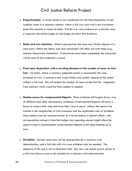- **Proportionality:** It would create a new mechanism for the final disposition of noncomplex cases in a summary manner, where a full *viva voce* trial is not warranted given the amounts or issues at stake. If brief *viva voce* evidence on a discrete issue is required, the motion judge as trial judge can hear that evidence.
- **Delay and cost reduction:** Where appropriate, the court may finally dispose of a case early without the delay and costs associated with other pre-trial steps (e.g., motions, discoveries, mediation). If discoveries have been completed, the transcripts will be part of the evidentiary record.
- **Final early disposition, with a resulting decrease in the number of cases on trial lists:** Currently, where a summary judgment motion is unsuccessful, the case proceeds to trial. A summary trial would finally and quickly dispose of the action without a full trial. This will reduce the number of cases on the trial list. Judgments from summary trials would be final, subject to appeal.
- **Greater access for unrepresented litigants:** Since evidence will largely be by way of affidavit and other documentary evidence, unrepresented litigants will have a forum to resolve their case and have their "day in court," without the need to be trained in the complexities of trial processes and the applicable rules of evidence. Also, matters may be resolved earlier at a forum before a judicial officer, with corresponding savings in time that judges and opposing counsel might otherwise spend trying to accommodate unrepresented litigants in the steps leading up to trial.
- **Flexibility:** Certain cases may not be appropriate for a summary trial determination, and a full trial with *viva voce* evidence may be needed. The objective of this rule is not to eliminate trials. Any new rule should ensure access to a full trial where a case is not suitable for a summary trial determination.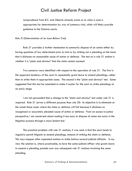Jurisprudence from B.C. and Alberta already exists as to when a case is appropriate for determination by way of summary trial, which will likely provide guidance to the Ontario courts.

#### *Rule 21(Determination of an Issue Before Trial)*

Rule 21 provides a further mechanism to summarily dispose of an action either by having questions of law determined prior to trial or by striking out a pleading on the basis that it discloses no reasonable cause of action or defence. The test on a rule 21 motion is whether it is "plain and obvious" that the claim cannot succeed.

Two concerns were identified with respect to the operation of rule 21. The first is the apparent tendency of the court to repeatedly grant leave to amend pleadings, rather than to strike them in appropriate cases. The second is the "plain and obvious" test. Some suggested that this test be amended to make it easier for the court to strike pleadings at an early stage.

I am not persuaded that a change to the "plain and obvious" test under rule 21 is required. Rule 21 serves a different purpose than rule 20: its objective is to eliminate at the outset those cases where the claim or defence will fail because it discloses no recognized or accurately pleaded cause of action or defence. From an access to justice perspective, I am concerned about making it too easy to dispose of cases too early in the litigation process through a more lenient test.

The practical problem with rule 21 motions, it was said, is that the court tends to regularly permit litigants to amend pleadings, instead of striking the claim or defence. This may happen after repeated motions to strike before several judicial officials. In my view the solution is, where practicable, to have the same judicial officer who grants leave to amend a pleading preside over any subsequent rule 21 motions involving the same pleading.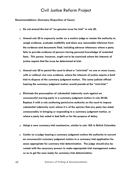#### **Recommendations (Summary Disposition of Cases)**

- **Do not amend the test of "no genuine issue for trial" in rule 20.**
- **Amend rule 20 to expressly confer on a motion judge or master the authority to weigh evidence, evaluate credibility and draw any reasonable inference from the evidence and documents filed, including adverse inferences where a party fails to provide evidence of persons having personal knowledge of contested facts. This power, however, ought not to be exercised where the interests of justice require that the issue be determined at trial.**
- **Amend rule 20 to permit the court to direct a "mini-trial" on one or more issues, with or without** *viva voce* **evidence, where the interests of justice require a brief trial to dispose of the summary judgment motion. The same judicial official hearing the summary judgment motion would preside at the "mini-trial."**
- **Eliminate the presumption of substantial indemnity costs against an unsuccessful moving party in a summary judgment motion in rule 20.06. Replace it with a rule conferring permissive authority on the court to impose substantial indemnity costs where it is of the opinion that any party has acted unreasonably in bringing or responding to a summary judgment motion, or where a party has acted in bad faith or for the purpose of delay.**
- **Adopt a new summary trial mechanism, similar to rule 18A in British Columbia.**
- **Confer on a judge hearing a summary judgment motion the authority to convert an unsuccessful summary judgment motion to a summary trial application for cases appropriate for summary trial determination. The judge should also be vested with the necessary powers to make appropriate trial management orders so as to get the case ready for summary trial determination.**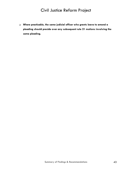**Where practicable, the same judicial officer who grants leave to amend a pleading should preside over any subsequent rule 21 motions involving the same pleading.**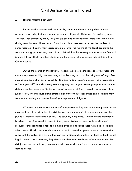#### **6. UNREPRESENTED LITIGANTS**

Recent media articles and speeches by senior members of the judiciary have reported a growing incidence of unrepresented litigants in Ontario's civil justice system. This view was shared by many lawyers, judges and court administrators with whom I met during consultations. However, no formal study has been conducted on the number of unrepresented litigants, their socioeconomic profile, the nature of the legal problems they face and the gaps in serving them. I am advised that the Ministry of the Attorney General is undertaking efforts to collect statistics on the number of unrepresented civil litigants in Ontario courts.

During the course of this Review, I heard several explanations as to why there are more unrepresented litigants, assuming this to be true, such as: the rising cost of legal fees making representation out of reach for low and middle-class Ontarians; the prevalence of a "do-it-yourself" attitude among some litigants; and litigants seeking to pursue a claim or defence on their own, despite the advice of formerly retained counsel. I also heard from judges, lawyers and court administrators about the unique challenges and problems they face when dealing with a case involving unrepresented litigants.

Whatever the cause and impact of unrepresented litigants on the civil justice system may be, I am of the view that the civil justice system must exist to serve members of the public – whether represented or not. The solution, in my mind, is not to create additional barriers to inhibit or restrict access to the system. Rather, a reasonable modicum of resources and assistance ought to be made available to assist those with legal problems who cannot afford counsel or choose not to retain counsel, to permit them to more easily represent themselves in a system that can be foreign and complex for those without formal legal training. At a minimum, they should be able to obtain basic information about the civil justice system and early summary advice as to whether it makes sense to pursue or defend a case.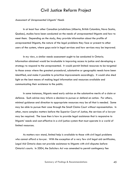#### *Assessment of Unrepresented Litigants' Needs*

In at least four other Canadian jurisdictions (Alberta, British Columbia, Nova Scotia, Quebec), studies have been conducted on the needs of unrepresented litigants and how to meet them. Depending on the study, they provide information about the profile of unrepresented litigants, the nature of the legal problems they face or present to other users of the system, where gaps exist in legal services and how services may be improved.

In my view, a similar needs assessment ought to be conducted in Ontario. Information obtained would be invaluable in improving access to justice and developing a strategy to respond to the unrepresented. It would permit limited resources to be targeted to those areas where the greatest procedural, substantive or geographic needs have been identified, and make it possible to prioritize improvements accordingly. It would also shed light on the best means of making legal information and resources available and communicating their existence to the public.

In some instances, litigants need early advice on the substantive merits of a claim or defence. Such advice may inform a decision to pursue or defend an action. For others, minimal guidance and direction to appropriate resources may be all that is needed. Some may be able to pursue their case through the Small Claims Court without representation. In other, more complex matters before the Superior Court of Justice, the services of a lawyer may be required. The issue then is how to provide legal assistance that is responsive to litigants' needs and cost-effective in a civil justice system that must operate in a world of limited resources.

As matters now stand, limited help is available to those with civil legal problems who cannot afford a lawyer. With the exception of a very few civil legal aid certificates, Legal Aid Ontario does not provide assistance to litigants with civil disputes before Ontario's courts. In 2004, the *Solicitors Act* was amended to permit contingency fee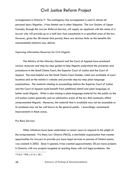arrangements in Ontario.[40](#page-73-0) The contingency fee arrangement is used in almost all personal injury litigation. It has limited use in other litigation. The Law Society of Upper Canada, through the Lawyer Referral Service, will supply an applicant with the name of a lawyer who will provide up to a half hour free consultation in a specified area of the law. However, given the 30-minute time period, there are obvious limits on the benefits this commendable initiative may deliver.

#### *Improving Information Resources for Civil Litigants*

The Ministry of the Attorney General and the Court of Appeal have produced various resources and step-by-step guides to help litigants understand the processes and procedures in the Small Claims Court, the Superior Court of Justice and the Court of Appeal. The most helpful are the Small Claims Court Guides, which are available at court locations and on the ministry's website and provide step-by-step plain language explanations. The material relating to proceedings before the Superior Court of Justice and the Court of Appeal could benefit from additional detail and plain language, to better assist litigants. What is also missing is plain-language material for the public on the civil justice system generally and on substantive areas of the law that commonly affect unrepresented litigants. Moreover, the material that is available may not be accessible or its existence may not be well known to the general public. I accordingly recommend improvements in these areas.

#### *Pro Bono Services*

Other initiatives have been undertaken in recent years to respond to the plight of the unrepresented. Pro Bono Law Ontario (PBLO), a charitable organization that creates opportunities for lawyers to provide pro bono legal services to persons of limited means, was created in 2002. Since it opened, it has created approximately 30 pro bono projects in Ontario, with two projects targeted at assisting those with civil legal problems: the

<span id="page-73-0"></span><sup>40</sup> R.S.O. 1990, c. S.15, s. 28.1.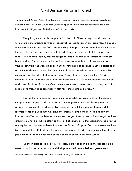Toronto Small Claims Court Pro Bono Duty Counsel Project, and the Appeals Assistance Project in the Divisional Court and Court of Appeal. Both connect volunteer pro bono lawyers with litigants of limited means in those courts.

Many lawyers have also responded to the call. Either through participation in formal pro bono projects or through individual representation on pro bono files, it appears to me that lawyers and law firms are providing more pro bono services than they have in the past. I note, however, that not all Ontario lawyers can afford to take on pro bono files. It is a financial reality that the larger Toronto firms can better afford to offer pro bono services. This may well make the firm more marketable to articling students and younger lawyers who want an opportunity for first-hand experience in having carriage of an action or defence. In smaller communities, lawyers provide assistance to those who cannot afford the full cost of legal services. As one lawyer from a smaller Ontario community said: "I already do a lot of pro bono work. It's called my accounts receivable." And according to a 2005 *Canadian Lawyer* survey, more lawyers are adopting innovative billing structures, such as contingency, flat fees and sliding scale fees.<sup>[41](#page-74-0)</sup>

I agree that pro bono services cannot adequately respond to all of the needs of unrepresented litigants. I do not think that imposing mandatory pro bono quotas or greater regulation of fees charged by lawyers is the solution. Market forces and the lawyers' sense of public duty will drive the amount of pro bono services that any one lawyer can offer and the fees he or she may charge. A recommendation to regulate these areas would have a chilling effect on the spirit of volunteerism that appears to be growing among the bar. I prefer to leave it to the Law Society of Upper Canada to examine these issues, should it see fit to do so. However, I encourage Ontario lawyers to continue to offer pro bono services and innovative billing options to enhance access to justice.

On the subject of legal aid in civil cases, there has been a healthy debate on the extent to which parties to a private civil dispute should be entitled to a government

<span id="page-74-0"></span><sup>41</sup> Kirsten McMahon, "The Going Rate 2005" *Canadian Lawyer* (June 2005) at 25.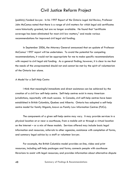(publicly) funded lawyer. In his 1997 *Report of the Ontario Legal Aid Review*, Professor John McCamus noted that there is a range of civil matters for which legal aid certificates were historically granted, but are no longer available. He found that "certificate coverage has been eliminated for most civil law matters," and made various recommendations for improved civil legal aid funding.

In September 2006, the Attorney General announced that an update of Professor McCamus' 1997 report will be undertaken. To avoid the potential for competing recommendations, it would not be appropriate for me to make specific recommendations with respect to civil legal aid funding. As a general finding, however, it is clear to me that the needs of the unrepresented should not and cannot be met by the spirit of volunteerism of the Ontario bar alone.

#### *A Model for a Self-Help Centre*

I think that meaningful immediate and direct assistance can be achieved by the creation of a civil law self-help centre. Self-help centres exist in many American jurisdictions, reportedly with much success. In Canada, civil self-help centres have been established in British Columbia, Quebec and Alberta. Ontario has adopted a self-help centre model for family litigants, known as Family Law Information Centres (FLICs).

The components of a given self-help centre may vary. It may provide services in a physical location at or near a courthouse, from a mobile unit or through a virtual location on the Internet – or a mix of these models. Services offered may include basic legal information and resources, referrals to other agencies, assistance with completion of forms, and summary legal advice by a staff or volunteer lawyer.

For example, the British Columbia model provides on-line, video and print resources, including self-help packages and forms; connects people with courthouse librarians to assist with legal resources; and provides information about alternative dispute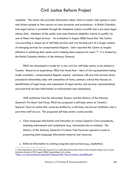resolution. The centre also provides information about what to expect when going to court, and directs people to free courses on court processes and procedures. In British Columbia, free legal advice is available through the telephone system LawLINE and a pro bono legal advice clinic. Members of the public must meet financial eligibility criteria to qualify for one of these free legal services. An evaluation in August 2006 found that "the Centre was providing a unique set of self-help services and was forming part of a larger context of emerging services for unrepresented litigants. Users reported the Centre as largely effective in satisfying their needs and in helping them prepare for court."<sup>[42](#page-76-0)</sup> It is funded by the British Columbia Ministry of the Attorney General.

PBLO has developed a model for a new civil law self-help centre, to be piloted in Toronto. Based on its experience, PBLO has found that – short of full representation being made available – unrepresented litigants require: assistance with pre-trial services (basic procedural information, help with completion of forms, summary advice that focuses on identification of legal issues and assessment of legal merits), trial services (representation) and post-trial services (information on enforcement and compliance).

With assistance from the Advocates' Society and the Ministry of the Attorney General's Pro Bono Task Force, PBLO has proposed a self-help centre at Toronto's Superior Court of Justice that would be staffed by a full-time, non-lawyer facilitator and a part-time staff lawyer. The proposed self-help centre would provide:

- Clear-language information and instruction on various Superior Court procedures, including enforcement and compliance (e.g., information kits on motions). The Ministry of the Attorney General's Pro Bono Task Force has agreed to assist in preparing plain language information material and resources.
- Referral information to existing programs and services (e.g., mediation).

<span id="page-76-0"></span><sup>42</sup> John Malcolmson, Gayla Reid, *BC Supreme Court Self-Help Information Centre Final Evaluation Report* (Law Courts Education Society of BC: August 2006) [unpublished] at 8, online: <[http://www.lawcourtsed.ca/documents/Research/SHC\\_Final\\_Evaluation\\_Sept2006.pdf>](http://www.lawcourtsed.ca/documents/Research/SHC_Final_Evaluation_Sept2006.pdf).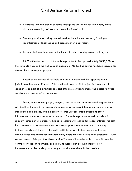- Assistance with completion of forms through the use of lawyer volunteers, online document assembly software or a combination of both.
- Summary advice and duty counsel services by volunteer lawyers, focusing on identification of legal issues and assessment of legal merits.
- Representation at hearings and settlement conferences by volunteer lawyers.

PBLO estimates the cost of the self-help centre to be approximately \$235,000 for the initial start-up and the first year of operation. No funding source has been secured for the self-help centre pilot project.

Based on the success of self-help centres elsewhere and their growing use in jurisdictions throughout Canada, PBLO's self-help centre pilot project in Toronto would appear to be part of a practical and cost-effective solution to improving access to justice for those who cannot afford a lawyer.

During consultations, judges, lawyers, court staff and unrepresented litigants have all identified the need for basic plain-language procedural information, summary legal information and advice, and the ability to refer unrepresented litigants to other information sources and services as needed. The self-help centre would provide this support. Since not all persons with legal problems will require full representation, the selfhelp centre can offer assistance and advice proportionate to user needs. In many instances, early assistance by the staff facilitator or a volunteer lawyer will reduce inconvenience and frustration and potentially avoid the costs of litigation altogether. With online access, it is hoped that those outside Toronto will also be able to benefit from the centre's services. Furthermore, as a pilot, its success can be evaluated to allow improvements to be made prior to any expansion elsewhere in the province.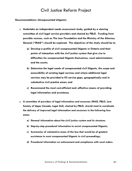#### **Recommendations (Unrepresented Litigants)**

- **Undertake an independent needs assessment study, guided by a steering committee of civil legal service providers and chaired by PBLO. Funding from possible sources, such as The Law Foundation and the Ministry of the Attorney General ("MAG") should be explored. The objectives of the study should be to:** 
	- **a) Develop a profile of civil unrepresented litigants in Ontario and their points of interaction with the civil justice system that give rise to difficulties for unrepresented litigants themselves, court administrators and the courts;**
	- **b) Determine the legal needs of unrepresented civil litigants, the scope and accessibility of existing legal services and where additional legal services may be provided to fill service gaps, geographically and in substantive civil practice areas; and**
	- **c) Recommend the most cost-efficient and -effective means of providing legal information and assistance.**
- **A committee of providers of legal information and resources (MAG, PBLO, Law Society of Upper Canada, Legal Aid), chaired by PBLO, should meet to coordinate the delivery of improved legal information and resources in the following four areas:** 
	- **a) General information about the civil justice system and its structure;**
	- **b) Step-by-step procedural information to assist unrepresented litigants;**
	- **c) Summaries of substantive areas of the law that would be of greatest assistance to most unrepresented litigants in civil proceedings;**
	- **d) Procedural information on enforcement and compliance with court orders.**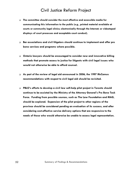- **The committee should consider the most effective and accessible media for communicating this information to the public (e.g., printed material available at courts or community legal clinics; electronically through the Internet; or videotaped displays of court processes and acceptable court conduct).**
- **Bar associations and civil litigators should continue to implement and offer pro bono services and programs where possible.**
- **Ontario lawyers should be encouraged to consider new and innovative billing methods that promote access to justice for litigants with civil legal issues who would not otherwise be able to afford counsel.**
- **As part of the review of legal aid announced in 2006, the 1997 McCamus recommendations with respect to civil legal aid should be revisited.**
- **PBLO's efforts to develop a civil law self-help pilot project in Toronto should continue to be assisted by the Ministry of the Attorney General's Pro Bono Task Force. Funding from possible sources, such as The Law Foundation and MAG, should be explored. Expansion of the pilot project to other regions of the province should be considered pending an evaluation of its success, and after considering cost-effective service delivery options that are responsive to the needs of those who would otherwise be unable to access legal representation.**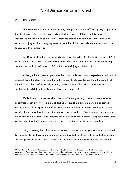### **7. CIVIL JURIES**

The issue whether there should be any change that would affect a party's right to a jury trial was controversial. Some advocated no change. Others, mainly judges, advocated the abolition of civil juries. From the standpoint of the personal injury bar, access to a jury trial is a unifying issue as both the plaintiff and defence sides want access to civil jury trials preserved.

In 2005 –2006, there were 6,839 civil trials heard.<sup>[43](#page-80-0)</sup> Of these trials heard,  $1,598$ or 23% were jury trials. The vast majority of these jury trials involved litigation arising from motor vehicle accidents (1,186 or 74% of civil jury trials heard).

 Although there is some opinion to the contrary, based on my experience and that of others, I think it is clear that most (not all) civil jury trials take longer than the same trial would have taken before a judge sitting without a jury. The offset is that the rate of settlement for civil jury trials is higher than for non-jury trials.

 On balance, I am not satisfied that a sufficiently strong case has been made to recommend that civil jury trials be abolished or available only on motion in specified circumstances. I recognize the unfortunate reality that insurers in most negligence actions require their counsel to deliver a jury notice. I refer to this as "unfortunate" because one clear aim of the strategy is to increase the risk to which the plaintiff is exposed, manifestly on the basis that the insurer can absorb the risk better than almost all plaintiffs.

 I do, however, think that some limitations on the statutory right to a jury trial should be imposed for at least some simplified procedure (rule 76) trials. I reach that conclusion for two general reasons. First, there is the matter of institutional resources: jury panels

<span id="page-80-0"></span><sup>43</sup> Note that a "trial heard" represents a day when a trial is being heard. Also, many trials that have commenced, may settle. Therefore, this figure does not represent the total number of trials that were commenced or trials that were commenced and completed. See *Civil & Small Claims Court Statistics 2005-06, supra* note 10 at 47.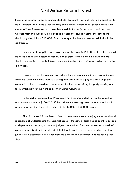have to be secured, jurors accommodated etc. Frequently, a relatively large panel has to be assembled for jury trials that typically settle shortly before trial. Second, there is the matter of juror inconvenience. I have been told that some jurors have raised the issue whether their civil duty should be engaged where the issue is whether the defendant should pay the plaintiff \$12,000. Even if that question has not been asked, it should be addressed.

 In my view, in simplified rules cases where the claim is \$50,000 or less, there should be no right to a jury, except on motion. For purposes of the motion, I think that there should be some broad public interest component in the action before an order is made for a jury trial.

 I would exempt the common law actions for defamation, malicious prosecution and false imprisonment, where there is a strong historical right to a jury in a case engaging community values. I considered but rejected the idea of requiring the party seeking a jury to, in effect, pay for the right as occurs in British Columbia.

 In the section on Simplified Procedure I have recommended raising the simplified rules monetary limit to \$100,000. If this is done, the existing access to a jury trial would apply to larger simplified rules claims – in the \$50,001-100,000 range.

 The trial judge is in the best position to determine whether the jury understands and is capable of understanding the essential issues in the action. Trial judges ought to be able to dispense with the jury, on the trial judge's own motion. The views of counsel should, of course, be received and considered. I think that it would be a rare case where the trial judge would discharge a jury when both the plaintiff and defendant oppose taking that step.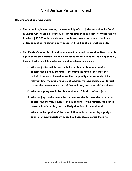#### **Recommendations (Civil Juries)**

- **The current regime governing the availability of civil juries set out in the** *Courts of Justice Act* **should be retained, except for simplified rule actions under rule 76 in which \$50,000 or less is claimed. In those cases a party must obtain an order, on motion, to obtain a jury based on broad public interest grounds.**
- **The** *Courts of Justice Act* **should be amended to permit the court to dispense with a jury on its own motion. It should prescribe the following test to be applied by the court when deciding whether or not to strike a jury notice:** 
	- **a) Whether justice will be served better with or without a jury, after considering all relevant factors, including the facts of the case, the technical nature of the evidence, the complexity or uncertainty of the relevant law, the predominance of substantive legal issues over factual issues, the interwoven issues of fact and law, and counsels' positions;**
	- **b) Whether a party would be able to obtain a fair trial before a jury;**
	- **c) Whether jury service would be an unwarranted inconvenience to jurors, considering the value, nature and importance of the matters, the parties' interests in a jury trial, and the likely duration of the trial; and**
	- **d) Where, in the opinion of the court, inflammatory conduct by a party or counsel or inadmissible evidence has been placed before the jury.**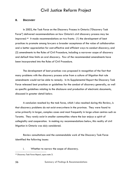### **8. DISCOVERY**

In 2003, the Task Force on the Discovery Process in Ontario ("Discovery Task Force") delivered recommendations on how Ontario's civil discovery process may be improved.[44](#page-83-0) It made recommendations on two fronts: (1) the development of best practices to promote among lawyers a broader acceptance of the value of collaboration and a better appreciation for cost-effective and efficient ways to conduct discovery; and (2) amendments to the Rules of Civil Procedure, including a narrower scope of discovery and default time limits on oral discovery. Few of the recommended amendments have been incorporated into the Rules of Civil Procedure.

The development of best practices was proposed in recognition of the fact that many problems with the discovery process arise from a culture of litigation that rule amendments would not be able to remedy. In its Supplemental Report the Discovery Task Force released best practices or guidelines for the conduct of discovery generally, as well as specific guidelines relating to the disclosure and production of electronic documents, discussed in greater detail below.

A conclusion reached by the task force, which I also reached during this Review, is that discovery problems do not exist everywhere in the province. They were found to arise primarily in larger, complex cases and most frequently in large urban centres such as Toronto. They rarely exist in smaller communities where the bar enjoys a spirit of collegiality and cooperation. In making my recommendations below, this reality of civil litigation in Ontario was duly considered.

Review consultations and the commendable work of the Discovery Task Force identified the following issues:

i. Whether to narrow the scope of discovery.

<span id="page-83-0"></span><sup>44</sup> *Discovery Task Force Report*, *supra* note 3.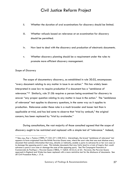- ii. Whether the duration of oral examinations for discovery should be limited.
- iii. Whether refusals based on relevance at an examination for discovery should be permitted.
- iv. How best to deal with the discovery and production of electronic documents.
- v. Whether discovery planning should be a requirement under the rules to promote more efficient discovery management.

#### *Scope of Discovery*

The scope of documentary discovery, as established in rule 30.02, encompasses "every document *relating to* any matter in issue in an action." This has widely been interpreted in case law to require production if a document has a "semblance of relevance."[45](#page-84-0) Similarly, rule 31.06 requires a person being examined for discovery to answer "any proper question *relating to* any matter in issue in the action." The "semblance of relevance" test applies to discovery questions, in the same way as it applies to production. Relevance under these rules is a much broader and looser test than is applicable at trial, and has led some to observe that "trial by ambush," the original concern, has been replaced by "trial by avalanche."

During consultations, the vast majority of those consulted agreed that the scope of discovery ought to be restricted and replaced with a simple test of "relevance." Indeed,

<span id="page-84-0"></span><sup>45</sup> See, e.g., *Kay v. Posluns* (1989), 71 O.R. (2nd ) 238 (H.C.). Interestingly, the broad "semblance of relevance" test appears to have originated from the British *Peruvian Guano* case, where the court rules that one must disclose every document that contains information that may, directly or indirectly, enable a party to advance his or her own case or to damage the opposing party's case. This includes documents that may fairly lead to a train of inquiry that would advance a party's own case or damage the case of the opposing party. See *The Compagnie Financière et Commerciale du Pacifique v. Peruvian Guano* (1882), 11 Q.B.D. 55 (C.A.) at 63. However, the *Peruvian Guano* approach in England and Wales has been replaced with a more restrictive test for the disclosure of documents: See UK Civil Procedure Rules, r. 31.6.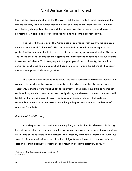this was the recommendation of the Discovery Task Force. The task force recognized that this change may lead to further motion activity and judicial interpretations of "relevant," and that any change is unlikely to end the debate over the proper scope of discovery. Nevertheless, it said a narrower test is required to help curb discovery abuse.

I agree with these views. The "semblance of relevance" test ought to be replaced with a stricter test of "relevance." This step is needed to provide a clear signal to the profession that restraint should be exercised in the discovery process and, as the Discovery Task Force put it, to "strengthen the objective that discovery be conducted with due regard to cost and efficiency."[46](#page-85-0) In keeping with the principle of proportionality, the time has come for this change to be made, which I hope in turn will inform the culture of litigation in the province, particularly in larger cities.

 This reform is not targeted at lawyers who make reasonable discovery requests, but rather at those who make excessive requests or otherwise abuse the discovery process. Therefore, a change from "relating to" to "relevant" would likely have little or no impact on those lawyers who already act reasonably during the discovery process. Its effects will be felt by those who abuse discovery or engage in areas of inquiry that could not reasonably be considered necessary, even though they currently survive "semblance of relevance" analysis.

### *Duration of Oral Discovery*

A variety of factors contribute to unduly long examinations for discovery, including lack of preparation or experience on the part of counsel, irrelevant or repetitious questions or, in some cases, lawyers' billing targets. The Discovery Task Force referred to "numerous scenarios in which individual or small business litigants were forced to abandon claims or accept less than adequate settlements as a result of excessive discovery costs."[47](#page-85-1)

<span id="page-85-0"></span><sup>46</sup> *Discovery Task Force Report*, *supra* note 3 at 92. 47 *Ibid.* at 57.

<span id="page-85-1"></span>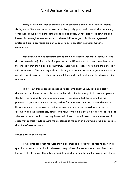Many with whom I met expressed similar concerns about oral discoveries being fishing expeditions, unfocused or conducted by poorly prepared counsel who are unduly concerned about overlooking potential facts and issues. A few also noted lawyers' selfinterest in prolonging examinations to achieve billing targets. As I have suggested, prolonged oral discoveries did not appear to be a problem in smaller Ontario communities.

However, what was consistent among the views I heard was that a default of one day (or seven hours) of examination per party is sufficient in most cases. I emphasize that the one-day limit should be a default time. There will be cases where more than one day will be required. The one-day default rule ought to permit parties to agree to more than one day for discoveries. Failing agreement, the court would determine the discovery time allocation.

In my view, this approach responds to concerns about unduly long and costly discoveries. It places reasonable limits on their duration for the typical case, and permits flexibility as needed for more complex cases. I recognize that this reform has the potential to generate motions seeking orders for more than one day of oral discovery. However, in most cases, counsel acting reasonably and having considered the cost of discovery and the importance, nature and value of the claim should be able to agree as to whether or not more than one day is needed. I would hope it would be in the rarest of cases that counsel would require the assistance of the court in determining the appropriate duration of examinations.

#### *Refusals Based on Relevance*

It was proposed that the rules should be amended to require parties to answer all questions at an examination for discovery, regardless of whether there is an objection on the basis of relevance. The only permissible objection would be on the basis of privilege,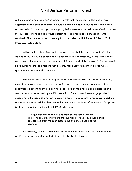although some would add an "egregiously irrelevant" exception. In this model, any objections on the basis of relevance would be noted by counsel during the examination and recorded in the transcript, but the party being examined would be required to answer the question. The trial judge would determine its relevance and admissibility, where required. This is the approach currently in place under the U.S. Federal Rules of Civil Procedure (rule 30(d)).

Although this reform is attractive in some respects, it has the clear potential for adding costs. It would also tend to broaden the scope of discovery, inconsistent with my recommendation to narrow its scope to that information which is "relevant." Parties would be required to answer questions that are only marginally relevant and, even worse, questions that are entirely irrelevant.

Moreover, there does not appear to be a significant call for reform in this area, except perhaps in some complex cases or in larger urban centres. I am reluctant to recommend a reform that will apply to all cases when the problem is experienced in a few. Instead, as observed by the Discovery Task Force, I would encourage parties, in cases where the scope of what is "relevant" is murky, to voluntarily answer such questions and note on the record the objection to the question on the basis of relevance. This process is already permitted under rule 34.12(2), which reads:

> A question that is objected to may be answered with the objector's consent, and where the question is answered, a ruling shall be obtained from the court before the evidence is used at the hearing.

Accordingly, I do not recommend the adoption of a new rule that would require parties to answer questions objected to on the basis of relevance.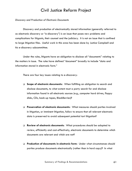*Discovery and Production of Electronic Documents* 

Discovery and production of electronically stored information (generally referred to as electronic discovery or "e-discovery") is an issue that poses new problems and complications for litigants, their counsel and the judiciary. It is not an issue that is confined to large litigation files. Useful work in this area has been done by Justice Campbell and his e-discovery subcommittee.

Under the rules, litigants have an obligation to disclose all "documents" relating to the matters in issue. The rules have defined "document" broadly to include "data and information stored in electronic form."

There are four key issues relating to e-discovery:

- **Scope of electronic documents:** When fulfilling an obligation to search and disclose documents, to what extent must a party search for and disclose information found in all electronic sources (e.g., computer hard drives, floppy disks, CDs, back-up tapes, BlackBerries)?
- **Preservation of electronic documents:** What measures should parties involved in litigation, or imminent litigation, follow to ensure that all relevant electronic data is preserved to avoid subsequent potential tort litigation?
- **Review of electronic documents**: What procedures should be adopted to review, efficiently and cost-effectively, electronic documents to determine which documents are relevant and which are not?
- **Production of documents in electronic form:** Under what circumstances should parties produce documents electronically (rather than in hard copy)? In what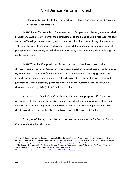electronic format should they be produced? Should documents in hard copy be produced electronically?

In 2005, the Discovery Task Force released its Supplemental Report, which included E-Discovery Guidelines.[48](#page-89-0) Rather than amendments to the Rules of Civil Procedure, the task force proffered guidelines in recognition of the fact that the culture of litigation was not yet ready for rules to mandate e-discovery. Instead, the guidelines set out a number of principles with commentary intended to guide lawyers, clients and the judiciary through the e-discovery process.

In 2007, Justice Campbell coordinated a national committee to establish ediscovery guidelines for all Canadian jurisdictions, based on national guidelines developed by The Sedona Conference® in the United States. National e-discovery guidelines for Canada were sought because commercial and class action proceedings are often multijurisdictional, and e-discovery practices may well inform business practices (including document retention policies) of national corporations.

A first draft of *The Sedona Canada Principles* has been prepared.[49](#page-89-1) The draft provides a set of principles for e-discovery with practical commentary. All of this is said, I think correctly, to be compatible with discovery rules in all Canadian jurisdictions. The draft draws heavily upon the Discovery Task Force's E-Discovery Guidelines.

Examples of the key principles and practices recommended in *The Sedona Canada Principles* include the following:

<span id="page-89-0"></span><sup>48</sup> Found in Task Force on the Discovery Process in Ontario, *Supplemental Report* (Toronto: Task Force on the Discovery Process in Ontario, 2005), accessible online at: Ontario Bar Association Discovery Task Force E-Discovery Guidelines and Resource Page <http://www.oba.org/en/main/ediscovery en/default.aspx>.

<span id="page-89-1"></span><sup>&</sup>lt;sup>49</sup> The Sedona Conference®, The Sedona Canada Principles: Addressing Electronic Document Production (February 2007 Public Comment Draft), online at: The Sedona Conference,

[http://www.thesedonaconference.org/dltForm?did=2\\_07WG7pubcomment.pdf](http://www.thesedonaconference.org/dltForm?did=2_07WG7pubcomment.pdf).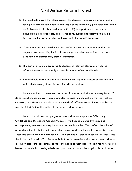- Parties should ensure that steps taken in the discovery process are proportionate, taking into account (i) the nature and scope of the litigation, (ii) the relevance of the available electronically stored information, (iii) its importance to the court's adjudication in a given case, and (iv) the costs, burden and delay that may be imposed on the parties to deal with electronically stored information.
- Counsel and parties should meet and confer as soon as practicable and on an ongoing basis regarding the identification, preservation, collection, review and production of electronically stored information.
- The parties should be prepared to disclose all relevant electronically stored information that is reasonably accessible in terms of cost and burden.
- Parties should agree as early as possible in the litigation process on the format in which electronically stored information will be produced.

I am not inclined to recommend a series of rules to deal with e-discovery issues. To do so would impose on every case mandatory e-discovery obligations that may not be necessary or sufficiently flexible to suit the needs of different cases. It may also be too soon in Ontario's litigation culture to introduce such a reform.

Instead, I would encourage greater use and reliance upon the E-Discovery Guidelines and *The Sedona Canada Principles*. *The Sedona Canada Principles* and accompanying commentary may be more effective than rules. They reflect the value of proportionality, flexibility and cooperation among parties in the context of e-discovery. These are central themes in this Review. They provide assistance to counsel on what issues should be considered. What is crucial is that parties consider e-discovery issues and tailor discovery plans and agreements to meet the needs of their case. At least for now, this is a better approach than having rule-based protocols that would be applicable in all cases.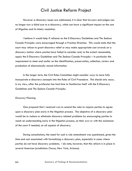However e-discovery issues are addressed, it is clear that lawyers and judges can no longer turn a blind eye to e-discovery, which can have a significant impact on the cost of litigation and its timely resolution.

I believe it would help if reliance on the E-Discovery Guidelines and *The Sedona Canada Principles* were encouraged through a Practice Direction. This would state that the court may refuse to grant discovery relief or may make appropriate cost awards on a discovery motion where parties have failed to consider and, to the extent reasonable, apply the E-Discovery Guidelines and *The Sedona Canada Principles* – in particular the requirement to meet and confer on the identification, preservation, collection, review and production of electronically stored information.

In the longer term, the Civil Rules Committee might consider ways to more fully incorporate e-discovery concepts into the Rules of Civil Procedure. This should only occur, in my view, after the profession has had time to familiarize itself with the E-Discovery Guidelines and *The Sedona Canada Principles*.

#### *Discovery Planning*

One proposal that I received was to amend the rules to require parties to agree upon a discovery plan early in the litigation process. The objective of a discovery plan would be to reduce or eliminate discovery-related problems by encouraging parties to reach an understanding early in the litigation process, on their own or with the assistance of the court if needed, on all aspects of discovery.

 During consultations, the need for such a rule amendment was questioned, given the time and cost associated with formalizing a discovery plan, especially in cases where parties do not have discovery problems. I do note, however, that this reform is in place in several American jurisdictions (Texas, New York, Arizona).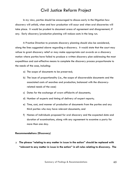In my view, parties should be encouraged to discuss early in the litigation how discovery will unfold, when and how production will occur and when oral discoveries will take place. It would be prudent to document areas of agreement and disagreement, if any. Early discovery/production planning will reduce costs in the long run.

 A Practice Direction to promote discovery planning should also be considered, along the lines suggested above regarding e-discovery. It would state that the court may refuse to grant discovery relief or may make appropriate cost awards on a discovery motion where parties have failed to produce a written discovery plan addressing the most expeditious and cost-effective means to complete the discovery process proportionate to the needs of the case, including:

- a) The scope of documents to be preserved;
- b) The issue of proportionality (i.e., the scope of discoverable documents and the associated costs of searches and production, balanced with the discoveryrelated needs of the case)
- c) Dates for the exchange of sworn affidavits of documents;
- d) Number of experts and timing of delivery of expert reports;
- e) Time, cost, and manner of production of documents from the parties and any third parties who may have relevant documents; and
- f) Names of individuals proposed for oral discovery and the expected date and duration of examinations, along with any agreement to examine a party for more than one day.

#### **Recommendations (Discovery)**

 **The phrase "relating to any matter in issue in the action" should be replaced with "relevant to any matter in issue in the action" in all rules relating to discovery. The**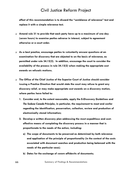**effect of this recommendation is to discard the "semblance of relevance" test and replace it with a simple relevance test.** 

- **Amend rule 31 to provide that each party have up to a maximum of one day (seven hours) to examine parties adverse in interest, subject to agreement otherwise or a court order.**
- **As a best practice, encourage parties to voluntarily answer questions at an examination for discovery that are objected to on the basis of relevance, as permitted under rule 34.12(2). In addition, encourage the court to consider the availability of the process in rule 34.12(2) when making the appropriate cost awards on refusals motions.**
- **The Office of the Chief Justice of the Superior Court of Justice should consider issuing a Practice Direction that would state the court may refuse to grant any discovery relief, or may make appropriate cost awards on a discovery motion, where parties have failed to:** 
	- **1. Consider and, to the extent reasonable, apply the E-Discovery Guidelines and**  *The Sedona Canada Principles*, **in particular, the requirement to meet and confer regarding the identification, preservation, collection, review and production of electronically stored information;**
	- **2. Develop a written discovery plan addressing the most expeditious and costeffective means of completing the discovery process in a manner that is proportionate to the needs of the action, including:** 
		- **a) The scope of documents to be preserved as determined by both relevance and application of the principle of proportionality (in the context of the costs associated with document searches and production being balanced with the needs of the particular case);**
		- **b) Dates for the exchange of sworn affidavits of documents;**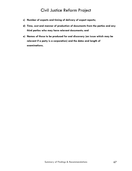- **c) Number of experts and timing of delivery of expert reports;**
- **d) Time, cost and manner of production of documents from the parties and any third parties who may have relevant documents; and**
- **e) Names of those to be produced for oral discovery (an issue which may be relevant if a party is a corporation) and the dates and length of examinations.**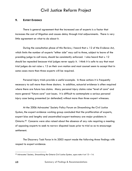### **9. EXPERT EVIDENCE**

There is general agreement that the increased use of experts is a factor that increases the cost of litigation and causes delay through trial adjournments. There is very little agreement on what to do about it.

During the consultation phase of this Review, I heard that s. 12 of the *Evidence Act*, which limits the number of experts "either side" may call to three, subject to leave of the presiding judge to call more, should be consistently enforced. I also heard that s. 12 should be repealed because trial judges never apply it. I think it is safe to say that most trial judges do not raise s. 12 on their own motion and most counsel seem to accept that in some cases more than three experts will be required.

Personal injury trials provide a useful example. In those actions it is frequently necessary to call more than three doctors. In addition, actuarial evidence is often required where there are future loss claims. Many personal injury claims raise "level of care" and more general "future care" cost issues. It is difficult to contemplate a serious personal injury case being presented (or defended) without more than three expert witnesses.

At the 2006 Advocates' Society Policy Forum on *Streamlining the Civil Justice System*, the expert evidence working group concluded that the proliferation of experts, expert bias and lengthy and uncontrolled expert testimony are major problems in Ontario.[50](#page-95-0) Concerns were also raised about the absence of any rule requiring a meeting of opposing experts to seek to narrow disputed issues prior to trial so as to encourage settlement.

The Discovery Task Force in its 2003 report made the following three findings with respect to expert evidence:

 $\overline{a}$ 

<span id="page-95-0"></span><sup>50</sup> Advocates' Society*, Streamlining the Ontario Civil Justice System, supra* note 4 at 13 – 14.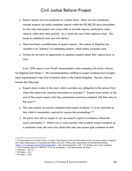- Expert reports are not produced on a timely basis. Many lawyers mistakenly assume experts can easily complete reports within the 90/60/30 days prescribed by the rules, but experts are rarely able to provide reports, particularly reply reports, within short time periods. As a result, the court often adjourns trials. This leads to additional costs and trial delays.
- There has been a proliferation of expert reports. The culture of litigation has resulted in an "industry" of competing experts, which unduly increases costs.
- Parties do not have an opportunity to question experts about their reports prior to trial.

In his 1996 report, Lord Woolf recommended wide-sweeping civil justice reforms for England and Wales.<sup>[51](#page-96-0)</sup> His recommendations relating to expert evidence have largely been implemented in the Civil Procedure Rules in the United Kingdom. The key reforms include the following:

- Experts have a duty to the court, which overrides any obligation to the person from whom the expert has received instructions or payment.<sup>[52](#page-96-1)</sup> Experts must certify, at the end of the expert report, that they understand and have complied with their duty to the court.<sup>[53](#page-96-2)</sup>
- The rules contain an express statement that expert evidence "is to be restricted to that which is reasonably required to resolve the proceedings."[54](#page-96-3)
- No party may call an expert or put an expert's report in evidence without the court's permission.[55](#page-96-4) Where two or more parties wish to submit expert evidence on a particular issue, the court may direct that only one expert give evidence on that

<span id="page-96-0"></span><sup>51</sup> Rt. Honourable Lord Woolf, *Access to Justice: Final Report to the Lord Chancellor on the civil justice system in England and Wales* (Department of Constitutional Affairs, UK: July 1996) online: Department of Constitutional Affairs  $\frac{\text{th}}{\text{t}}/ \text{www.dca.gov.uk/civil/final/index.htm}_{\text{in}}$ . See recommendations 156- 173 dealing with expert evidence.<br><sup>52</sup> Civil Procedure Rules, SI 1998 No. 3132 (as amended), r. 35.3 [hereinafter UK Rules].<br><sup>53</sup> UK Rules, r. 35.10.

<span id="page-96-1"></span>

<span id="page-96-2"></span>

<span id="page-96-3"></span><sup>54</sup> UK Rules, r. 35.1.

<span id="page-96-4"></span><sup>55</sup> UK Rules, r. 35.4.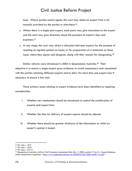issue. Where parties cannot agree, the court may select an expert from a list mutually provided by the parties or elsewhere.[56](#page-97-0)

- Where there is a single joint expert, each party may give instructions to the expert and the court may give directions about the payment of expert's fees and expenses.[57](#page-97-1)
- At any stage, the court may direct a discussion between experts for the purpose of reaching an agreed opinion on issues, or for preparation of a statement on those issues where they agree and disagree, along with their reasons for disagreeing.<sup>[58](#page-97-2)</sup>

Similar reforms were introduced in 2004 in Queensland, Australia.[59](#page-97-3) Their objective is to ensure a single expert gives evidence, to avoid unnecessary costs associated with the parties retaining different experts and to allow for more than one expert only if necessary to ensure a fair trial.

Three primary issues relating to expert evidence have been identified as requiring consideration:

- i. Whether new mechanisms should be introduced to control the proliferation of experts and expert bias.
- ii. Whether the time for delivery of expert reports should be altered.
- iii. Whether there should be greater disclosure of the information on which an expert's opinion is based.

 56 UK rules, r. 35.7.

<span id="page-97-1"></span><span id="page-97-0"></span><sup>57</sup> UK rules, r. 35.8.

<span id="page-97-2"></span><sup>58</sup> UK rules, r. 35.12.

<span id="page-97-3"></span><sup>59</sup> Queensland, Australia, Uniform Civil Procedure Amendment Rule (No. 1) 2004, section 7, Part 5 – Expert Evidence, online: Queensland Legislation <http://www.legislation.gld.gov.au/LEGISLTN/SLS/2004/04SL115.pdf>.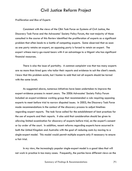*Proliferation and Bias of Experts* 

Consistent with the views of the CBA Task Force on Systems of Civil Justice, the Discovery Task Force and the Advocates' Society Policy Forum, the vast majority of those consulted in the course of this Review identified the proliferation of experts as a significant problem that often leads to a battle of competing experts. Some observed that as soon as one party retains an expert, an opposing party is forced to retain an expert. The expert witness merry-go-round bears with it an advantage to a litigant who has significant financial resources.

There is also the issue of partiality. A common complaint was that too many experts are no more than hired guns who tailor their reports and evidence to suit the client's needs. I know that this problem exists, but I hasten to add that not all experts should be tarred with the same brush.

As suggested above, numerous initiatives have been undertaken to improve the expert evidence process in recent years. The 2006 Advocates' Society Policy Forum included an expert-evidence working group that recommended a rule requiring opposing experts to meet before trial to narrow disputed issues. In 2003, the Discovery Task Force made recommendations in the context of the discovery process to adjust timelines regarding expert reports. The task force called for the establishment of best practices for the use of experts and their reports. It also said that consideration should be given to allowing limited examination for discovery of experts before trial, on the expert's consent or by order of the court. In addition, recent reforms regarding experts have occurred in both the United Kingdom and Australia with the goal of reducing costs by moving to a single-expert model. This model would permit multiple experts only if necessary to ensure a fair trial.

In my view, the increasingly popular single-expert model is a good idea that will not work in practice in too many cases. Frequently, the parties have different views on the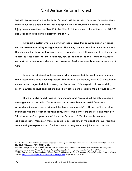factual foundation on which the expert's report will be based. There are, however, cases that cry out for a single expert. For example, I think of actuarial evidence in personal injury cases where the core "blank" to be filled in is the present value of the loss of \$1,000 per year calculated using a discount rate of X%.

I support a system where a particular case or issue that requires expert evidence can be accommodated by a single expert. However, I do not think that should be the rule. Deciding whether to go with a single expert is a matter best left to counsel to determine on a case-by-case basis. For those relatively few cases that get to trial, I think trial judges can sort out those matters where experts were retained unnecessarily when costs are dealt with.

In some jurisdictions that have explored or implemented the single-expert model, some reservations have been expressed. The Alberta Law Institute, in its 2003 consultation memorandum, suggested that choosing and instructing a joint expert could cause delay, result in numerous court applications and likely cause more problems than it would solve.<sup>60</sup>

There are also mixed reviews from England and Wales about the effectiveness of the single joint expert rule. The reform is said to have been successful "in terms of proportionality, costs, and driving out the 'hired gun' experts."[61](#page-99-1) However, it is not clear that it has had the effect of reducing costs, since some parties are still retaining their own "shadow expert" to opine on the joint expert's report.  $62$  This inevitably results in additional costs. Moreover, there appears to be case law at the appellate level resulting from the single expert model. The instructions to be given to the joint expert and the

<span id="page-99-0"></span><sup>60</sup> Alberta Law Reform Institute, *Expert Evidence and "independent" Medical Examinations* (Consultation Memorandum No. 12.3) (Edmonton: ALRI, 2003) at 23.

<span id="page-99-1"></span><sup>61</sup> Robert Musgrove, *Lord Woolf's Reforms of Civil Justice: The Reforms, their Impact, and the future for civil justice*  reform in England and Wales, Address to Advocates' Society Policy Forum (Toronto: March 9, 2006).<br><sup>62</sup> U.K., Department of Constitutional Affairs, Emerging Findings: An Early Evaluation of the Civil Justice Reforms (March

<span id="page-99-2"></span><sup>2001),</sup> <http://www.dca.gov.uk/civil/emerge/emerge.htm>, at paras 4.21 - 4.26.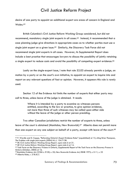desire of one party to appoint an additional expert are areas of concern in England and Wales.[63](#page-100-0)

British Columbia's Civil Justice Reform Working Group considered, but did not recommend, mandatory single joint experts in all cases.<sup>[64](#page-100-1)</sup> Instead, it recommended that a case planning judge give directions in appropriate cases as to whether parties must use a single joint expert on a given issue.<sup>[65](#page-100-2)</sup> Similarly, the Discovery Task Force did not recommend single joint experts in all cases. However, its Supplemental Report does include a best practice that encourages lawyers to discuss the possibility of jointly retaining a single expert to reduce costs and avoid the possibility of competing expert evidence.<sup>[66](#page-100-3)</sup>

Lastly on the single-expert issue, I note that rule 52.03 already permits a judge, on motion by a party or on the court's own initiative, to appoint an expert to inquire into and report on any relevant questions of fact or opinion. However, it appears this rule is rarely used.

Section 12 of the *Evidence Act* limits the number of experts that either party may call to three, unless leave of the judge is obtained. It reads:

> Where it is intended by a party to examine as witnesses persons entitled, according to the law or practice, to give opinion evidence, not more than three of such witnesses may be called upon either side without the leave of the judge or other person presiding.

Two other Canadian jurisdictions restrict the number of experts to three, unless leave of the court is obtained (Manitoba, New Brunswick).<sup>[67](#page-100-4)</sup> Alberta does not permit more than one expert on any one subject on behalf of a party, except with leave of the court.<sup>[68](#page-100-5)</sup>

<span id="page-100-0"></span><sup>63</sup> P. Wardle and D. Cappe, "Reforming Ontario's Expert Evidence Rules" [unpublished] at 13, citing Brian Thompson, *The Problem with single joint experts* (2004) N.L.J. 154.7138.

<span id="page-100-1"></span>

<span id="page-100-3"></span><span id="page-100-2"></span>

<sup>&</sup>lt;sup>65</sup> BC Civil Justice Reform Working Group Report, supra note 6 at 14.<br><sup>66</sup> Task Force on the Discovery Process in Ontario, Supplemental Report of the Task Force on the Discovery Process in

<span id="page-100-5"></span><span id="page-100-4"></span>*Ontario* (October, 2005) at 16.<br><sup>67</sup>Manitoba *Evidence Act*, CCSM c. E150, s. 25; New Brunswick *Evidence Act*, RSNB 1973, c. E-11, s. 23<br><sup>68</sup> Alberta Rules, r. 218.4(1)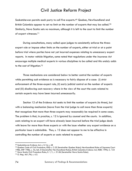Saskatchewan permits each party to call five experts.<sup>[69](#page-101-0)</sup> Quebec, Newfoundland and British Columbia appear to set no limit on the number of experts that may be called.<sup>[70](#page-101-1)</sup> Similarly, Nova Scotia sets no maximum, although it is left to the court to limit the number of expert witnesses.<sup>[71](#page-101-2)</sup>

During consultations, many called upon judges to consistently enforce the threeexpert rule or impose other limits on the number of experts, either at trial or at a point before trial where parties have not yet incurred expenses relating to unnecessary expert reports. In motor vehicle litigation, some noted that regulations under the *Insurance Act* encourage multiple medical experts in various disciplines to be called and this unduly adds to the cost of litigation.[72](#page-101-3)

Three mechanisms are considered below to better control the number of experts while permitting such evidence as is necessary to fairly dispose of a case: (i) strict enforcement of the three-expert rule, (ii) early judicial control on the number of experts and (iii) disallowing cost-recovery where in the view of the court the costs related to certain experts may have been incurred unnecessarily.

Section 12 of the *Evidence Act* seeks to limit the number of experts (to three), but with a balancing mechanism (leave from the trial judge to call more than three experts) that recognizes that more than three experts may reasonably be required in some cases. The problem is that, in practice, s. 12 is ignored by counsel and the courts. In addition, costs relating to an expert will have already been incurred before the trial judge deals with leave for more than three experts or with the issue whether any expert evidence on a particular issue is admissible. Thus, s. 12 does not appear to me to be effective in controlling the number of experts or costs related to experts.

<span id="page-101-1"></span><span id="page-101-0"></span><sup>&</sup>lt;sup>69</sup> Saskatchewan *Evidence Act, c.* S-16, s. 48<br><sup>70</sup> Quebec Code of Civil Procedure, RSQ c. C-25 [hereinafter Quebec Rules]; Newfoundland Rules of Supreme Court 1986, SNF 1986, c. 42, Sch. D [hereinafter Newfoundland Rules]; British Columbia Evidence Act, RSBC 1996, C. 124<br><sup>71</sup> Nova Scotia Civil Procedure Rules, E. 1/1, r. 31.06 [hereinafter Nova Scotia Rules].<br><sup>72</sup> O. Reg. 461/96

<span id="page-101-3"></span><span id="page-101-2"></span>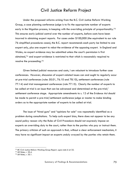Under the proposed reforms arising from the B.C. Civil Justice Reform Working Group, a case planning conference judge is to fix the appropriate number of experts early in the litigation process, in keeping with the overriding principle of proportionality.<sup>[73](#page-102-0)</sup> This ensures early judicial control over the number of experts, before costs have been incurred in obtaining expert reports. For cases under \$100,000 (the equivalent to our rule 76 simplified procedures cases), the B.C. report recommends each party be limited to one expert only, plus one expert to rebut the evidence of the opposing expert. In England and Wales, no expert evidence may be submitted unless the court's permission is first obtained,[74](#page-102-1) and expert evidence is restricted to that which is reasonably required to resolve the proceeding.[75](#page-102-2)

Given limited judicial resources and costs, I am reluctant to introduce further case conferences. However, discussion of expert-related issues can and ought to regularly occur at pre-trial conferences (rules 50.01, 76.10 and 78.10), settlement conferences (rule 77.14) and trial management conferences (rule 77.15). Clearly the number of experts to be called at trial is an issue that can be advanced and determined at the pre-trial/ settlement conference stage. Appropriate amendments to s. 12 of the *Evidence Act* should be made to permit a pre-trial/settlement conference judge or master to make binding orders as to the appropriate number of experts to be called at trial.

The issue of "hired guns" and "opinions for sale" was repeatedly identified as a problem during consultations. To help curb expert bias, there does not appear to be any sound policy reason why the Rules of Civil Procedure should not expressly impose on experts an overriding duty to the court, rather than to the parties who pay or instruct them. The primary criticism of such an approach is that, without a clear enforcement mechanism, it may have no significant impact on experts unduly swayed by the parties who retain them.

<span id="page-102-0"></span><sup>73</sup> *BC Civil Justice Reform Working Group Report, supra* note 6 at 32. 74 UK Rules, r. 35.4.

<span id="page-102-1"></span>

<span id="page-102-2"></span><sup>75</sup> UK Rules, r. 35.1.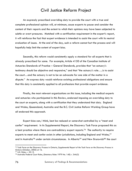An expressly prescribed overriding duty to provide the court with a true and complete professional opinion will, at minimum, cause experts to pause and consider the content of their reports and the extent to which their opinions may have been subjected to subtle or overt pressures. Matched with a certification requirement in the expert's report, it will reinforce the fact that expert evidence is intended to assist the court with its neutral evaluation of issues. At the end of the day, such a reform cannot hurt the process and will hopefully help limit the extent of expert bias.

Secondly, this reform would consistently apply a standard for all experts that is already prescribed for some. For example, Article 4150 of the Canadian Institute of Actuaries Standards of Practice – General Standards, provides that "an actuary's testimony should be objective and responsive," and that "the actuary's role…..is to assist the court…and the actuary is not to be an advocate for one side of the matter in a dispute." An express duty would reinforce existing professional obligations and ensure that this duty is consistently applied to all professions that provide expert evidence.

Finally, the most relevant organizations on this issue, including the medical experts and actuaries who participated in this Review, endorsed imposing an overriding duty to the court on experts, along with a certification that they understand that duty. England and Wales, Queensland, Australia and the B.C. Civil Justice Reform Working Group have all endorsed this approach.

Expert bias can, I think, best be reduced or somewhat controlled by a "meet and confer" requirement. In its Supplemental Report, the Discovery Task Force proposed this as a best practice where there are contradictory expert reports.<sup>[76](#page-103-0)</sup> The authority to require experts to meet and confer exists in other jurisdictions, including England and Wales,<sup>[77](#page-103-1)</sup> and in Australia<sup>[78](#page-103-2)</sup> under certain circumstances. In Alberta<sup>[79](#page-103-3)</sup> and New Brunswick<sup>[80](#page-103-0)</sup> the court

<span id="page-103-3"></span><span id="page-103-0"></span><sup>76</sup> Task Force on the Discovery Process in Ontario, *Supplemental Report of the Task Force on the Discovery Process in Ontario* (October, 2005) at 16. 77 U.K. Rules, r. 35.12.

<span id="page-103-1"></span>

<span id="page-103-2"></span><sup>78</sup> Australia Federal Court Rules, (Statutory Rules 1979 No. 140) r. 34A(3)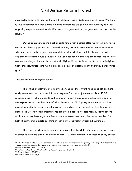may order experts to meet at the pre-trial stage. British Columbia's Civil Justice Working Group recommended that a case planning conference judge have the authority to order opposing experts to meet to identify areas of agreement or disagreement and narrow the issues.[81](#page-104-0)

During consultations, medical experts noted that doctors often work well in forming consensus. They suggested that it would be very useful to have experts meet to consider whether issues can be agreed upon and determine which are still in dispute. For all experts, this reform would provide a level of peer review that expert opinions do not now routinely undergo. It may also assist in clarifying disparate interpretations of underlying facts and assumptions and would introduce a level of accountability that may deter "hired guns."

#### *Time for Delivery of Expert Reports*

The timing of delivery of expert reports under the current rules does not promote early settlement and may result in late requests for trial adjournments. Rule 53.03 requires a party who intends to call an expert to serve opposing parties with a copy of the expert's report not less than 90 days before trial.<sup>[82](#page-104-1)</sup> A party who intends to call an expert to testify in response must serve a responding expert report not less than 60 days before trial.[83](#page-104-2) Any supplementary report must be served not less than 30 days before trial. Anchoring these tight timelines to the trial event has been cited as a problem for both litigants and experts, resulting in last-minute requests for trial adjournments.

There was much support among those consulted for delivering expert reports sooner in order to promote early settlement of cases. Without disclosure of these reports, parties

 $79$  Alberta Rules, r. 218.9(1). In very long trial matters, a case management judge may order experts to "consult on a without prejudice basis to determine any matters on which agreement can be reached."<br><sup>80</sup> New Brunswick Rules, r. 50.09(g).<br><sup>81</sup> BC Civil Justice Reform Working Group Report, supra note 6 at 32.<br><sup>82</sup> Ontario Rules, r. 53.0

<span id="page-104-1"></span><span id="page-104-0"></span>

<span id="page-104-2"></span><sup>83</sup> Ontario Rules, r. 53.03(2).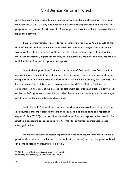are often unwilling or unable to enter into meaningful settlement discussions. It was also said that the 90/60/30 day rule does not work because experts are often too busy to prepare a reply report in 30 days. In bilingual proceedings, these limits can make timely translation difficult.

Several organizations were in favour of anchoring the 90/60/30 day rule to the date of the pre-trial or settlement conference. Personal injury lawyers were largely in favour of this reform, but said that if the pre-trial is too far in advance of the trial (i.e., more than six months), expert reports may not be current by the time of a trial, resulting in additional costs incurred to update the reports.

In its 1996 *Report of the Task Force on Systems of Civil Justice*, the Canadian Bar Association recommended early disclosure of expert reports and the exchange of expert critique reports in a timely fashion before trial. $84$  As mentioned earlier, the Discovery Task Force also considered this issue. It recommended the 90/60/30 day timelines be calculated from the date of the pre-trial or settlement conference, subject to a court order or the parties' agreement otherwise, provided that it remains possible to have meaningful pre-trial or settlement conference discussions.[85](#page-105-1)

I note that rule 50.05 already requires parties to make available at the pre-trial all documents that may assist at the pre-trial, "such as medical reports and reports of experts." Rule 76.10(4) also requires the disclosure of expert reports at the pre-trial for simplified procedure cases, as does rule 77.14(6) for settlement conferences in case managed actions.

Linking the delivery of expert reports to the pre-trial assumes that there will be a pre-trial (in some areas, actions go to trial without a pre-trial) and that the pre-trial is held at a time reasonably proximate to the trial.

<span id="page-105-0"></span><sup>84</sup> *CBA Systems of Civil Justice Report, supra* note 2 at 44. 85 *Discovery Task Force Report, supra* note 3 at 128-131.

<span id="page-105-1"></span>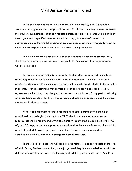In the end it seemed clear to me that one rule, be it the 90/60/30 day rule or some other trilogy of numbers, simply will not work in all cases. In many commercial cases the simultaneous exchange of expert reports is often agreed to by counsel, who include in their agreement a specified time for each side to reply to the other's reports. In negligence actions, that model becomes impractical since a defendant frequently needs to know on what expert evidence the plaintiff's claim is being advanced.

In my view, the timing for delivery of expert reports is best left to counsel. They should be required to determine on a case specific basis when and how experts' reports will be exchanged.

In Toronto, once an action is set down for trial, parties are required to jointly or separately complete a Certification Form to Set Pre-Trial and Trial Dates. This form requires parties to identify when expert reports will be exchanged. Similar to the practice in Toronto, I would recommend that counsel be required to consult and seek to reach agreement on the timing of exchange of expert reports within the 60 day period following an action being set down for trial. This agreement should be documented and be before the pre-trial judge or master.

Where no agreement has been reached, a general default period should be established. Accordingly, I think that rule 53.03 should be amended so that expert reports, responding reports and any supplementary reports must be delivered within 90, 60, and 30 days, respectively, prior to pre-trials and settlement conferences. Since this is a default period, it would apply only where there is no agreement or court order obtained on motion to extend or abridge the default time lines.

There will still be those who will seek late requests to file expert reports on the eve of trial. During Review consultations, some judges said they feel compelled to permit late delivery of expert reports given the language of 53.08(1), which states leave "shall" be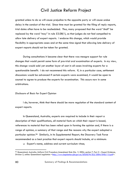granted unless to do so will cause prejudice to the opposite party or will cause undue delay in the conduct of the trial. Since time must be granted for the filing of reply reports, trial dates often have to be rescheduled. Thus, many proposed that the word "shall" be replaced by the word "may" in rule 53.08(1), so that judges do not feel compelled to allow late delivery of expert reports. I endorse this change, which would provide flexibility in appropriate cases and at the same time signal that allowing late delivery of expert reports should not be taken for granted.

During consultations it became clear that there was meagre support for rule changes that would permit some form of pre-trial oral examination of experts. In my view, this change would add yet another layer of cost in all cases involving experts for a questionable benefit. I do not recommend this reform. If, in a particular case, settlement discussions would be advanced if certain experts were examined, it would be open to counsel to agree to produce the experts for examination. This occurs now in some arbitrations.

### *Disclosure of Basis for Expert Opinion*

I do, however, think that there should be more regulation of the standard content of expert reports.

In Queensland, Australia, experts are required to include in their report a description of their qualifications, all material facts on which their report is based, references to material that has been relied upon in forming the opinion and, if there is a range of opinion, a summary of that range and the reasons why the expert adopted a particular opinion.[86](#page-107-0) Similarly, in its Supplemental Report, the Discovery Task Force recommended as a best practice that expert reports should include, at a minimum:

Expert's name, address and current curriculum vitae;

<span id="page-107-0"></span><sup>86</sup> Queensland, Australia, Uniform Civil Procedure Amendment Rule (No. 1) 2004, section 7, Part 5 – Expert Evidence, Division 2, online: Queensland Legislation [<http://www.legislation.qld.gov.au/LEGISLTN/SLS/2004/04SL115.pdf>](http://www.legislation.qld.gov.au/LEGISLTN/SLS/2004/04SL115.pdf).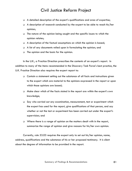- A detailed description of the expert's qualifications and area of expertise;
- $\Box$  A description of research conducted by the expert to be able to reach his/her opinion;
- The nature of the opinion being sought and the specific issues to which the opinion relates;
- $\Box$  A description of the factual assumptions on which the opinion is based;
- $\Box$  A list of any documents relied upon in formulating the opinion; and
- The opinion and the basis for the opinion.

In the U.K., a Practice Direction prescribes the contents of an expert's report. In addition to many of the items recommended in the Discovery Task Force's best practice, the U.K. Practice Direction also requires the expert report to:

- Contain a statement setting out the substance of all facts and instructions given to the expert which are material to the opinions expressed in the report or upon which those opinions are based;
- Make clear which of the facts stated in the report are within the expert's own knowledge;
- Say who carried out any examination, measurement, test or experiment which the expert has used for the report, give qualifications of that person, and say whether or not the test or experiment has been carried out under the expert's supervision; and
- $\Box$  Where there is a range of opinion on the matters dealt with in the report, summarize the range of opinion and give reasons for his/her own opinion.

Currently, rule 53.03 requires the expert only to set out his/her opinion, name, address, qualifications and the substance of his or her proposed testimony. It is silent about the degree of information to be provided in the report.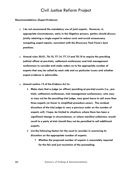#### **Recommendations (Expert Evidence)**

- **I do not recommend the mandatory use of joint experts. However, in appropriate circumstances, early in the litigation process, parties should discuss jointly retaining a single expert to reduce costs and avoid unnecessary competing expert reports, consistent with the Discovery Task Force's best practices.**
- **Amend rules 50.01, 76.10, 77.14, 77.15 and 78.10 to require the presiding judicial officer at pre-trials, settlement conferences and trial management conferences to consider and make orders as to the appropriate number of experts that may be called by each side and on particular issues and whether expert evidence is admissible.**
- **Amend section 12 of the** *Evidence Act* **to:** 
	- **Make clear that a judge (or officer) presiding at pre-trial events (i.e., pretrials, settlement conferences, trial management conferences), who may or may not be the presiding trial judge, may grant leave to call more than three experts (or fewer in simplified procedure cases). The residual discretion of the trial judge to vary a previous order on the number of experts will, I hope, be limited to situations where there has been a significant change in circumstances, or where manifest unfairness would result to a party at trial should they not be permitted to call additional experts.**
	- **List the following factors for the court to consider in exercising its discretion on the appropriate number of experts:** 
		- **Whether the proposed number of experts is reasonably required for the fair and just resolution of the proceeding;**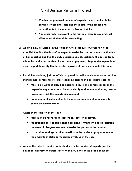- **Whether the proposed number of experts is consistent with the principle of keeping costs and the length of the proceeding proportionate to the amount or issues at stake;**
- **Any other factors relevant to the fair, just, expeditious and costeffective resolution of the proceeding.**
- **Adopt a new provision (in the Rules of Civil Procedure or** *Evidence Act***) to establish that it is the duty of an expert to assist the court on matters within his or her expertise and that this duty overrides any obligation to the person from whom he or she has received instructions or payment. Require the expert, in an expert report, to certify that he or she is aware of and understands this duty.**
- **Permit the presiding judicial official at pre-trials, settlement conferences and trial management conferences to order opposing experts in appropriate cases to:** 
	- **Meet, on a without prejudice basis, to discuss one or more issues in the respective expert reports to identify, clarify and, one would hope, resolve issues on which the experts disagree and**
	- **Prepare a joint statement as to the areas of agreement, or reasons for continued disagreement**

**where in the opinion of the court** 

- **there may be room for agreement on some or all issues,**
- **the rationale for opposing expert opinions is unknown and clarification on areas of disagreement would assist the parties or the court or**
- **cost or time savings or other benefits can be achieved proportionate to the amounts at stake or the issues involved in the case.**
- **Amend the rules to require parties to discuss the number of experts and the timing for delivery of expert reports within 60 days of the action being set**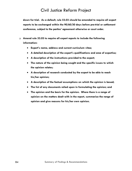**down for trial. As a default, rule 53.03 should be amended to require all expert reports to be exchanged within the 90/60/30 days before pre-trial or settlement conference, subject to the parties' agreement otherwise or court order.** 

- **Amend rule 53.03 to require all expert reports to include the following information:** 
	- **Expert's name, address and current curriculum vitae;**
	- **A detailed description of the expert's qualifications and area of expertise;**
	- **A description of the instructions provided to the expert;**
	- **The nature of the opinion being sought and the specific issues to which the opinion relates;**
	- **A description of research conducted by the expert to be able to reach his/her opinion;**
	- **A description of the factual assumptions on which the opinion is based;**
	- **The list of any documents relied upon in formulating the opinion; and**
	- **The opinion and the basis for the opinion. Where there is a range of opinion on the matters dealt with in the report, summarize the range of opinion and give reasons for his/her own opinion.**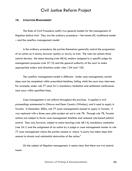#### **10. LITIGATION MANAGEMENT**

The Rules of Civil Procedure codify two general models for the management of litigation before trial. They are the ordinary procedure – the hands-off, traditional model – and the caseflow management model.

In the ordinary procedure, the parties themselves generally control the progression of an action as it moves, however quickly or slowly, to trial. The rules do contain three control devices: the status hearing (rule 48.l4), matters assigned to a specific judge for management purposes (rule 37.15) and the general authority of the court to make appropriate orders and directions under rules 1.04 and 1.05.

The caseflow management model is different. Under case management, certain steps must be completed within prescribed timelines, failing which the court may intervene. For example, under rule 77 (and 24.1) mandatory mediation and settlement conferences must occur within specified times.

Case management is not uniform throughout the province. It applies in civil proceedings commenced in Ottawa and Essex Country (Windsor), and it used to apply in Toronto. In December 2004, rule 77 (case management) ceased to apply in Toronto. It was replaced with a three-year pilot project set out in rule 78. Through rule 78, Toronto actions are subject to fewer case management timelines and reduced rule-based judicial control. They are, however, subject to status hearings (rule 48.14), mandatory mediation (rule 24.1) and the assignment of an action by a judge or case management master to rule 77 case management where the parties consent or where "a party has taken steps that amount to chronic and substantial obstruction of the action."

On the subject of litigation management, it seems clear that there are two central issues: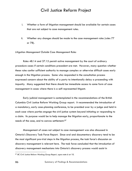- i. Whether a form of litigation management should be available for certain cases that are not subject to case management rules.
- ii. Whether any changes should be made to the case management rules (rules 77 or 78).

#### *Litigation Management Outside Case Management Rules*

Rules 48.14 and 37.15 permit active management by the court of ordinary procedure cases if certain conditions precedent are met. However, many question whether these rules confer sufficient authority to manage complex or otherwise difficult cases early enough in the litigation process. Some who responded in the consultation process expressed concern about the ability of a party to intentionally delay a proceeding with impunity. Many suggested that there should be immediate access to some form of case management in cases where there is a self-represented litigant.

Early judicial management is contemplated in the recommendations of the British Columbia Civil Justice Reform Working Group report. It recommended the introduction of a mandatory, early case-planning conference, to be presided over by a judge and held in each case where parties engage the civil justice system beyond initiating or responding to a claim. Its purpose would be to help manage the litigation early, proportionate to the needs of the case, and to canvas settlement.[87](#page-113-0)

Management of cases not subject to case management was also discussed in Ontario's Discovery Task Force Report. Since oral and documentary discovery tend to be the most significant pre-trial steps in the litigation process, the task force's discussion on discovery management is relevant here. The task force concluded that the introduction of discovery management mechanisms into Ontario's discovery process would assist in

 $\overline{a}$ 

<span id="page-113-0"></span><sup>87</sup> *BC Civil Justice Reform Working Group Report, supra* note 6 at 10.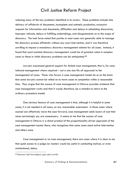reducing many of the key problems identified in its review. These problems include late delivery of affidavits of documents, incomplete and untimely production, excessive requests for information and documents, difficulties and delays in scheduling discoveries, improper refusals, delays in fulfilling undertakings, and disagreements as to the scope of discovery. The task force noted that parties in most cases are generally able to manage the discovery process efficiently without any court intervention, and it was therefore unwilling to impose a mandatory discovery management scheme for all cases. Instead, it found that court-assisted discovery management would be of greatest value in complex cases or those in which discovery problems can be anticipated.[88](#page-114-0)

Lawyers expressed general support for limited case management, that is, for casetailored management where required – not a one size fits all approach to the management of cases. Those who favour a case management model do so on the basis that some lawyers cannot be relied on to move cases to completion within a reasonable time. They argue that the success of case management in Ottawa provides evidence that case management works and that it would, therefore, be a mistake to return to the ordinary procedure model.

One obvious feature of case management is that, although it is helpful in some cases, it is not needed in all cases, on any reasonable assessment. In those cases where counsel can effectively move the case forward, case management adds layers of cost that some convincingly say are unnecessary. It seems to me that the success of case management in Ottawa is a direct product of the proportionality-driven approach of the case management master there, who recognizes that some cases need active intervention and others none.

Case management or no case management, there are cases where it is clear to me that quick access to a judge (or master) would be useful in combating tactical, or even unintentional, delay.

<span id="page-114-0"></span><sup>88</sup> *Discovery Task Force Report*, *supra* note 3 at 83.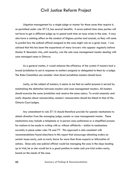Litigation management by a single judge or master for those cases that require it, as permitted under rule 37.15, has several benefits. It saves judicial time since parties will not have to get a different judge up to speed each time an issue arises in the case. It may also have a calming effect on the conduct of litigious parties and counsel, as they will come to predict how the judicial official assigned to the case might rule on a given issue. I was advised that this has been the experience of many lawyers who appear regularly before Master R. Beaudoin who, until recently, was the sole case management master dealing with case managed cases in Ottawa.

As a general matter, it would enhance the efficiency of the system if masters had a broad jurisdiction to act in response to matters assigned or delegated to them by a judge. The Rules Committee can consider what direct jurisdiction masters should have.

Lastly, on the subject of masters, it seems to me that no useful purpose is served by maintaining the distinction between masters and case management masters. All masters should exercise the same jurisdiction and receive the same salary. To avoid unseemly and costly disputes about remuneration, masters' remuneration should be linked to that of the Ontario Court judges.

Any amendment to rule 37.15 should therefore provide for speedy mechanisms to obtain direction from the managing judge, master or case management master. These mechanisms may include a telephone or in-person case conference or a simplified process for motions to be made in writing with or without affidavits – similar to mechanisms currently in place under rules 76 and 77. This approach is also consistent with recommendations found elsewhere in this report that encourage obtaining orders on certain issues early, such as early leave for more than three experts or bifurcation of actions. Since only one judicial official would be managing the case in the steps leading up to trial, he or she would be in a good position to make such pre-trial orders early, based on the needs of the case.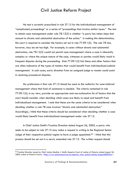No test is currently prescribed in rule 37.15 for the individualized management of "complicated proceedings" or a series of "proceedings that involve similar issues." The test to obtain case management under rule 78.12(3) is whether "a party has taken steps that amount to chronic and substantial obstruction of the action." In making this determination, the court is required to consider the factors set out in rule 77.09.1(5). The rule 78 test, however, may be set too high. For example, in cases without chronic and substantial obstruction, rule 78.12(3) would not permit case management where a case is inherently complex or where the unique nature of the case, witnesses or parties would likely result in frequent disputes during the proceeding. Rule 77.09.1(5) lists these and other factors that are often indicative of the types of matters that would benefit from individualized judicial management. In such cases, early direction from an assigned judge or master could assist in resolving procedural disputes.

My preference is that rule 37.15 should be used as the authority for case-tailored management where that kind of assistance is needed. The criteria contained in rule 77.09.1(5), in my view, provide an appropriate and non-exhaustive list of factors that the court should consider when deciding which cases are likely to need and benefit from individualized management. I note that these are the same criteria to be considered when deciding whether a rule 78 case involves "chronic and substantial obstruction." Accordingly, I think that these criteria should be considered when deciding whether a case would likely benefit from individualized management under rule 37.15.

In Chief Justice Smith's Practice Direction dated August 26, 2005, a party who seeks to be subject to rule 37.15 may make a request in writing to the Regional Senior Judge of their respective judicial region to have a judge appointed.<sup>[89](#page-116-0)</sup> I think that this process should be set out in a newly amended rule 37.15. The written request should

<span id="page-116-0"></span><sup>89</sup> Practice Direction issued by Chief Justice Heather J. Smith, Superior Court of Justice of Ontario, dated August 26, 2005, online at Ontario Courts, <[http://www.ontariocourts.on.ca/superior\\_court\\_justice/notices/august2005.htm>](http://www.ontariocourts.on.ca/superior_court_justice/notices/august2005.htm).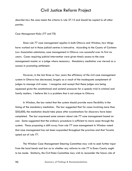describe how the case meets the criteria in rule 37.15 and should be copied to all other parties.

#### *Case Management Rules (77 and 78)*

Since rule 77 case management applies in both Ottawa and Windsor, how things have worked out in those judicial centres is instructive. According to the County of Carleton Law Association submission, case management in Ottawa was successful over its first six years. Cases requiring judicial intervention were given timely access to the case management master or a judge where necessary. Mandatory mediation was viewed as a success in promoting settlement.

However, in the last three or four years the efficiency of the civil case management system in Ottawa has decreased, largely as a result of the inadequate complement of judges to manage civil cases. I recognize and accept that these judges are being squeezed given the constitutional and societal pressures for a speedy trial in criminal and family matters. I believe this is a problem that is not unique to Ottawa.

In Windsor, the bar noted that the system should provide more flexibility in the timing of the mandatory mediation. The bar suggested that for cases involving more than \$50,000, the mediation should take place after examinations for discovery have been completed. The bar expressed some concern about rule 77 case management based on cost. Some suggested that the ordinary procedure is sufficient to move cases through the system. Those proposing a shift away from rule 77 case management in Windsor noted that case management has not been expanded throughout the province and that Toronto opted out of rule 77.

The Windsor Case Management Steering Committee may wish to seek further input from the local bench and bar as to whether any reforms to rule 77 in Essex County ought to be made. Similarly, the Civil Rules Committee may wish to reconsider the future role of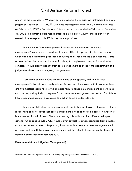rule 77 in the province. In Windsor, case management was originally introduced as a pilot project on September 4, 19[90](#page-118-0).<sup>90</sup> Civil case management under rule 77 came into force on February 3, 1997 in Toronto and Ottawa and was expanded to Windsor on December 31, 2002 to maintain a case management regime in Essex County and as part of an overall plan to expand rule 77 throughout the province.

In my view, a "case management if necessary, but not necessarily case management" model makes considerable sense. This is the process in place in Toronto, which has made substantial progress in reducing delay for both trials and motions. Some actions defined by type – such as medical/hospital negligence cases, which tend to be complex – would clearly benefit from case management or at least the appointment of a judge to address areas of ongoing disagreement.

Case management in Ottawa, as it works on the ground, and rule 78 case management in Toronto are closely related in practice. The master in Ottawa (now there are two masters) seems to know which cases require hands-on management and which do not. He responds quickly to requests from counsel for management assistance. That is how I think case management is supposed to work in Toronto under rule 78.

In my view, full-blown case management applicable to all cases is too costly. There is, as I have said, no doubt that case management is needed for some cases. However, it is not needed for all of them. The status hearing rule will control manifestly delinquent actions. An expanded rule 37.15 would permit counsel to obtain assistance from a judge (or master) when required. Simply put, those cases that do not require management will obviously not benefit from case management, and they should therefore not be forced to bear the extra costs that accompany it.

#### **Recommendations (Litigation Management)**

<span id="page-118-0"></span><sup>90</sup> Essex Civil Case Management Rules, R.R.O. 1990, Reg. 189 (revoked on December 31, 2002).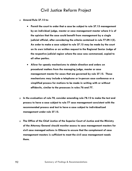- **Amend Rule 37.15 to:** 
	- **Permit the court to order that a case be subject to rule 37.15 management by an individual judge, master or case management master where it is of the opinion that the case could benefit from management by a single judicial official, after considering the criteria contained in rule 77.09.1(5). An order to make a case subject to rule 37.15 may be made by the court on its own initiative or on written request to the Regional Senior Judge of the respective judicial region where the case was commenced, copied to all other parties.**
	- **Allow for speedy mechanisms to obtain direction and orders on procedural matters from the managing judge, master or case management master for cases that are governed by rule 37.15. These mechanisms may include a telephone or in-person case conference or a simplified process for motions to be made in writing with or without affidavits, similar to the processes in rules 76 and 77.**
- **In the evaluation of rule 78, consider amending rule 78.12 to make the test and process to have a case subject to rule 77 case management consistent with the recommended process and test to have a case subject to individualized management under rule 37.15.**
- **The Office of the Chief Justice of the Superior Court of Justice and the Ministry of the Attorney General should monitor access to case management masters for civil case managed actions in Ottawa to ensure that the complement of case management masters is sufficient to meet the civil case management needs there.**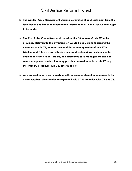- **The Windsor Case Management Steering Committee should seek input from the local bench and bar as to whether any reforms to rule 77 in Essex County ought to be made.**
- **The Civil Rules Committee should consider the future role of rule 77 in the province. Relevant to this investigation would be any plans to expand the operation of rule 77, an assessment of the current operation of rule 77 in Windsor and Ottawa as an effective time- and cost-savings mechanism, the evaluation of rule 78 in Toronto, and alternative case management and noncase management models that may possibly be used to replace rule 77 (e.g., the ordinary procedure, rule 78, other models).**
- **Any proceeding in which a party is self-represented should be managed to the extent required, either under an expanded rule 37.15 or under rules 77 and 78.**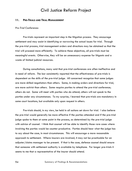#### **11. PRE-TRIALS AND TRIAL MANAGEMENT**

#### *Pre-Trial Conferences*

Pre-trials represent an important step in the litigation process. They encourage settlement and may assist in identifying or narrowing the actual issues for trial. Through the pre-trial process, trial management orders and directions may be obtained so that the trial will proceed more efficiently. To achieve these objectives, all pre-trials must be meaningful events. Otherwise, they will be an unnecessary expense for litigants and a waste of limited judicial resources.

During consultations, many said that pre-trial conferences are often ineffective and in need of reform. The bar consistently reported that the effectiveness of pre-trials is dependent on the skills of the pre-trial judge. All concerned recognize that some judges are more skilled negotiators than others. Some, in making orders and directions for trial, are more activist than others. Some require parties to attend the pre-trial conference; others do not. Some will meet with parties who do attend; others will not speak to the parties under any circumstances. To my surprise, I learned that pre-trials are mandatory in some court locations, but available only upon request in others.

Pre-trials should, in my view, be held in all actions set down for trial. I also believe the pre-trial would generally be more effective if the parties attended and if the pre-trial judge spoke to them at some point in the process, as determined by the pre-trial judge with advice of counsel. I think that counsel will be able to identify those rare cases where involving the parties would be counter-productive. Parties should hear what the judge has to say about the case, in most circumstances. This will encourage a more reasonable approach to settlement. Where insurers are involved, it may not be practicable for an adjuster/claims manager to be present. If that is the case, defence counsel should ensure that someone with settlement authority is available by telephone. For longer pre-trials it seems to me that a representative of the insurer should attend.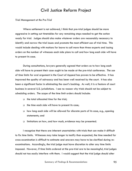*Trial Management at the Pre-Trial* 

Where settlement is not achieved, I think that pre-trial judges should be more aggressive in setting out timetables for any remaining steps needed to get the action ready for trial. Judges should also make whatever orders are reasonably necessary to identify and narrow the trial issues and promote the most efficient use of trial time. This would include dealing with motions for leave to call more than three experts and issuing orders on the number of witnesses each side plans to call and how long each side will have to present its case.

During consultations, lawyers generally agreed that orders as to how long each side will have to present their case ought to be made at the pre-trial conference. The use of time limits for oral argument in the Court of Appeal has proven to be effective. It has improved the quality of advocacy and has been well received by the court. It has also been a significant factor in eliminating the court's backlog. As well, it is a feature of court business in several U.S. jurisdictions. I see no reason why trials should not be subject to scheduling orders. The scope of the time limit orders should include:

- $\Box$  the total allocated time for the trial;
- $\Box$  the time each side will have to present its case;
- how long each side will be allowed for discrete parts of its case, e.g., opening statements; and
- □ limitations on how, and how much, evidence may be presented.

I recognize that there are inherent uncertainties with trials that can make it difficult to fix time limits. Witnesses may take longer to testify than expected, the time needed for cross-examination is difficult to estimate and answers may have to be clarified during reexaminations. Accordingly, the trial judge must have discretion to alter any time limits imposed. However, if time limits ordered at the pre-trial are to be meaningful, trial judges should not too easily interfere with them. I would suggest that the trial judge should alter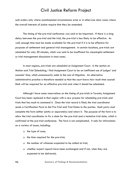such orders only where unanticipated circumstances arise or in otherwise clear cases where the overall interests of justice require that they be amended.

The timing of the pre-trial conference was said to be important. If there is a long delay between the pre-trial and the trial, the pre-trial is less likely to be effective. As well, enough time must be made available for the pre-trial if it is to be effective for purposes of settlement and general trial management. In certain locations, pre-trials are scheduled for only 30 minutes, which was said to be insufficient for meaningful settlement or trial management discussions in most cases.

In most regions, pre-trials are scheduled at Assignment Court. In the section on Motion and Trial Scheduling, I find Assignment Court to be an inefficient use of judges' and counsels' time, which unnecessarily adds to the cost of litigation. An alternative administrative practice is therefore needed so that the court knows how much time counsel think will be required for an effective pre-trial and when it should be scheduled.

Although I have some reservations on the timing of pre-trials in Toronto, Assignment Court has been replaced in that region with a new process for scheduling pre-trials and trials that has much to commend it. Once the trial record is filed, the trial coordinator sends a Certification Form to Set Pre-Trial and Trial Dates to the parties. Each party must complete the form (either jointly or separately) and return it. The purpose of the form is to allow the trial coordinator to fix a date for the pre-trial and a tentative trial date, which is confirmed at the pre-trial conference. The form is not complicated. It asks for information on a variety of issues, including:

- the type of case;
- $\Box$  the time required for the pre-trial;
- $\Box$  the number of witnesses expected to be called at trial;
- whether expert reports have been exchanged and if not, when they are expected to be delivered;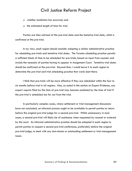- whether mediation has occurred; and
- $\Box$  the estimated length of time for trial.

Parties are then advised of the pre-trial date and the tentative trial date, which is confirmed at the pre-trial.

In my view, each region should consider adopting a similar administrative practice for scheduling pre-trials and tentative trial dates. The Toronto scheduling practice permits a sufficient block of time to be scheduled for pre-trials, based on input from counsel, and avoids the necessity of parties having to appear in Assignment Court. Tentative trial dates should be confirmed at the pre-trial. Beyond that, I would leave it to each region to determine the pre-trial and trial scheduling practice that works best there.

I think that pre-trials will be more effective if they are scheduled within the four to six months before trial in all regions. Also, as noted in the section on Expert Evidence, any expert reports filed by the time of pre-trial may become outdated by the time of trial if the pre-trial is scheduled too far out from the trial.

In particularly complex cases, where settlement or trial management discussions have not concluded, an informal process ought to be available to permit parties to return before the original pre-trial judge for a second pre-trial. While unnecessary in most cases, a second pre-trial will likely be of assistance when requested by counsel or ordered by the court. An informal administrative practice should be adopted in each region to permit parties to request a second pre-trial conference, preferably before the original pre-trial judge, to deal with any last-minute or outstanding settlement or trial management issues.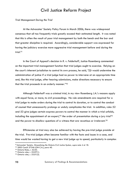*Trial Management During the Trial* 

At the Advocates' Society Policy Forum in March 2006, there was widespread consensus that all too frequently trials greatly exceed their estimated length. It was noted that this is often the result of poor trial management by both the bench and the bar and that greater discipline is required. Accordingly, considerable support was expressed for having the judiciary exercise more aggressive trial management before and during the trial.[91](#page-125-0)

In the Court of Appeal's decision in *R*. v. *Felderhoff*, Justice Rosenberg commented on the important trial management function that trial judges ought to exercise. Relying on the court's inherent jurisdiction to control its own process, he said, "[I]t would undermine the administration of justice if a trial judge had no power to intervene at an appropriate time and, like this trial judge, after hearing submissions, make directions necessary to ensure that the trial proceeds in an orderly manner."[92](#page-125-1)

Although *Felderhoff* was a criminal trial, in my view Rosenberg J.A.'s reasons apply with equal force, or more, to civil proceedings. No rule amendments are required for a trial judge to make orders during the trial to control its duration, or to control the conduct of counsel that unnecessarily prolongs or unduly complicates the trial. In addition, rules 52 and 53 give judges certain express powers to control the manner in which a trial unfolds, including the appointment of an expert,  $93$  the order of presentation during a jury trial  $94$ and the power to disallow questions of a witness that are vexatious or irrelevant.<sup>[95](#page-125-4)</sup>

Efficiencies at trial may also be achieved by having the pre-trial judge preside at the trial. Pre-trial judges often become familiar with the facts and issues in a case, and time would be wasted having to get a new trial judge up to speed, particularly in complex

<span id="page-125-0"></span><sup>&</sup>lt;sup>91</sup> Advocates' Society, Streamlining the Ontario Civil Justice System, supra note 4 at 18.<br><sup>92</sup> 2003 CanLII 37346 (ON C.A.), para 40.

<span id="page-125-1"></span>

<span id="page-125-2"></span><sup>93</sup> Ontario Rules, r. 52.03.

<span id="page-125-3"></span><sup>94</sup> Ontario rules, r. 52.07(1).

<span id="page-125-4"></span><sup>95</sup> Ontario rules, r. 53.01(2).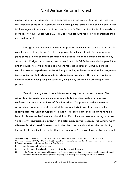cases. The pre-trial judge may have expertise in a given area of law that may assist in the resolution of the case. Continuity by the same judicial official can also help ensure that trial management orders made at the pre-trial are fulfilled and that the trial proceeds as planned. However, under rule 50.04, a judge who conducts the pre-trial conference shall not preside at trial.

I recognize that this rule is intended to protect settlement discussions at pre-trial. In complex cases, it may be advisable to separate the settlement and trial management parts of the pre-trial so that a pre-trial judge dealing with trial management issues may serve as trial judge. In any event, I recommend that rule 50.04 be amended to permit the pre-trial judge to serve as trial judge, where the parties consent. Virtually all those consulted saw no impediment to the trial judge dealing with motions and trial management issues, similar to what arbitrators do in arbitration proceedings. Having the trial judge involved earlier in long complex cases will, in my view, enhance the efficiency of the process.

One trial management issue – bifurcation – requires separate comments. The power to order issues in an action to be split into two or more trials is not expressly conferred by statute or the Rules of Civil Procedure. The power to order bifurcated proceedings appears to exist as part of the inherent jurisdiction of the court. In the leading case, the Court of Appeal held that it is a "basic right" of a litigant to have all issues in dispute resolved in one trial and that bifurcation must therefore be regarded as "a narrowly circumscribed power." [96](#page-126-0) In a later case*, Bourne v. Saunby,* the Ontario Court (General Division) listed fourteen criteria that the court should consider when evaluating the merits of a motion to sever liability from damages.<sup>[97](#page-126-1)</sup> The catalogue of factors set out

<span id="page-126-0"></span><sup>%</sup> Elcano Acceptance Ltd. et al. v. Richmond, Richmond, Stambler & Mills, (1986), 55 O.R. (2d) 56 (C.A.).<br><sup>97</sup> Bourne v. Saunby (1993), 38 O.R. (3d) 555 (Gen. Div.). Factors to be considered when determining whether to

<span id="page-126-1"></span>bifurcate a proceeding, based on *Bourne v. Saunby* are:

i. are the issues to be tried simple;

ii. are the issues of liability clearly separate from the issues of damages;

iii. is the factual structure upon which the action is based so extraordinary and exceptional that there is good reason to depart from normal practice requiring that liability and damages be tried together;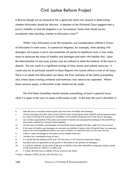in *Bourne*, though not an exhaustive list, is generally taken into account in determining whether bifurcation should be allowed. A decision of the Divisional Court suggests that a party's inability to fund the litigation is an "extraneous" factor that should not be considered when deciding whether to bifurcate a trial.[98](#page-127-0)

While I view bifurcation to be the exception, cost considerations militate in favour of bifurcation in some cases. In commercial litigation, for example, when dealing with damages will expose a party and sometimes all parties to significant costs, it may make sense to separate the issues of liability and damages and deal with liability first. Upon the determination of one issue, parties may be inclined to settle the balance of the issues in dispute. This can result in a significant savings of time, money and judicial resources. It would also be of particular benefit to those litigants who cannot afford a trial of all issues. There is no doubt that bifurcation can delay the final resolution of the entire proceeding and, where issues overlap, evidence and testimony may need to be repeated. Where these concerns apply, a bifurcation order should not be made.

The Civil Rules Committee should consider prescribing, at least in general terms, when it is open to the court to make a bifurcation order. In the end, the court's discretion in

iv. does the issue of causation touch equally upon the issues of liability and damages.

v. will the trial judge be better able to deal with the issues of the injuries of the plaintiff and his financial losses by reason of having first assessed the credibility of the plaintiff during the trial of the issue of damages;

vi. can a better appreciation of the nature and extent of injuries and consequential damage to the plaintiff be more easily reached by trying the issues together;

vii. are the issues of liability and damages so inextricably bound together that they ought not to be severed;

viii. if the issues of liability and damages are severed, are facilities in place which will permit these two separate issues to be tried expeditiously before one court or before two separate courts, as the case may be;

ix. is there a clear advantage to all parties to have liability tried first;

x. will there be a substantial saving of costs;

xi. is it certain that the splitting of the case will save time, or will it lead to unnecessary delay;

xii. has there been an agreement by the parties to the action on the quantum of damages;

xiii. if a split be ordered, will the result of the trial on liability cause other plaintiffs in companion actions, based on the same facts, to withdraw or settle; and

xiv. is it likely that the trials on liability will put an end to the action.

<span id="page-127-0"></span><sup>98</sup> *Duffy v. Gillespie* (1997), 36 O.R. (3d) 443 (Div. Ct.).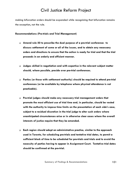making bifurcation orders should be expanded while recognizing that bifurcation remains the exception, not the rule.

#### **Recommendations (Pre-trials and Trial Management)**

- **Amend rule 50 to prescribe the dual purpose of a pre-trial conference: to discuss settlement of some or all of the issues, and to obtain any necessary orders and directions to ensure that the action is ready for trial and that the trial proceeds in an orderly and efficient manner.**
- **Judges skilled in negotiation and with expertise in the relevant subject matter should, where possible, preside over pre-trial conferences.**
- **Parties (or those with settlement authority) should be required to attend pre-trial conferences (or be available by telephone where physical attendance is not practicable).**
- **Pre-trial judges should make any necessary trial management orders that promote the most efficient use of trial time and, in particular, should be vested with the authority to impose time limits on the presentation of each side's case, subject to a residual discretion in the trial judge to alter such orders where unanticipated circumstances arise or in otherwise clear cases where the overall interests of justice require that they be amended.**
- **Each region should adopt an administrative practice, similar to the approach used in Toronto, for scheduling pre-trials and tentative trial dates, to permit a sufficient block of time to be scheduled for pre-trials and trials and to avoid the necessity of parties having to appear in Assignment Court. Tentative trial dates should be confirmed at the pre-trial.**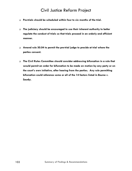- **Pre-trials should be scheduled within four to six months of the trial.**
- **The judiciary should be encouraged to use their inherent authority to better regulate the conduct of trials so that trials proceed in an orderly and efficient manner.**
- **Amend rule 50.04 to permit the pre-trial judge to preside at trial where the parties consent.**
- **The Civil Rules Committee should consider addressing bifurcation in a rule that would permit an order for bifurcation to be made on motion by any party or on the court's own initiative, after hearing from the parties. Any rule permitting bifurcation could reference some or all of the 14 factors listed in** *Bourne v. Saunby***.**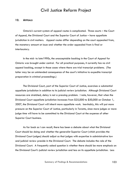#### **12. APPEALS**

Ontario's current system of appeal routes is complicated. Three courts – the Court of Appeal, the Divisional Court and the Superior Court of Justice – have appellate jurisdiction in civil matters. Appeal routes differ depending on the court appealed from, the monetary amount at issue and whether the order appealed from is final or interlocutory.

In the mid- to late1990s, the unacceptable backlog in the Court of Appeal for Ontario was brought under control. For all practical purposes, it currently has no civil appeal backlog, except in those cases where there are trial transcript problems. (The latter may be an unintended consequence of the court's initiative to expedite transcript preparation in criminal proceedings.)

The Divisional Court, part of the Superior Court of Justice, exercises a substantial appellate jurisdiction in addition to its judicial review jurisdiction. Although Divisional Court resources are stretched, delay is not a pressing problem. I note, however, that when the Divisional Court appellate jurisdiction increases from \$25,000 to \$50,000 on October 1, 2007, the Divisional Court will inherit more appellate work. Inevitably, this will put more pressure on the Superior Court of Justice, particularly in Toronto, since more judges or more judge time will have to be committed to the Divisional Court at the expense of other Superior Court business.

As far back as I can recall, there has been a debate about what the Divisional Court should be doing and whether the generalist Superior Court (which provides the Divisional Court judges) should adjust so that judges with expertise in administrative law and judicial review preside in the Divisional Court. The debate includes the role of the Divisional Court. A frequently asked question is whether there should be more emphasis on the Divisional Court's judicial review jurisdiction and less on its appellate jurisdiction. Less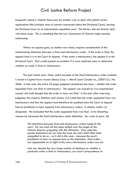frequently asked is whether there may be another way to deal with judicial review applications (the principal area of concern expressed about the Divisional Court), leaving the Divisional Court as an intermediate appellate court. This Review did not directly deal with these issues. This is something that the Law Commission of Ontario might consider addressing.

Where an appeal goes, as matters now stand, requires consideration of the unfascinating distinction between a final and interlocutory order. If the order is final, the appeal from it is to the Court of Appeal. If the order is interlocutory, the appeal is to the Divisional Court. That would present no problem if it were relatively easy to determine whether an order is final or interlocutory.

The most recent and, I think, useful example of the final/interlocutory order problem is found in *Capital Forms Income Steams Corp. v. Merrill Lynch Canada Inc.*, [2007] O.J. No. 2606. In that case, the entire 23-page judgment considered one issue – whether the order appealed from was final or interlocutory. The appeal was argued by two experienced counsel who both thought that the order in issue was final. In the end, after reserving judgment, the majority (Doherty and Jurianz JJ.A.) held that the order appealed from was interlocutory and that the appeal must therefore be quashed since the Court of Appeal had no jurisdiction to hear appeals from interlocutory orders. In dissent, Laskin J.A. disagreed. He concluded that the order appealed from was final. In his dissenting reasons he advanced the final/interlocutory order distinction. He wrote at para. 36:

> The distinction between final and interlocutory orders bedevils this court. Far too much ink has been spilled over the pages of the Ontario Reports, grappling with this distinction. Even when the parties themselves do not raise the issue, the court itself often feels compelled to do so  $-$  as it did in this case  $-$  because the court's jurisdiction to hear an appeal turns on the distinction: final orders are appealable as of right to this court; interlocutory orders are not.

And yet, despite the very large number of decisions on whether a particular order is final or interlocutory, our court's jurisprudence on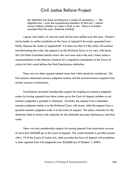the distinction has been anything but a model of consistency …. The litigation bar – even the experienced members of that bar – cannot always fathom whether an order is final or not. There is no better example than this case. [footnote omitted]

I agree with Laskin J.A. that too much ink has been spilled over this issue. Would it not be better to confer jurisdiction on the Court of Appeal if the order appealed from finally disposes the action or application? If it does not, that is if the action will continue notwithstanding the order, the appeal is to the Divisional Court, in my view, with leave. The Civil Rules Committee should review this core issue and in the end, I hope, make a recommendation to the Attorney General for a legislative amendment to the *Courts of Justice Act* that would jettison the final/interlocutory distinction.

There are two other appeal-related issues that I think should be considered. The first concerns dismissed summary judgment motions and the second concerns appeals from certain awards in arbitrations.

Consultations revealed considerable support for singling out summary judgment orders by having appeals from those orders go to the Court of Appeal whether or not summary judgment is granted or dismissed. Currently, the appeal from a dismissed summary judgment motion is to the Divisional Court, with leave, while the appeal from a granted summary judgment order is to the Court of Appeal. The policy rationale for this distinction finds its home in the rationale for the distinction between interlocutory and final order.

There was also considerable support for having appeals from arbitration awards of more than \$50,000 go to the Court of Appeal. This would establish a parallel process with s. 19 of the *Courts of Justice Act*, which provides the Court of Appeal with jurisdiction to hear appeals from trial judgments over \$50,000 (as of October 1, 2007).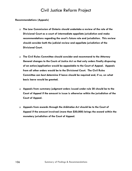#### **Recommendations (Appeals)**

- **The Law Commission of Ontario should undertake a review of the role of the Divisional Court as a court of intermediate appellate jurisdiction and make recommendations regarding the court's future role and jurisdiction. This review should consider both the judicial review and appellate jurisdiction of the Divisional Court.**
- **The Civil Rules Committee should consider and recommend to the Attorney General changes to the** *Courts of Justice Act* **so that only orders finally disposing of an action/application would be appealable to the Court of Appeal. Appeals from all other orders would be to the Divisional Court. The Civil Rules Committee can best determine if leave should be required and, if so, on what basis leave would be granted.**
- **Appeals from summary judgment orders issued under rule 20 should be to the Court of Appeal if the amount in issue is otherwise within the jurisdiction of the Court of Appeal.**
- **Appeals from awards through the** *Arbitration Act* **should be to the Court of Appeal if the amount involved (more than \$50,000) brings the award within the monetary jurisdiction of the Court of Appeal.**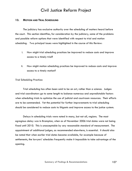#### **13. MOTION AND TRIAL SCHEDULING**

The judiciary has exclusive authority over the scheduling of matters heard before the court. This section identifies, for consideration by the judiciary, some of the problems and possible reform options that were identified with respect to trial and motion scheduling. Two principal issues were highlighted in the course of this Review:

- i. How might trial scheduling practices be improved to reduce costs and improve access to a timely trial?
- ii. How might motion scheduling practices be improved to reduce costs and improve access to a timely motion?

#### *Trial Scheduling Practices*

Trial scheduling has often been said to be an art, rather than a science. Judges and trial coordinators go to some length to balance numerous and unpredictable factors when scheduling trials to optimize the use of judicial and courtroom resources. Their efforts are to be commended. Yet the potential for further improvements to trial scheduling should be considered to reduce costs to litigants and improve access to the justice system.

Delays in scheduling trials were noted in many, but not all, regions. The most egregious delay was in Brampton, when as of November 2006 trial dates were not being fixed until 2010. This is unacceptable by any reasonable standard of measurement. The appointment of additional judges, as recommended elsewhere, is essential. It should also be noted that when earlier trial dates become available, for example because of settlements, the lawyers' schedules frequently make it impossible to take advantage of the opening.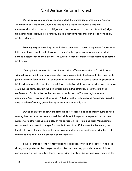During consultations, many recommended the elimination of Assignment Courts. Attendance at Assignment Court was said to be a waste of counsel's time that unnecessarily adds to the cost of litigation. It was also said to be a waste of the judge's time, since trial scheduling is primarily an administrative task that can be performed by trial coordinators.

From my experience, I agree with these comments. I recall Assignment Courts to be little more than a cattle call of lawyers, for which the appearance of counsel added nothing except costs to their clients. The judiciary should consider other methods of setting trial dates.

One option is to vest trial coordinators with sufficient authority to fix trial dates, with judicial oversight and direction called upon as needed. Parties could be required to jointly submit a form to the trial coordinator to confirm that a case is ready to proceed to trial and estimate trial duration, permitting a tentative trial date to be scheduled. A judge could subsequently confirm the actual trial date administratively or at the pre-trial conference. This is similar to the process currently used in Toronto region, where Assignment Court has been eliminated. A further option is to convene Assignment Court by way of teleconference, given that appearances are usually brief.

During consultations, lawyers complained of cases being repeatedly bumped from running lists because previously scheduled trials took longer than expected or because judges were otherwise unavailable. In the section on Pre-Trials and Trial Management, I recommend that pre-trial judges fix time limits on trials. If this were implemented, the length of trials, although inherently uncertain, would be more predictable with the result that scheduled trials would proceed on the date set.

Several groups strongly encouraged the adoption of fixed trial dates. Fixed trial dates, while preferred by lawyers and parties because they provide more trial date certainty, are effective only if there is a sufficient supply of judges and courtrooms so the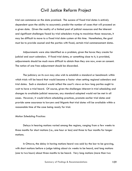trial can commence on the date promised. The success of fixed trial dates is entirely dependent upon the ability to accurately predict the number of cases that will proceed on a given date. Given the reality of a limited pool of judicial resources and the inherent and significant challenges faced by trial schedulers trying to maximize those resources, it may be difficult to move to a fixed trial date system at this time. Nonetheless, the goal must be to provide counsel and the parties with fixed, certain trial commencement dates.

Adjournments were also identified as a problem, given the havoc they create for judicial and court calendars. If fixed trial dates, or something close to it, is provided, adjournments should be much more difficult to obtain than they are now, even on consent. The notion of one free adjournment should be discarded.

The judiciary on its own may also wish to establish a standard or benchmark within which trials will be heard that would become a factor when setting regional calendars and trial dates. Such a standard would reflect the court's views on how long parties ought to wait to have a trial heard. Of course, given the challenges inherent in trial scheduling and changes to available judicial resources, any standard adopted would not be met in all cases. However, it would inform scheduling practices, promote earlier trial dates and provide some assurance to lawyers and litigants that trial dates will be available within a reasonable time of the case being ready for trial.

#### *Motion Scheduling Practices*

Delays in hearing motions varied among the regions, ranging from a few weeks to three months for short motions (i.e., one hour or less) and three to four months for longer motions.

In Ottawa, the delay in having motions heard was said by the bar to be growing, with short motions before a judge taking about six weeks to be heard, and long motions (one to two hours) about three months to be heard. Very long motions (more than two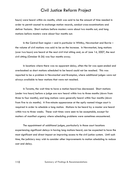hours) were heard within six months, which was said to be the amount of time needed in order to permit counsel to exchange motion records, conduct cross-examinations and deliver factums. Short motions before masters were about two months out, and long motions before masters were about four months out.

In the Central East region – and in particular in Whitby, Newmarket and Barrie – the volume of civil motions was said to be on the increase. In Newmarket, long motions (over two hours) are heard at the next civil trial sitting and, as of June 14, 2007, the next civil sitting (October 8-26) was four months away.

In locations where there was no apparent delay, often the list was open-ended and overbooked so short motions scheduled to be heard could not be reached. This was reported to be a problem in Newmarket and Brampton, where additional judges were not always available to hear motions that were not reached.

In Toronto, the wait time to have a motion heard has decreased. Short motions (under two hours) before a judge are now heard within two to three months (down from three to four months), and long motions were generally heard within four months (down from five to six months). A five-minute appearance at the aptly named triage court is required in order to schedule a long motion. Motions to be heard by a master are heard within two to three weeks. These wait times were seen to be acceptable, except for matters of manifest urgency where scheduling problems were sometimes encountered.

The appointment of additional judges, particularly in those court locations experiencing significant delays in having long motions heard, can be expected to have the most significant and direct impact on improving access to the civil justice system. Until such time, the judiciary may wish to consider other improvements to motion scheduling to reduce cost and delay.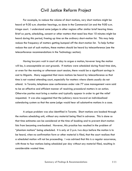For example, to reduce the volume of short motions, very short motions might be heard at 9:30 a.m. chamber hearings, as done in the Commercial List and the 9:00 a.m. triage court. I understand some judges in other regions offer similar brief hearing times. Brief *ex parte*, scheduling, consent or other matters that need less than 10 minutes might be heard during this period, freeing up time on the ordinary short-motion list. This may help reduce the frequency of matters getting bumped off the short-motion list. To help further reduce the cost of such motions, these matters should be heard by teleconference (see the teleconference recommendations in the Technology section).

Having lawyers wait in court all day to argue a motion, however long the motion will be, is unacceptable on cost grounds. If motions were scheduled during fixed time slots, or even for the morning or afternoon court session, there would be a significant savings in cost to litigants. Many suggested that more motions be heard by teleconference so that time is not wasted attending court, especially for matters where clients usually do not attend. In Toronto, telephone case conferences under rule 77 case management were said to be an effective and efficient manner of resolving procedural matters in an action. Otherwise parties must bring a motion and typically appear in order to get the relief requested. It was also suggested that the judiciary move toward an individualized calendaring system so that the same judge would hear all substantive motions in a case.

A unique problem was also identified in Toronto. Short motions are booked through the motions scheduling unit, without any material being filed in advance. This is done so that time estimates can be considered at the time of booking and to prevent short-motion lists from becoming overbooked. However, this practice has resulted in the problem of "phantom motions" being scheduled. It is only at 2 p.m. two days before the motion is to be heard, when no confirmation form or other material is filed, that the court realizes that a scheduled motion will not be proceeding. I was advised that this is a regular occurrence, with three to four motions being scheduled per day without any material filed, resulting in considerable wasted time.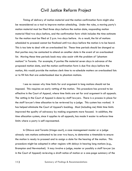Timing of delivery of motion material and the motion confirmation form might also be reconsidered as a tool to improve motion scheduling. Under the rules, a moving party's motion material must be filed three days before the motion date, responding motion material filed two days before, and the confirmation form which includes the time estimate for the motion must be filed at 2 p.m. two days before. As a result, the list of motions scheduled to proceed cannot be finalized until two days before the motion is to be heard. This is too late to deal with an overbooked list. These time periods should be changed so that parties may be contacted to attend on another date in the event of an overbooked list. Moving these time periods back may also assist with the problem of "phantom motions" in Toronto. For example, if parties file material seven days in advance of the proposed motion date, and the motion confirmation form is due five days before the motion, this would provide the motions clerk time to re-schedule matters on overbooked lists or to fill lists that are underbooked due to phantom motions.

I see no reason why time limits for oral argument in long motions should not be imposed. This requires an early vetting of the motion. This procedure has proved to be effective in the Court of Appeal, where time limits are set for oral argument in all appeals. The vetting in the Court of Appeal is done by staff lawyers. There is a process in place for the staff lawyer's time allocation to be reviewed by a judge. This system has worked. It has helped eliminate the Court of Appeal's backlog. Most (including me) think time limits improved the quality of advocacy by making arguments more focused. In addition, the time allocation system, since it applies to all appeals, has made it easier to enforce time limits where a party is self-represented.

In Ottawa and Toronto (triage court), a case management master or a judge already vets motions estimated to be over two hours, to determine a timetable to ensure the motion is ready to proceed and to assign a date for the hearing of the motion. This procedure might be adopted in other regions with delays in hearing long motions (e.g., Brampton and Newmarket). It may involve a judge, master or possibly a staff lawyer (as in the Court of Appeal) reviewing a draft notice of motion or a one-page summary of the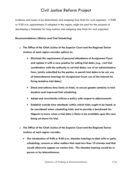evidence and issues to be determined, and assigning time limits for oral argument. A 9:00 or 9:30 a.m. appointment, if adopted in the region, might be used for the purpose of developing a timetable for long motions and assigning time limits for oral argument.

#### **Recommendations (Motion and Trial Scheduling)**

- **The Office of the Chief Justice of the Superior Court and the Regional Senior Justices of each region consider options to:** 
	- **Eliminate the requirement of personal attendance at Assignment Court and replace it with a new practice for setting trial dates (e.g., vest trial coordinators with the authority to set trial dates; use of an administrative form, jointly submitted by the parties, to permit trial dates to be set; use of teleconference hearings for Assignment Court; use of the Internet for fixing tentative trial dates).**
	- **Direct and enforce time limits on trials, to ensure greater certainty in trial duration and improved trial scheduling.**
	- **Adopt and consistently enforce a policy with respect to adjournments.**
	- **Establish outside time standards within which trials ought to be heard, to be considered when scheduling trials and to provide a benchmark for litigants to know when a trial date is likely to be available upon the case being set down for trial.**
- **The Office of the Chief Justice of the Superior Court and the Regional Senior Justices of each region consider:** 
	- **The introduction of 9:00 or 9:30 a.m. chamber hearings to deal with** *ex parte***, scheduling, consent or other matters that need less than 10 minutes and that would otherwise appear on motion lists. The chamber hearing would be in person or by teleconference.**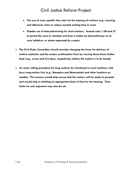- **The use of more specific time slots for the hearing of motions (e.g., morning and afternoon slots) to reduce wasted waiting time in court.**
- **Greater use of teleconferencing for short motions. Amend rules 1.08 and 37 to permit the court to schedule and hear a matter by teleconference on its own initiative, or where requested by a party.**
- **The Civil Rules Committee should consider changing the times for delivery of motion materials and the motion confirmation form by moving those times further back (e.g., seven and five days, respectively, before the motion is to be heard).**
- **An early vetting procedure for long motions be introduced in court locations with busy long-motion lists (e.g., Brampton and Newmarket) and other locations as needed. This process would help ensure that the motion will be ready to proceed and would help in allotting an appropriate block of time for the hearing. Time limits for oral argument may also be set.**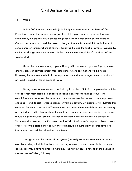#### **14. VENUE**

In July 2004, a new venue rule (rule 13.1) was introduced in the Rules of Civil Procedure. Under the former rule, regardless of the place where a proceeding was commenced, the plaintiff could choose the place of trial, which could be anywhere in Ontario. A defendant could then seek a change of venue for the trial if the balance of convenience or considerations of fairness favoured holding the trial elsewhere. Generally, motions to change venue were heard in the county where the plaintiff's solicitor's office was located.

Under the new venue rule, a plaintiff may still commence a proceeding anywhere and the place of commencement then determines where any motions will be heard. However, the new venue rule includes expanded authority to change venue on motion of any party, based on the interests of justice.

During consultations lawyers, particularly in northern Ontario, complained about the costs to which their clients are exposed in seeking an order to change venue. The complaints were not about the substance of the venue rule, but rather about the process engaged – and its cost – when a change of venue is sought. An example will illustrate this concern. An action is started in Toronto in circumstances where the debtor and the security are in Sudbury, which is also where the contract creating the debt was made. The venue should be Sudbury, not Toronto. To change the venue, the motion must be brought in Toronto and, of course, a motion record with affidavit evidence is required, absent a court order. All of this costs money and, in this example, the moving party resents having to incur these costs and the related inconvenience.

I recognize that bulk users of the system (typically creditors) also want to reduce costs by starting all of their actions for recovery of money in one centre, in the example above, Toronto. I have no problem with this. The narrow issue is how to change venue in the most cost-efficient, fair way.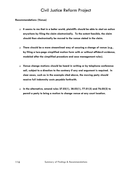#### **Recommendations (Venue)**

- **It seems to me that in a better world, plaintiffs should be able to start an action anywhere by filing the claim electronically. To the extent feasible, the claim should then electronically be moved to the venue stated in the claim.**
- **There should be a more streamlined way of securing a change of venue (e.g., by filing a two-page simplified motion form with or without affidavit evidence, modeled after the simplified procedure and case management rules).**
- **Venue change motions should be heard in writing or by telephone conference call, subject to a direction to the contrary if any oral argument is required. In clear cases, such as in the example cited above, the moving party should receive full indemnity costs payable forthwith.**
- **In the alternative, amend rules 37.03(1), 38.03(1), 77.01(5) and 76.05(2) to permit a party to bring a motion to change venue at any court location.**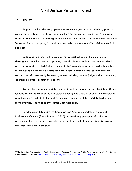#### **15. CIVILITY**

Litigation in the adversary system too frequently gives rise to underlying partisan conduct by members of the bar. Too often, the "I'm the toughest gun in town" mentality is a part of some lawyers' marketing of their services and conduct. The overworked maxim – "a lawsuit is not a tea party" – should not remotely be taken to justify uncivil or unethical behaviour.

Judges have every right to *demand* that counsel act in a civil manner in court in dealing with both the court and opposing counsel. Unacceptable in-court conduct should give rise to sanctions, which include contempt citations and cost orders. Having been there, it continues to amaze me how some lawyers (a very distinct minority) seem to think that conduct that will reasonably be seen by others, including the trial judge and jury, as unduly aggressive actually benefits their clients.

Out-of-the-courtroom incivility is more difficult to control. The Law Society of Upper Canada as the regulator of the profession obviously has a role in dealing with complaints about lawyers' conduct. Its Rules of Professional Conduct prohibit uncivil behaviour and sharp practice. The need is enforcement, not more rules.

In addition, in July 2006 the Canadian Bar Association updated its Code of Professional Conduct (first adopted in 1920) by introducing principles of civility for advocates. The code includes a caution advising lawyers that rude or disruptive conduct may merit disciplinary action.[99](#page-144-0)

<span id="page-144-0"></span><sup>99</sup> The Canadian Bar Association, *Code of Professional Conduct*, *Principles of Civility for Advocates* at p 129, online at: Canadian Bar Association [<http://www.cba.org/CBA/activities/pdf/codeofconduct06.pdf>](http://www.cba.org/CBA/activities/pdf/codeofconduct06.pdf).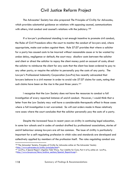The Advocates' Society has also prepared *The Principles of Civility for Advocates*, which provides substantial guidance on relations with opposing counsel, communications with others, trial conduct and counsel's relations with the judiciary.<sup>[100](#page-145-0)</sup>

If a lawyer's professional standing is not enough incentive to promote civil conduct, the Rules of Civil Procedure allow the court to monitor the conduct of lawyers and, where appropriate, make cost orders against them. Rule 57.07 provides that where a solicitor for a party has caused costs to be incurred without reasonable cause or to be wasted by undue delay, negligence or default, the court may: disallow costs between the solicitor and client or direct the solicitor to repay the client money paid on account of costs; direct the solicitor to reimburse the client for any costs that the client has been ordered to pay to any other party; or require the solicitor to personally pay the costs of any party. The Lawyer's Professional Indemnity Corporation (LawPro) has recently advocated that lawyers behave in a civil manner in order to avoid rule 57.07 claims for costs, noting that such claims have been on the rise in the past three years.<sup>[101](#page-145-1)</sup>

I recognize that the Law Society does not have the resources to conduct a full investigation of every reported instance of uncivil conduct. However, I would think that a letter from the Law Society may well have a considerable therapeutic effect in those cases where a full investigation is not warranted. So will cost orders made in those relatively rare cases where the court concludes that the solicitor personally pay the costs of a party.

Despite the increased focus in recent years on civility in continuing legal education, in some law schools and in codes of conduct drafted by professional associations, stories of uncivil behaviour among lawyers are all too common. The issue of civility is particularly important for a self-regulating profession in which rules and standards are developed and collectively applied by members of the profession itself. The rules regulating conduct are

<span id="page-145-0"></span><sup>&</sup>lt;sup>100</sup> The Advocates' Society, *Principles* of Civility for Advocates online at: The Advocates' Society<br><http://www.advocates.ca/civility/principles.html>.

<span id="page-145-1"></span><sup>&</sup>lt;sup>101</sup> LawPro, A Special Report: Litigation Tidal Wave, Your Liability for Costs, Part 4 of 6, online at: LawPro, <[http://www.lawpro.ca/News/archive\\_sections/Special\\_Report4.asp](http://www.lawpro.ca/News/archive_sections/Special_Report4.asp)>.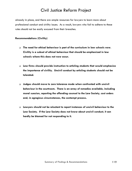already in place, and there are ample resources for lawyers to learn more about professional conduct and civility issues. As a result, lawyers who fail to adhere to these rules should not be easily excused from their breaches.

#### **Recommendations (Civility)**

- **The need for ethical behaviour is part of the curriculum in law schools now. Civility is a subset of ethical behaviour that should be emphasized in law schools where this does not now occur.**
- **Law firms should provide instruction to articling students that would emphasize the importance of civility. Uncivil conduct by articling students should not be tolerated.**
- **Judges should move to zero tolerance mode when confronted with uncivil behaviour in the courtroom. There is an array of remedies available, including moral suasion, reporting the offending counsel to the Law Society, cost orders and, in egregious circumstances, the contempt process.**
- **Lawyers should not be reluctant to report instances of uncivil behaviour to the Law Society. If the Law Society does not know about uncivil conduct, it can hardly be blamed for not responding to it.**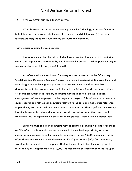#### **16. TECHNOLOGY IN THE CIVIL JUSTICE SYSTEM**

What became clear to me in my meetings with the Technology Advisory Committee is that there are three aspects to the use of technology in civil litigation: (a) between lawyers/parties; (b) by the court; and (c) by courts administration.

#### *Technological Solutions between Lawyers*

It appears to me that the bulk of technological solutions that can assist in reducing cost in civil litigation are those used by and between the parties. I wish to point out only a few examples to explain the potential benefits.

As referenced in the section on Discovery and recommended in the E-Discovery Guidelines and *The Sedona Canada Principles*, parties are encouraged to discuss the use of technology early in the litigation process. In particular, they should address how documents are to be produced electronically and how information will be shared. Once electronic production is agreed on, documents may be imported into the litigation management software employed by the respective lawyers. This software may be used to quickly search and retrieve all documents relevant to the case and make cross-references to pleadings, transcripts and other notes made by counsel. It offers significant time savings that simply cannot be achieved in a paper world. Producing paper (hard copy) will frequently result in significantly higher costs to the parties. There often is a better way.

Large volumes of paper documents may be scanned as image files and exchanged on CDs, often at substantially less cost than would be involved in producing a similar number of photocopied sets. For example, in a case involving 50,000 documents, the cost of producing five copies of each document at \$0.25 per page is \$62,500. In contrast, scanning the documents by a company offering document and litigation management services may cost approximately \$12,000. Parties should be encouraged to agree upon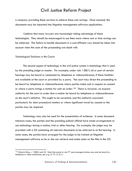a company providing these services to achieve these cost savings. Once scanned, the documents may be imported into litigation management software applications.

I believe that many lawyers are increasingly taking advantage of these technologies. They should be encouraged to use them more where cost or time savings can be achieved. The failure to handle documents in a cost-efficient way should be taken into account when the costs of the proceeding are dealt with.

#### *Technological Solutions in the Courts*

The second aspect of technology in the civil justice system is technology that is used by the presiding judge or master. For example, under rule 1.08(1) all or part of certain hearings may be heard or conducted by telephone or videoconference, if these facilities are available at the court or provided by a party. The court may direct the proceeding to be heard by telephone or videoconference where parties make such a request on consent or where a party brings a motion for such an order.<sup>[102](#page-148-0)</sup> There is, however, no express authority for the court to order that a matter be heard by telephone or videoconference on the court's initiative. This ought to be corrected, and this authority exercised particularly for short procedural matters or where significant travel by counsel or the parties may be required.

Technology may also be used for the presentation of evidence. In some document intensive cases, the parties and the presiding judicial official have made arrangements to use technology during a motion, trial or other hearing. For example, the judge may be provided with a CD containing all relevant documents to be referred to at the hearing. In some cases, the parties have arranged for the judge to be trained on litigation management software so he or she can retrieve and make notes on the files in the CD.

<span id="page-148-0"></span><sup>102</sup> Ontario Rules, r. 1.08(2) and (3). Note that events in rule 77 case managed actions may also be heard by telephone or video conference, see, e.g., R. 77.12 (2.1).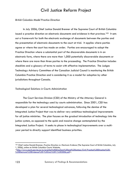#### *British Columbia Model Practice Direction*

In July 2006, Chief Justice Donald Brenner of the Supreme Court of British Columbia issued a practice direction on electronic documents and evidence in that province.<sup>[103](#page-149-0)</sup> It sets out a framework for both the electronic exchange of documents between the parties and the presentation of electronic documents to the court at trial. It applies where parties agree or where the court has made an order. Parties are encouraged to adopt the Practice Direction where a substantial part of the discoverable documents is in an electronic form, where there are more than 1,000 potentially discoverable documents or where there are more than three parties to the proceeding. The Practice Direction includes checklists and a glossary of terms to assist with effective implementation. The Judges Technology Advisory Committee of the Canadian Judicial Council is monitoring the British Columbia Practice Direction and is considering it as a model for adoption by other jurisdictions throughout Canada.

#### *Technological Solutions in Courts Administration*

The Court Services Division (CSD) of the Ministry of the Attorney General is responsible for the technology used by courts administration. Since 2001, CSD has developed a plan for several technological advances, following the demise of the Integrated Justice Project that was to deliver very ambitious technological improvements for all justice ministries. The plan focuses on the gradual introduction of technology into the justice system, as opposed to the quick and massive change contemplated by the Integrated Justice Project. It seeks to phase in technological improvements over a multiyear period to directly support identified business priorities.

<span id="page-149-0"></span><sup>103</sup> Chief Justice Donald Brenner, *Practice Direction re: Electronic Evidence* (The Supreme Court of British Columbia, July 1, 2006), online at: British Columbia Courts Website, <[http://www.courts.gov.bc.ca/sc/practice%20directions%20and%20notices/Civil/Practice%20Direction%20-](http://www.courts.gov.bc.ca/sc/practice%20directions%20and%20notices/Civil/Practice%20Direction%20-%20Electronic%20Evidence%20-%20July%201,%202006.pdf) [%20Electronic%20Evidence%20-%20July%201,%202006.pdf>](http://www.courts.gov.bc.ca/sc/practice%20directions%20and%20notices/Civil/Practice%20Direction%20-%20Electronic%20Evidence%20-%20July%201,%202006.pdf).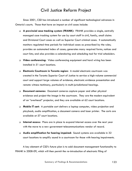Since 2001, CSD has introduced a number of significant technological advances in Ontario's courts. Those that have an impact on civil cases include:

- **A provincial case tracking system (FRANK):** FRANK provides a single, centrally managed case tracking system for use by court staff in civil, family, small claims and Divisional Court cases as well as Superior Court criminal cases. It automatically monitors regulated time periods for individual cases as prescribed by the rules; provides an automated index of cases; generates many required forms, notices and court lists; and also provides a calendaring and scheduling tool for trial schedulers.
- **Video conferencing:** Video conferencing equipment and hard wiring has been installed in 51 court locations.
- **Electronic Courtroom in Toronto region:** A model electronic courtroom was created in the Toronto Superior Court of Justice to service a high-volume commercial court and support large volumes of evidence, electronic evidence presentation and remote witness testimony, particularly in multi-jurisdictional hearings.
- **Document cameras:** Document cameras capture paper and other physical evidence and project the image in the courtroom. They are the modern equivalent of an "overhead" projector, and they are available at 62 court locations.
- **Mobile IT cart:** A portable cart delivers a laptop computer, video projection and playback, audio amplification, a document camera and laser printer. The carts are available at 57 court locations.
- **Internet access:** Plans are in place to expand Internet access over the next year with the move to a new government telecommunications vendor of record.
- **Audio amplification for hearing impaired:** Sound systems are available in 32 court locations to amplify sound in a courtroom for those with hearing impairments.

A key element of CSD's future plan is to add document management functionality to FRANK in 2008-09, which will then permit the re-introduction of electronic filing of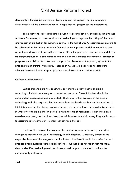documents in the civil justice system. Once in place, the capacity to file documents electronically will be a major advance. I hope that this project can be accelerated.

The ministry has also established a Court Reporting Review, guided by an External Advisory Committee, to assess options and technology to improve the taking of the record and transcript production for Ontario's courts. In the fall of 2007, recommendations are to be submitted to the Deputy Attorney General on an improved model to modernize court reporting and transcript production services. Given the pervasive concerns about delay in transcript production in both criminal and civil matters, I endorse this initiative. Transcript preparation in civil matters has been compromised because of the priority given to the preparation of criminal transcripts. There is, in my view, a clear need to determine whether there are better ways to produce a trial transcript – criminal or civil.

#### *Collective Action Essential*

Justice stakeholders (the bench, the bar and the ministry) have explored technological initiatives, mainly on a case-by-case basis. These initiatives should be commended, encouraged and expanded. That said, further progress in the area of technology will also require collective action from the bench, the bar and the ministry. I think it is important that judges not only be part of, but also lead, these collective efforts. In what I view to be an interim period in which the use of technology is advanced on a case-by-case basis, the bench and courts administration should do everything within reason to accommodate technology-related requests from the bar.

I believe it is beyond the scope of this Review to propose broad system-wide changes to mandate the use of technology in civil litigation. Moreover, based on the expensive lessons of the Integrated Justice Project, I believe it would be unwise for me to propose broad systemic technological reforms. But that does not mean that the many clearly identified technology-related issues should be put on the shelf or otherwise unreasonably deferred.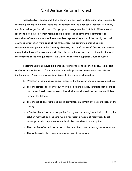Accordingly, I recommend that a committee be struck to determine what incremental technological improvements should be introduced at three pilot court locations – a small, medium and large Ontario court. This proposal recognizes the fact that different court locations may have different technological needs. I suggest that the committee be comprised of nine members, with one member representing each of the bench, bar and courts administration from each of the three sites. The committee should deliver recommendations jointly to the Attorney General, the Chief Justice of Ontario and – since many technological improvements will likely have an impact on courts administration and the functions of the trial judiciary – the Chief Justice of the Superior Court of Justice.

Recommendations should be detailed, taking into consideration policy, legal, cost and operational impacts. They should also include processes to evaluate any reforms implemented. A non-exhaustive list of issues to be considered includes:

- Whether a technological improvement will enhance or impede access to justice;
- The implications for court security and a litigant's privacy interests should broad and unrestricted access to court files, dockets and schedules become available through the Internet;
- The impact of any technological improvement on current business practices of the courts;
- Whether there is a broad appetite for a given technological solution. If not, the solution may not be used and would represent a waste of resources. Local versus provincial implementation should be considered as an option;
- □ The cost, benefits and resources available to fund any technological reform; and
- □ The tools available to evaluate the success of the reform.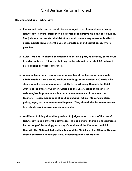#### **Recommendations (Technology)**

- **Parties and their counsel should be encouraged to explore methods of using technology to share information electronically to achieve time and cost savings. The judiciary and courts administration should make every reasonable effort to accommodate requests for the use of technology in individual cases, where possible.**
- **Rules 1.08 and 37 should be amended to permit a party to propose, or the court to order on its own initiative, that any matter referred to in rule 1.08 be heard by telephone or video conference.**
- **A committee of nine comprised of a member of the bench, bar and courts administration from a small, medium and large court location in Ontario – be struck to make recommendations, jointly to the Attorney General, the Chief Justice of the Superior Court of Justice and the Chief Justice of Ontario, on technological improvements that may be made at each of the three court locations. Recommendations should be detailed, taking into consideration policy, legal, cost and operational impacts. They should also include a process to evaluate any improvements implemented.**
- **Additional training should be provided to judges on all aspects of the use of technology in and out of the courtroom. This is a matter that is being addressed by the Judges' Technology Advisory Committee of the Canadian Judicial Council. The National Judicial Institute and the Ministry of the Attorney General should participate, where possible, in assisting with such training.**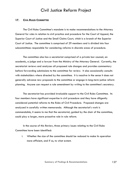#### **17. CIVIL RULES COMMITTEE**

The Civil Rules Committee's mandate is to make recommendations to the Attorney General for rules in relation to civil practice and procedure for the Court of Appeal, the Superior Court of Justice and the Small Claims Court, which is a branch of the Superior Court of Justice. The committee is comprised of 29 members and is divided into four subcommittees responsible for considering reforms in discrete areas of procedure.

The committee also has a secretariat comprised of a private bar counsel, an academic, a judge and a lawyer from the Ministry of the Attorney General. Currently, the secretariat reviews and analyzes all proposed rule changes and provides commentary before forwarding submissions to the committee for review. It also occasionally consults with stakeholders where directed by the committee. It is reactive in the sense it does not generally advance new proposals to the committee or engage in long-term justice reform planning. Anyone can request a rule amendment by writing to the committee's secretary.

The secretariat has provided invaluable support to the Civil Rules Committee. Its four members have significant expertise in civil procedure and they have diligently considered potential reforms to the Rules of Civil Procedure. Proposed changes are analyzed in carefully written memoranda. Although the secretariat's work is commendable, it seems to me that the secretariat, guided by the chair of the committee, could play a larger, more proactive role in rule reform.

 In the course of this Review, three primary issues relating to the Civil Rules Committee have been identified:

i. Whether the size of the committee should be reduced to make its operation more efficient, and if so, to what extent.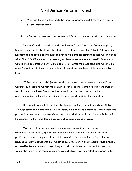- ii. Whether the committee should be more transparent, and if so, how to provide greater transparency.
- iii. Whether improvements to the role and function of the secretariat may be made.

Several Canadian jurisdictions do not have a formal Civil Rules Committee (e.g., Quebec, Nunavut, the Northwest Territories, Saskatchewan and the Yukon). All Canadian jurisdictions that have a formal rules committee have smaller committees than Ontario does. After Ontario's 29 members, the next highest level of committee membership is Manitoba with 16 members (though only 12 members vote). Other than Manitoba and Ontario, no other Canadian jurisdiction has more than 11 committee members, while most have 10 or less.

While I accept that civil justice stakeholders should be represented on the Rules Committee, it seems to me that the committee would be more effective if it were smaller. As a first step, the Rules Committee itself should consider this issue and make recommendations to the Attorney General concerning downsizing the committee.

The agenda and minutes of the Civil Rules Committee are not publicly available. Although committee membership is not a secret, it is difficult to determine. While there are private bar members on the committee, the lack of disclosure of committee activities limits transparency in the committee's agenda and decision-making process.

Manifestly, transparency could be improved immediately by making the committee's membership, agenda and minutes public. This would provide interested parties with a more complete picture of the committee's composition, deliberations and issues under active consideration. Publishing such information on a website would provide a cost-effective mechanism to keep lawyers and other interested parties informed. It would also improve the consultation process and allow those interested to engage in the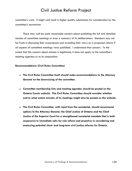committee's work. It might well result in higher quality submissions for consideration by the committee's secretariat.

There may well be some reasonable concern about publishing the full and detailed minutes of committee meetings or even a summary of its deliberations. Members may not be frank in discussing their experiences and revealing their views on a proposed reform if all aspects of committee meetings were published. I understand that concern. To the extent that this concern about minutes is legitimate, it does not apply to the committee's meeting agendas or to its composition.

#### **Recommendations (Civil Rules Committee)**

- **The Civil Rules Committee itself should make recommendations to the Attorney General on the downsizing of the committee.**
- **Committee membership lists and meeting agendas should be posted on the Ontario Courts website. The Civil Rules Committee should consider whether and to what extent minutes of its meetings might also be posted on the website.**
- **The Civil Rules Committee, with input from the secretariat, should recommend options to the Attorney General, the Chief Justice of Ontario and the Chief Justice of the Superior Court for a strengthened secretariat mandate that is both responsive to immediate calls for rule reform and proactive in considering and analyzing potential short- and long-term civil justice reforms for Ontario.**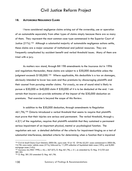#### **18. AUTOMOBILE NEGLIGENCE CLAIMS**

I have considered negligence claims arising out of the ownership, use or operation of an automobile separately from other types of claims simply because there are so many of them. They represent the most common case type commenced in the Superior Court of Justice (21%).<sup>[104](#page-157-0)</sup> Although a substantial majority of automobile negligence actions settle, these claims are a major consumer of institutional and judicial resources. They are frequently complicated by accident benefit and verbal threshold issues. Many of them are tried with a jury.

As matters now stand, through Bill 198 amendments to the *Insurance Act* in 1996 and regulations thereunder, these claims are subject to a \$30,000 deductible unless the judgment exceeds  $$100,000$ .<sup>[105](#page-157-1)</sup> Where applicable, this deductible is a tax on damages, obviously intended to lower loss costs and thus premiums by discouraging plaintiffs and their counsel from pursuing smaller claims. Put crassly, no one of sound mind is likely to pursue a \$30,000 or \$40,000 claim if \$30,000 of it is to be deducted at the end. I am certain that insurers can provide estimates of the impact of the \$30,000 deduction on premiums. That exercise is beyond the scope of this Review.

In addition to the \$30,000 deduction, through amendments to Regulation 461/96,[106](#page-157-2) Ontario introduced a verbal threshold that seems to require that plaintiffs must prove that their injuries are serious and permanent. The verbal threshold, through s. 4.2(1) of the regulation, requires that plaintiffs establish that they sustained a permanent serious impairment of an important physical, mental or psychological function. The regulation sets out: a detailed definition of the criteria for impairment hinging on a test of substantial interference; detailed criteria for determining when a function that is impaired

<span id="page-157-0"></span><sup>&</sup>lt;sup>104</sup> Civil & Small Claims Court Statistics 2005-06, supra note 10 at 10. Of the 62,251 cases commenced in 2005-06, 13,196 were motor vehicle cases (21%), followed by 11,399 collection of liquidated debt cases (18%), and 8,585 mortgage cases (14%).

<span id="page-157-1"></span><sup>105</sup> *Insurance Act*, RSO 1990, c. I.8, s. 267.5(7); O. Reg 461/96, s. 5.1, as amended by O. Reg. 312/03 and 381/03.

<span id="page-157-2"></span><sup>106</sup> O. Reg. 381/03 amended O. Reg. 461/96.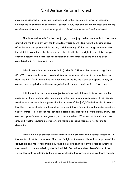may be considered an important function; and further detailed criteria for assessing whether the impairment is permanent. Section  $4.3(1)$  then sets out the medical evidentiary requirements that must be met to support a claim of permanent serious impairment.

The threshold issue is for the trial judge, not the jury. When the threshold is an issue, and where the trial is by jury, the trial judge typically will deal with the threshold issue after the jury charge and while the jury is deliberating. If the trial judge concludes that the plaintiff has not met the threshold test, the plaintiff has no right to sue. This is simple enough except for the fact that this revelation occurs after the entire trial has been completed with its attendant costs.

I should note that the new threshold (under Bill 198 and the amended regulation 461/96) is relevant to what, I was told, is a large number of cases in the pipeline. To date, the Bill 198 threshold has not been considered by the Court of Appeal. It has, of course, been applied in settlement negotiations in many cases in which it is an issue.

I think that it is clear that the objective of the verbal threshold is to keep smaller cases out of the system by denying plaintiffs the right to sue in such cases. If that sounds familiar, it is because that is generally the purpose of the \$30,000 deductible. I accept that there is a substantial public and government interest in keeping automobile premiums under control. I also accept the inevitable correlations between insurers' bodily injury loss costs and premiums – as one goes up, so does the other. What automobile claims costs are, and whether automobile insurers are making or losing money, is not for me to determine.

I thus limit the expression of my concern to the efficacy of the verbal threshold. In that context I ask two questions. First, and in light of the generally similar purposes of the deductible and the verbal threshold, what claims are excluded by the verbal threshold that would not be excluded by the deductible? Second, one direct beneficiary of the verbal threshold regulation is the medical profession that provides medical-legal reports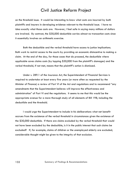on the threshold issue. It would be interesting to know what costs are incurred by both plaintiffs and insurers in developing evidence relevant to the threshold issue. I have no idea exactly what those costs are. However, I feel safe in saying many millions of dollars are involved. By contrast, the \$30,000 deductible carries almost no transaction costs since it essentially involves an arithmetic exercise.

Both the deductible and the verbal threshold have access to justice implications. Both work to restrict access to the courts by providing an economic disincentive to making a claim. At the end of the day, for those cases that do proceed, the deductible where applicable saves claims costs (by lopping \$30,000 from the plaintiff's damages) and the verbal threshold, if not met, means that the plaintiff's action is dismissed.

Under s. 289.1 of the *Insurance Act*, the Superintendent of Financial Services is required to undertake at least every five years (or more often as requested by the Minister of Finance) a review of Part VI of the Act and regulations and to recommend "any amendments that the Superintendent believes will improve the effectiveness and administration" of Part VI and the regulations. It seems to me that this would be the appropriate avenue for a more thorough study of all elements of Bill 198, including the deductible and the threshold.

I would urge the Superintendent to include in his deliberations what net benefit accrues from the existence of the verbal threshold in circumstances given the existence of the \$30,000 deductible. If there are claims excluded by the verbal threshold that would not have been excluded by the deductible, is it in the public interest that such claims be excluded? If, for example, claims of children or the unemployed elderly are excluded, considerable thought might be given to the integrity of that exclusion.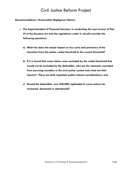#### **Recommendations (Automobile Negligence Claims)**

- **The Superintendent of Financial Services, in conducting the next review of Part VI of the** *Insurance Act* **and the regulations under it, should consider the following questions:** 
	- **a) What has been the actual impact on loss costs and premiums of the transition from the earlier verbal threshold to the current threshold?**
	- **b) If it is found that some claims were excluded by the verbal threshold that would not be excluded by the deductible, who are the claimants excluded from pursuing remedies in the civil justice system and what are their injuries? These are both important public interest considerations; and**
	- **c) Should the deductible, now \$30,000, applicable to some actions be increased, decreased or abandoned?**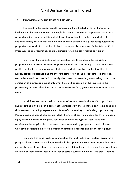#### **19. PROPORTIONALITY AND COSTS OF LITIGATION**

I referred to the proportionality principle in the introduction to this Summary of Findings and Recommendations. Although this section is somewhat repetitious, the issue of proportionality is central to this undertaking. Proportionality, in the context of civil litigation, simply reflects that the time and expense devoted to a proceeding ought to be proportionate to what is at stake. It should be expressly referenced in the Rules of Civil Procedure as an overarching, guiding principle when the court makes any order.

In my view, the civil justice system somehow has to recognize the principle of proportionality as having a broad application to all civil proceedings, so that courts and parties deal with cases in a manner that reflects what is involved in the litigation, its jurisprudential importance and the inherent complexity of the proceeding. To that end, costs rules should be amended to clearly direct courts to consider, in awarding costs at the conclusion of a proceeding, not only what time and expense may be involved in the proceeding but also what time and expense were justified, given the circumstances of the case.

In addition, counsel should as a matter of routine provide clients with a pro forma budget setting out, albeit in a somewhat imprecise way, the estimated cost (legal fees and disbursements, including expert witness fees) of commencing or defending a proceeding. Periodic updates should also be provided. There is, of course, no need for this in personal injury litigation where contingency fee arrangements are typical. Nor would this requirement be applicable to defence counsel retained by property (casualty) insurers who have developed their own methods of controlling solicitor and client cost exposure.

I stop short of specifically recommending that distributive cost orders (based on a party's relative success in the litigation) should be open to the court to a degree that does not apply now. It does, however, seem odd that a litigant who raises eight issues and loses on seven of them should receive a full set of costs if successful only on issue eight. Perhaps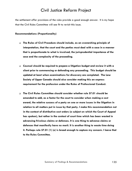the settlement offer provisions of the rules provide a good enough answer. It is my hope that the Civil Rules Committee will see fit to revisit this issue.

#### **Recommendations (Proportionality)**

- **The Rules of Civil Procedure should include, as an overarching principle of interpretation, that the court and the parties must deal with a case in a manner that is proportionate to what is involved, the jurisprudential importance of the case and the complexity of the proceeding.**
- **Counsel should be required to prepare a litigation budget and review it with a client prior to commencing or defending any proceeding. This budget should be updated at least when examinations for discovery are completed. The Law Society of Upper Canada should also consider making this an express requirement for the profession under the Rules of Professional Conduct.**
- **The Civil Rules Committee should consider whether rule 57.01 should be amended to add, as a factor for the court to consider when making a cost award, the relative success of a party on one or more issues in the litigation in relation to all matters put in issue by that party. I make this recommendation not in the context of distributive cost orders (a subject on which the Court of Appeal has spoken), but rather in the context of court time which has been wasted in advancing frivolous claims or defences. It is one thing to advance claims or defences that manifestly have no merit. It is another thing to waste time doing it. Perhaps rule 57.01 (1) (e) is broad enough to capture my concern. I leave that to the Rules Committee.**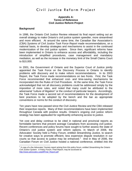#### **Appendix A: Terms of Reference Civil Justice Reform Project**

#### **Background**

In 1996, the Ontario Civil Justice Review released its final report setting out an overall strategy to make Ontario's civil justice system speedier, more streamlined and more efficient. At around the same time, the Canadian Bar Association's (CBA) *Systems of Civil Justice Task Force Report* made recommendations, on a national basis, to develop strategies and mechanisms to assist in the continued modernization of the civil justice system. Since then, significant reforms have been implemented in Ontario to enhance access and affordability, including the introduction of simplified procedures, case management and mandatory mediation, as well as the increase in the monetary limit of the Small Claims Court to \$10,000.

In 2001, the Government of Ontario and the Superior Court of Justice jointly appointed the Task Force on the Discovery Process in Ontario to identify problems with discovery and to make reform recommendations. In its 2003 Report, the Task Force made recommendations on two fronts. First, the Task Force recommended that enhanced cost- and time-saving mechanisms be incorporated into the Rules of Civil Procedure. At the same time, the Task Force acknowledged that not all discovery problems could be addressed simply by the imposition of more rules, and noted that many could be attributed to the adversarial "culture of litigation" or the conduct of particular lawyers. Accordingly, the Task Force made a second set of recommendations for the development of best practices to be adopted by the bench and the bar as appropriate conventions or norms for the conduct of discovery.

Ten years have now passed since the Civil Justice Review and the CBA released their respective reports. Many of their recommendations have been implemented throughout Canada with positive results. Ontario's ongoing civil justice reform strategy has been applauded for significantly enhancing access to justice.

Yet cost and delay continue to be cited in national and provincial reports as formidable barriers that prevent average Canadians from accessing civil justice. Recent conferences and policy forums have sought to further assess the state of Ontario's civil justice system and reform options. In March of 2006, the Advocates' Society held a Policy Forum, entitled *Streamlining Justice,* to search for creative ways to promote efficient, less expensive dispute resolution in our courts so that access to justice may be enhanced.<sup>[1](#page-163-0)</sup> And in May of 2006, the Canadian Forum on Civil Justice hosted a national conference, entitled *Into the* 

<span id="page-163-0"></span> 1 A copy of a the Advocates' Society report arising from this policy forum, entitled *Streamlining the Ontario Civil Justice System: A Policy Forum, Final Report*, may be accessed at: [http://www.advocates.ca/pdf/Final\\_Report.pdf](http://www.advocates.ca/pdf/Final_Report.pdf)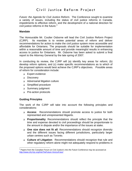*Future: the Agenda for Civil Justice Reform*. The Conference sought to examine a variety of issues, including the status of civil justice reforms in Canada, impediments to effective reform, and the development of a national direction for civil justice reforms in the future. $2$ 

#### **Mandate**

The Honourable Mr. Coulter Osborne will lead the Civil Justice Reform Project (CJRP). Its mandate is to review potential areas of reform and deliver recommendations for action to make the civil justice system more accessible and affordable for Ontarians. The proposals should be suitable for implementation within a reasonable amount of time and provide meaningful results in enhancing access to justice for Ontarians. Mr. Osborne has been asked to submit a final report to the Attorney General by the late spring of 2007.

In conducting its review, the CJRP will (a) identify key areas for reform; (b) develop reform options; and (c) make specific recommendations as to which of the proposed options would best achieve the CJRP's objectives. Possible areas of reform for consideration include:

- **Expert evidence**
- Discovery
- Adversarial litigation culture
- Simplified procedure
- Summary judgment
- **Pre-action protocols**

### **Guiding Principles**

The work of the CJRP will take into account the following principles and considerations:

- **Access**: Recommendations should promote access to justice for both represented and unrepresented litigants.
- **Proportionality**: Recommendations should reflect the principle that the time and expense devoted to civil proceedings should be proportionate to the amount in dispute and/or the importance of the issues at stake.
- **One size does not fit all**: Recommendations should recognize diversity and the different issues facing different jurisdictions, particularly larger urban centres such as Toronto.
- **Culture of Litigation**: Recommendations should recognize that rule and other regulatory reform alone might not adequately respond to problems in

<span id="page-164-0"></span> 2 Papers from the Canadian Forum on Civil Justice's *Into the Future* Conference may be accessed at: <http://www.cfcj-fcjc.org/IntoTheFuture-VersLeFutur/>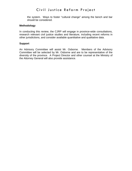the system. Ways to foster "cultural change" among the bench and bar should be considered.

#### **Methodology**

In conducting this review, the CJRP will engage in province-wide consultations, research relevant civil justice studies and literature, including recent reforms in other jurisdictions, and consider available quantitative and qualitative data.

#### **Support**

An Advisory Committee will assist Mr. Osborne. Members of the Advisory Committee will be selected by Mr. Osborne and are to be representative of the diversity of the province. A Project Director and other counsel at the Ministry of the Attorney General will also provide assistance.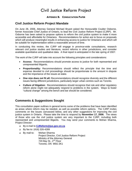#### **APPENDIX B: CONSULTATION PAPER**

### **Civil Justice Reform Project Mandate**

On June 28, 2006, Attorney General Michael Bryant asked the Honourable Coulter Osborne, former Associate Chief Justice of Ontario, to lead the Civil Justice Reform Project (CJRP). Mr. Osborne has been asked to propose options to reform the civil justice system to make it more accessible and affordable for Ontarians. Recommendations for action are to focus on proposals which will produce meaningful results in enhancing access to justice for Ontarians and which will be suitable for implementation within a reasonable amount of time.

In conducting this review, the CJRP will engage in province-wide consultations, research relevant civil justice studies and literature, recent reforms in other jurisdictions, and consider available quantitative and qualitative data. A final report is anticipated in the late spring of 2007.

The work of the CJRP will take into account the following principles and considerations:

- **Access:** Recommendations should promote access to justice for both represented and unrepresented litigants.
- **Proportionality:** Recommendations should reflect the principle that the time and expense devoted to civil proceedings should be proportionate to the amount in dispute and the importance of the issues at stake.
- **One size does not fit all:** Recommendations should recognize diversity and the different issues facing different jurisdictions, particularly larger urban centres such as Toronto.
- **Culture of litigation:** Recommendations should recognize that rule and other regulatory reform alone might not adequately respond to problems in the system. Ways to foster "cultural change" among the bench and bar should be considered.

### **Comments & Suggestions Sought**

This consultation paper outlines in general terms some of the problems that have been identified as areas where reform may be needed, as well as possible reform options. The CJRP invites comments on the issues canvassed below, and any other suggestions for improving the civil justice system in Ontario. Please take the time to respond by **November 17, 2006**. The views of those who use the civil justice system are very important to the CJRP, including both represented and unrepresented litigants. You may send your comments to Mohan Sharma, Project Director:

- By e-mail to **[CJReform@jus.gov.on.ca](mailto:CJReform@jus.gov.on.ca)**
- By fax to: (416) 326-4289
- **By mail to:** Mohan Sharma Project Director, Civil Justice Reform Project Ministry of the Attorney General 720 Bay St., 2<sup>nd</sup> Floor Toronto, ON M5G 2K1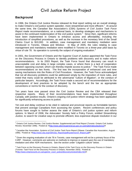### <span id="page-167-0"></span>**Background**

In 1996, the Ontario Civil Justice Review released its final report setting out an overall strategy to make Ontario's civil justice system speedier, more streamlined and more efficient.<sup>[1](#page-167-0)</sup> At around the same time, the Canadian Bar Association's (CBA) *Systems of Civil Justice Task Force Report* made recommendations, on a national basis, to develop strategies and mechanisms to assist in the continued modernization of the civil justice system.<sup>[2](#page-167-1)</sup> Since then, significant reforms have been implemented in Ontario to enhance access and affordability, including the introduction of simplified procedures, as well as the increase in the monetary limit of the Small Claims Court to \$10,000. In addition, case management and mandatory mediation were introduced in Toronto, Ottawa and Windsor. In May of 2005, the rules relating to case management and mandatory mediation were modified in Toronto on a three-year pilot basis by virtue of rule 78. Its operation is currently the subject of ongoing evaluation. $3$ 

In 2001, the Government of Ontario and the Superior Court of Justice appointed the Task Force on the Discovery Process in Ontario to identify problems with discovery and to make reform recommendations. In its 2003 Report, the Task Force found that discovery can result in unacceptable cost and delay in large complex cases, or where there is a lack of cooperation between opposing counsel, which can thereby impede access to justice. $4$  The Task Force made recommendations on two fronts. The first was the incorporation of enhanced cost and time saving mechanisms into the Rules of Civil Procedure. However, the Task Force acknowledged that not all discovery problems could be addressed simply by the imposition of more rules, and noted that many could be attributed to the adversarial "culture of litigation", or the conduct of particular lawyers. Accordingly, the Task Force made a second set of recommendations for the development of best practices to be adopted by the bench and the bar as appropriate conventions or norms for the conduct of discovery.

Ten years have now passed since the Civil Justice Review and the CBA released their respective reports. Many of their recommendations have been implemented throughout Canada, with positive results. Ontario's ongoing civil justice reform strategy has been applauded for significantly enhancing access to justice.

Yet cost and delay continue to be cited in national and provincial reports as formidable barriers that prevent average Canadians from accessing the system. Recent conferences and policy forums have sought to further assess the state of Ontario's civil justice system and reform options. In March of 2006, the Advocates' Society held a Policy Forum, entitled *Streamlining Justice,* to search for creative ways to promote efficient, less expensive dispute resolution in our

<span id="page-167-2"></span> $3$  Given the ongoing evaluation of rule 78 in Toronto, case management will not be a primary focus of the CJRP. However, comments are welcome on methods to improve or expand upon the use of mandatory mediation and other ADR mechanisms. See the section under "Litigation culture" below.

 $140$  Summary of Findings  $\mathcal{L}_\mathcal{B}$  ,  $\mathcal{L}_\mathcal{B}$  ,  $\mathcal{L}_\mathcal{B}$  ,  $\mathcal{L}_\mathcal{B}$  ,  $\mathcal{L}_\mathcal{B}$  ,  $\mathcal{L}_\mathcal{B}$  ,  $\mathcal{L}_\mathcal{B}$  ,  $\mathcal{L}_\mathcal{B}$  ,  $\mathcal{L}_\mathcal{B}$  ,  $\mathcal{L}_\mathcal{B}$  ,  $\mathcal{L}_\mathcal{B}$  ,  $\mathcal{L}_\$ 

 $\overline{1}$ <sup>1</sup> Ontario Civil Justice Review, *Civil Justice Review: Supplemental and Final Report* (Toronto: Ontario Civil Justice Review, November 1996). Posted at: Hhttp://www.attorneygeneral.jus.gov.on.ca/english/about/pubs/cjr/H

<span id="page-167-1"></span><sup>2</sup> Canadian Bar Association, *Systems of Civil Justice Task Force Report* (Ottawa: Canadian Bar Association, August 1996). Posted at: Hhttp://www.cba.org/CBA/cba\_Reports/pdf/systemscivil\_tfreport.pdfH

<span id="page-167-3"></span><sup>4</sup> Task Force on the Discovery Process in Ontario, *Report of the Task Force on the Discovery Process in Ontario* (Toronto: Task Force on the Discovery Process in Ontario, November 2003). Posted at: Hhttp://www.ontariocourts.on.ca/superior\_court\_justice/discoveryreview/index.htmH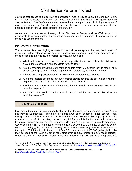courts so that access to justice may be enhanced.<sup>[5](#page-168-0)</sup> And in May of 2006, the Canadian Forum on Civil Justice hosted a national conference, entitled *Into the Future: the Agenda for Civil Justice Reform*. The Conference sought to examine a variety of issues, including the status of civil justice reforms in Canada, impediments to effective reform, and the development of a national direction for civil justice reforms in the future.<sup>[6](#page-168-1)</sup>

As we mark the ten-year anniversary of the Civil Justice Review and the CBA report, it is appropriate to assess whether further refinements can result in meaningful improvements for those who use the system.

### **Issues for Consultation**

The following discussion highlights areas in the civil justice system that may be in need of reform, as well as potential reform options. Respondents are invited to comment on any or all of these issues and in so doing, to consider the following questions:

- Which solutions are likely to have the most positive impact on making the civil justice system more accessible and affordable for Ontarians?
- Are the problems identified more acute in certain regions of Ontario than in others, or in certain case types than in others (e.g. medical malpractice, commercial)? Why?
- What reforms might best respond to the needs of unrepresented litigants?
- Are there feasible options to introduce greater technology into the civil justice system to help reduce the cost of litigation or to make it more accessible?
- Are there other areas of reform that should be addressed but are not mentioned in this consultation paper?
- Are there other solutions that you would recommend that are not mentioned in this consultation paper?

### **Simplified procedure**

Lawyers, judges and litigants frequently observe that the simplified procedures in Rule 76 are not working as intended. Three key problems have been identified. First, counsel often disregard the prohibition on the use of discoveries in the rule, either by engaging in pre-trial discoveries or in effect conducting discoveries at trial. The result is that the cost- and time-saving benefits of this rule are not realized. Second, while Rule 76 allows parties to elect to proceed by way of summary trial, this method of hearing is rarely selected by the parties or ordered by the court. Accordingly, litigants are not reaping the cost- and time-saving benefits of the summary trial option. Third, the jurisdictional limit of Rule 76 is currently set at \$50,000 (although Rule 76 may be used at the plaintiff's option for claims over \$50,000 unless the defendant objects). Where a claim of a relatively modest value (e.g. between \$50,000 and \$100,000) does not

<span id="page-168-0"></span> 5 A copy of a the Advocates' Society report arising from this policy forum, entitled *Streamlining the Ontario Civil Justice System: A Policy Forum, Final Report*, may be accessed at: Hhttp://www.advocates.ca/pdf/Final\_Report.pdfH

<span id="page-168-1"></span><sup>&</sup>lt;sup>6</sup> Papers from the Canadian Forum on Civil Justice's *Into the Future* Conference may be accessed at: Hhttp://www.cfcj-fcjc.org/IntoTheFuture-VersLeFutur/H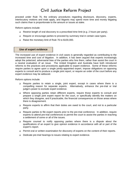proceed under Rule 76, the ordinary procedures regarding disclosure, discovery, experts, interlocutory motions and trials apply, and litigants may spend more time and money litigating such claims than is proportionate to the amount or issues at stake.

Reform options include:

- Restrict length of oral discovery to a prescribed time limit (e.g. 2 hours per party).
- Require or encourage parties to proceed by summary trial in certain case types.
- Raise the monetary limit of Rule 76 to \$100,000.

#### **Use of expert evidence**

The increased use of expert evidence in civil cases is generally regarded as contributing to the increased time and cost of litigation. In addition, it has been argued that experts increasingly adopt the polarized, adversarial bias of the parties who hire them, rather than assist the court in a neutral evaluation of an issue. The United Kingdom and Australia have both introduced reforms to the practices and procedures applicable to expert evidence. Some of these reforms require parties to agree upon a single jointly-appointed expert, impose obligations on opposing experts to consult and to produce a single joint report, or require an order of the court before any expert evidence may be adduced.

Reform options include:

- Require parties to retain a single, joint expert, except in cases where there is a compelling reason for separate experts. Alternatively, enhance the pre-trial or trial judge's power to exclude expert evidence.
- Where opposing parties retain different experts, require those experts to consult and prepare a single joint expert report for the court, or specifically identify the matters on which they disagree, and if practicable, the financial consequences on those areas where there is disagreement.
- Require experts to affirm that their duties are owed to the court, and not to a particular party.
- Require parties to file expert reports prior to the pre-trial conference. In addition, require experts to attend pre-trial conferences to permit the court to assist the parties in reaching a settlement of some or all of the issues.
- Require counsel to notify opposing parties where there is a dispute about the qualifications of an expert to give opinion evidence in accordance with all or part of the expert's report.
- Permit oral or written examination for discovery of experts on the content of their reports.
- Dedicate pre-trial hearings to issues relating to expert evidence.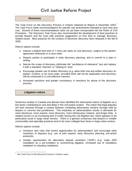### **Discovery**

The Task Force on the Discovery Process in Ontario released its Report in November 2003.<sup>[7](#page-170-0)</sup> The Task Force made recommendations for specific rule amendments intended to save time and cost. Several of these recommendations have not yet been incorporated into the Rules of Civil Procedure. The Discovery Task Force also recommended the development of best practices to provide lawyers and the court with practical suggestions on how best to manage discoveryrelated issues. Best practices for the conduct of electronic discovery were released in the fall of 2005.

Reform options include:

- Impose a default time limit of 7 hours per party on oral discovery, subject to the parties' agreement otherwise or a court order.
- Require parties to participate in early discovery planning, and to commit to a plan in writing.
- Narrow the scope of discovery (eliminate the "semblance of relevance" test and replace it with a standard "relevant" or "relating to" test).
- Encourage greater use of written discovery (e.g. allow both oral and written discovery on parties' consent, or by court order, provided there will not be duplication and discovery will be conducted in a cost-effective manner).
- Increased sanctions and greater consistency in sanctions for abuse of the discovery process.

**Litigation culture** 

Numerous studies in Canada and abroad have identified the adversarial nature of litigation as a key factor contributing to cost and delay in the civil justice system. The notion that legal disputes are best resolved through a contest between competing adversaries remains strongly held by lawyers in common law jurisdictions. This emphasis on adversarialism results in demands for more disclosure, more experts, more discovery, more interlocutory motions, and longer trials. A related concern is an increasing lack of civility among the civil litigation bar, which appears to be particularly acute in large urban centres. There is a general consensus that lawyers in smaller communities and specialty practices tend to be more collegial than those in large urban centres.

Reform options include:

- Introduce new rules that restrict opportunities for adversarialism and encourage early resolution of disputes (e.g. use of joint experts, early discovery planning, pre-action protocols).
- □ Greater opportunities for alternative dispute resolution ("ADR") (e.g. make ADR mandatory as a pre-condition to commencing litigation, increased use of mandatory mediation or voluntary mediation).

<span id="page-170-0"></span> $\overline{a}$ 7 See Task Force on the Discovery Process in Ontario, supra.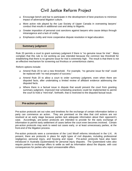- Encourage bench and bar to participate in the development of best practices to minimize impact of adversarial litigation culture.
- More active role played by the Law Society of Upper Canada in overseeing lawyers' conduct that results in additional cost and delay to litigants.
- Greater imposition of personal cost sanctions against lawyers who cause delays through intransigence and a lack of civility.
- Emphasize civility and more cooperative dispute resolution in legal education.

#### **Summary judgment**

Rule 20 permits a court to grant summary judgment if there is "no genuine issue for trial." Many complain that this rule is not working as was intended because the common law threshold for establishing that there is no genuine issue for trial is extremely high. The result is that there is not an effective mechanism for screening out frivolous or unmeritorious claims.

Reform options include:

- Amend Rule 20 to set a new threshold. For example, "no genuine issue for trial" could be replaced with "no real prospect of success."
- Amend Rule 20 to allow a court to order summary judgment, even when there are disputed facts, after undertaking a limited review of affidavit evidence addressing the disputed facts.
- Where there is a factual issue in dispute that would prevent the court from granting summary judgment, improved trial scheduling practices could be implemented to permit the court to hold a "mini-trial", forthwith, that is restricted to the disputed factual issue.

#### **Pre-action protocols**

Pre-action protocols set out rules and timelines for the exchange of certain information before a party can commence an action. They are premised on the idea that civil actions are not resolved at an early stage because parties lack adequate information about their opponent's case. Accordingly, pre-action protocols are intended to provide for the early exchange of information to permit early settlement of cases before the court even becomes involved. Certain pre-action protocols may work to weed out cases early, or at least unnecessary parties, at the front-end of the litigation process.

Pre-action protocols were a cornerstone of the Lord Woolf reforms introduced in the U.K. At present, there are protocols in place for eight types of civil disputes, including professional negligence, personal injury, and housing and repair. Pre-action protocols have also been introduced in Australia (Queensland) for personal injury disputes. The Queensland rules also require parties to exchange offers to settle as well as information about the dispute, with cost consequences for parties who reject unreasonable offers.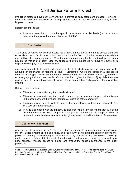Pre-action protocols have been very effective in promoting early settlement of cases. However, they have also been criticized for raising litigants' costs for certain case types early in the litigation process.<sup>[8](#page-172-0)</sup>

Reform options include:

 Introduce pre-action protocols for specific case types on a pilot basis (i.e. case types determined to involve the greatest amount of delay)



The *Courts of Justice Act* permits a party, as of right, to have a civil jury trial to assess damages or decide issues of fact in most civil actions in the Superior Court of Justice. A party may select a jury trial by delivering a jury notice. While there is some authority for the court to dispense with a jury on the motion of a party, case law suggests that trial judges do not have the authority to dispense with a jury on their own initiative.

Jury trials may add to the cost and complexity of a trial, which may be disproportionate to the amounts or importance of matters in issue. Furthermore, where the issues in a trial are so complex that a typical jury would not be able to discharge its responsibilities effectively, the merits of having a jury trial are questionable. On the other hand, given the history of jury trials, they may now be seen to be a substantive right which also ensures public participation in the civil justice system.

Reform options include:

- Eliminate access to civil jury trials in all civil cases.
- Eliminate access to civil jury trials in all cases, except those where the predominant issues in the action concern the values, attitudes or priorities of the community.
- Eliminate access to civil jury trials in all civil cases below a fixed monetary threshold (*i.e.* \$50,000, or a larger amount).
- Provide trial judges with the authority to dispense with a jury trial where they are of the view that the trial will be so complex that the jury will be unable to discharge its duties, or where a jury trial is otherwise unwarranted given the nature and importance of the matters.

#### **Cost of civil litigation**

 $\overline{a}$ 

A tension exists between the bar's stated intention to confront the problem of cost and delay in the civil justice system on the one hand, and the hourly billing structure common among the profession that arguably discourages efficiency and early problem solving on the other. Allowing market forces to fully dictate the cost of legal services reduces lawyers' ability to provide pro bono services, impedes access to justice, and erodes the public's confidence in the legal profession.

<span id="page-172-0"></span><sup>&</sup>lt;sup>8</sup> See, Robert Musgrove, Civil Justice Council, "Lord Woolf's Reforms of Civil Justice. The reforms, their impact, and the future for civil justice reform in England and Wales" (Paper presented to the Advocates' Society Policy Forum, 9 March 2006) [unpublished].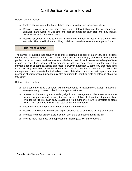Reform options include:

- Explore alternatives to the hourly billing model, including fee-for-service billing.
- Require lawyers to provide their clients with a detailed litigation plan for each case. Litigation plans would include time and cost estimates for each step and may include penalty clauses for non-compliance.
- Require lawyers/law firms to devote a prescribed number of hours to pro bono work annually. This could include providing civil duty counsel services at the Superior Court.

#### **Trial Management**

The number of actions that actually go to trial is estimated at approximately 2% of all actions commenced. However, it has been argued that cases are increasingly complex, involving more parties, more documents, and more experts, which can result in an increase in the length of time it takes to hear those cases that do proceed to trial. In some cases a lengthy trial is the inevitable result of complex issues and facts. However, anecdotally, some say that more long trials are being held even when the amount or issues at stake do not warrant it. $9$  Poor trial management, late requests for trial adjournments, late disclosure of expert reports, and the presence of unrepresented litigants may also contribute to lengthier trials or delays in obtaining trial dates.

Reform options include:

- Enforcement of fixed trial dates, without opportunity for adjournment, except in cases of emergency (e.g., illness or death of a lawyer or witness).
- Greater involvement by the pre-trial judge in trial management. Examples include the issuance of pre-trial orders fixing the time for completion of all pre-trial steps, and time limits for the trial (i.e*.* each party is allotted a fixed number of hours to complete all steps within a trial, or a time limit for each step of the trial is ordered).
- □ Impose sanctions on parties who fail to adhere to time limits.
- Require examinations-in-chief and expert evidence to be submitted by way of affidavit.
- Promote and seek greater judicial control over the trial process during the trial.
- □ Provide more resources to unrepresented litigants (e.g. civil duty counsel).

<span id="page-173-0"></span> 9 See Advocates' Society Report, supra at p. 18.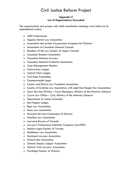#### **Appendix C List of Organizations Consulted**

The organizations and groups with which consultation meetings were held are (in alphabetical order):

- ADR Professionals
- Algoma District Law Association
- Association des juristes d'expression française de l'Ontario
- Association of Canadian General Counsel
- Benchers of the Law Society of Upper Canada
- Canadian Bankers Association
- Canadian Defence Lawyers
- Canadian Medical Protective Association
- **B** Case Management Masters
- **Q** Central East Judges
- **Q** Central West Judges
- Civil Rules Committee
- Commonwealth Legal
- County and District Law Presidents Association
- □ County of Carleton Law Association, with eight East Region Bar Associations
- □ Court Services Division Court Managers, Ministry of the Attorney General
- Crown Law Office Civil, Ministry of the Attorney General
- Department of Justice (Canada)
- East Region Judges
- **Elgin Law Association**
- **Essex Law Association**
- Financial Services Commission of Ontario
- **u** Hamilton Law Association
- Insurance Bureau of Canada
- Lawyers' Professional Indemnity Company (LawPRO)
- Medico-Legal Society of Toronto
- Middlesex Law Association
- Municipal Lawyers Association
- **Q** Ontario Bar Association
- Ontario Deputy Judges' Association
- Ontario Trial Lawyers' Association
- Paralegal Society of Ontario